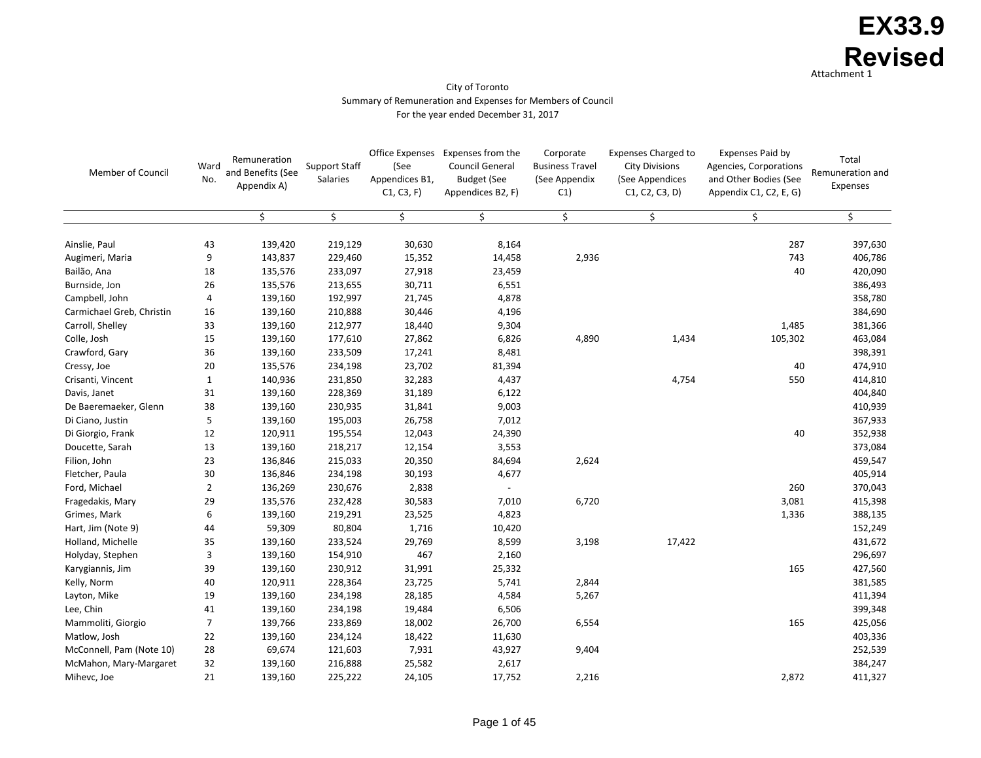| <b>Member of Council</b>  | Ward<br>No.    | Remuneration<br>and Benefits (See<br>Appendix A) | <b>Support Staff</b><br><b>Salaries</b> | <b>Office Expenses</b><br>(See<br>Appendices B1,<br>C1, C3, F | Expenses from the<br><b>Council General</b><br><b>Budget (See</b><br>Appendices B2, F) | Corporate<br><b>Business Travel</b><br>(See Appendix<br>C1) | <b>Expenses Charged to</b><br><b>City Divisions</b><br>(See Appendices<br>C1, C2, C3, D) | <b>Expenses Paid by</b><br><b>Agencies, Corporations</b><br>and Other Bodies (See<br>Appendix C1, C2, E, G) | Total<br>Remuneration and<br>Expenses |
|---------------------------|----------------|--------------------------------------------------|-----------------------------------------|---------------------------------------------------------------|----------------------------------------------------------------------------------------|-------------------------------------------------------------|------------------------------------------------------------------------------------------|-------------------------------------------------------------------------------------------------------------|---------------------------------------|
|                           |                |                                                  | \$                                      | \$                                                            |                                                                                        | \$                                                          |                                                                                          | \$                                                                                                          |                                       |
| Ainslie, Paul             | 43             | 139,420                                          | 219,129                                 | 30,630                                                        | 8,164                                                                                  |                                                             |                                                                                          | 287                                                                                                         | 397,630                               |
| Augimeri, Maria           | 9              | 143,837                                          | 229,460                                 | 15,352                                                        | 14,458                                                                                 | 2,936                                                       |                                                                                          | 743                                                                                                         | 406,786                               |
| Bailão, Ana               | 18             | 135,576                                          | 233,097                                 | 27,918                                                        | 23,459                                                                                 |                                                             |                                                                                          | 40                                                                                                          | 420,090                               |
| Burnside, Jon             | 26             | 135,576                                          | 213,655                                 | 30,711                                                        | 6,551                                                                                  |                                                             |                                                                                          |                                                                                                             | 386,493                               |
| Campbell, John            | 4              | 139,160                                          | 192,997                                 | 21,745                                                        | 4,878                                                                                  |                                                             |                                                                                          |                                                                                                             | 358,780                               |
| Carmichael Greb, Christin | 16             | 139,160                                          | 210,888                                 | 30,446                                                        | 4,196                                                                                  |                                                             |                                                                                          |                                                                                                             | 384,690                               |
| Carroll, Shelley          | 33             | 139,160                                          | 212,977                                 | 18,440                                                        | 9,304                                                                                  |                                                             |                                                                                          | 1,485                                                                                                       | 381,366                               |
| Colle, Josh               | 15             | 139,160                                          | 177,610                                 | 27,862                                                        | 6,826                                                                                  | 4,890                                                       | 1,434                                                                                    | 105,302                                                                                                     | 463,084                               |
| Crawford, Gary            | 36             | 139,160                                          | 233,509                                 | 17,241                                                        | 8,481                                                                                  |                                                             |                                                                                          |                                                                                                             | 398,391                               |
| Cressy, Joe               | 20             | 135,576                                          | 234,198                                 | 23,702                                                        | 81,394                                                                                 |                                                             |                                                                                          | 40                                                                                                          | 474,910                               |
| Crisanti, Vincent         |                | 140,936                                          | 231,850                                 | 32,283                                                        | 4,437                                                                                  |                                                             | 4,754                                                                                    | 550                                                                                                         | 414,810                               |
| Davis, Janet              | 31             | 139,160                                          | 228,369                                 | 31,189                                                        | 6,122                                                                                  |                                                             |                                                                                          |                                                                                                             | 404,840                               |
| De Baeremaeker, Glenn     | 38             | 139,160                                          | 230,935                                 | 31,841                                                        | 9,003                                                                                  |                                                             |                                                                                          |                                                                                                             | 410,939                               |
| Di Ciano, Justin          | 5              | 139,160                                          | 195,003                                 | 26,758                                                        | 7,012                                                                                  |                                                             |                                                                                          |                                                                                                             | 367,933                               |
| Di Giorgio, Frank         | 12             | 120,911                                          | 195,554                                 | 12,043                                                        | 24,390                                                                                 |                                                             |                                                                                          | 40                                                                                                          | 352,938                               |
| Doucette, Sarah           | 13             | 139,160                                          | 218,217                                 | 12,154                                                        | 3,553                                                                                  |                                                             |                                                                                          |                                                                                                             | 373,084                               |
| Filion, John              | 23             | 136,846                                          | 215,033                                 | 20,350                                                        | 84,694                                                                                 | 2,624                                                       |                                                                                          |                                                                                                             | 459,547                               |
| Fletcher, Paula           | 30             | 136,846                                          | 234,198                                 | 30,193                                                        | 4,677                                                                                  |                                                             |                                                                                          |                                                                                                             | 405,914                               |
| Ford, Michael             | $\overline{2}$ | 136,269                                          | 230,676                                 | 2,838                                                         |                                                                                        |                                                             |                                                                                          | 260                                                                                                         | 370,043                               |
| Fragedakis, Mary          | 29             | 135,576                                          | 232,428                                 | 30,583                                                        | 7,010                                                                                  | 6,720                                                       |                                                                                          | 3,081                                                                                                       | 415,398                               |
| Grimes, Mark              | 6              | 139,160                                          | 219,291                                 | 23,525                                                        | 4,823                                                                                  |                                                             |                                                                                          | 1,336                                                                                                       | 388,135                               |
| Hart, Jim (Note 9)        | 44             | 59,309                                           | 80,804                                  | 1,716                                                         | 10,420                                                                                 |                                                             |                                                                                          |                                                                                                             | 152,249                               |
| Holland, Michelle         | 35             | 139,160                                          | 233,524                                 | 29,769                                                        | 8,599                                                                                  | 3,198                                                       | 17,422                                                                                   |                                                                                                             | 431,672                               |
| Holyday, Stephen          | 3              | 139,160                                          | 154,910                                 | 467                                                           | 2,160                                                                                  |                                                             |                                                                                          |                                                                                                             | 296,697                               |
| Karygiannis, Jim          | 39             | 139,160                                          | 230,912                                 | 31,991                                                        | 25,332                                                                                 |                                                             |                                                                                          | 165                                                                                                         | 427,560                               |
| Kelly, Norm               | 40             | 120,911                                          | 228,364                                 | 23,725                                                        | 5,741                                                                                  | 2,844                                                       |                                                                                          |                                                                                                             | 381,585                               |
| Layton, Mike              | 19             | 139,160                                          | 234,198                                 | 28,185                                                        | 4,584                                                                                  | 5,267                                                       |                                                                                          |                                                                                                             | 411,394                               |
| Lee, Chin                 | 41             | 139,160                                          | 234,198                                 | 19,484                                                        | 6,506                                                                                  |                                                             |                                                                                          |                                                                                                             | 399,348                               |
| Mammoliti, Giorgio        | $\overline{7}$ | 139,766                                          | 233,869                                 | 18,002                                                        | 26,700                                                                                 | 6,554                                                       |                                                                                          | 165                                                                                                         | 425,056                               |
| Matlow, Josh              | 22             | 139,160                                          | 234,124                                 | 18,422                                                        | 11,630                                                                                 |                                                             |                                                                                          |                                                                                                             | 403,336                               |
| McConnell, Pam (Note 10)  | 28             | 69,674                                           | 121,603                                 | 7,931                                                         | 43,927                                                                                 | 9,404                                                       |                                                                                          |                                                                                                             | 252,539                               |
| McMahon, Mary-Margaret    | 32             | 139,160                                          | 216,888                                 | 25,582                                                        | 2,617                                                                                  |                                                             |                                                                                          |                                                                                                             | 384,247                               |
| Mihevc, Joe               | 21             | 139,160                                          | 225,222                                 | 24,105                                                        | 17,752                                                                                 | 2,216                                                       |                                                                                          | 2,872                                                                                                       | 411,327                               |

# Attachment 1 **EX33.9 Revised**

### City of Toronto Summary of Remuneration and Expenses for Members of Council For the year ended December 31, 2017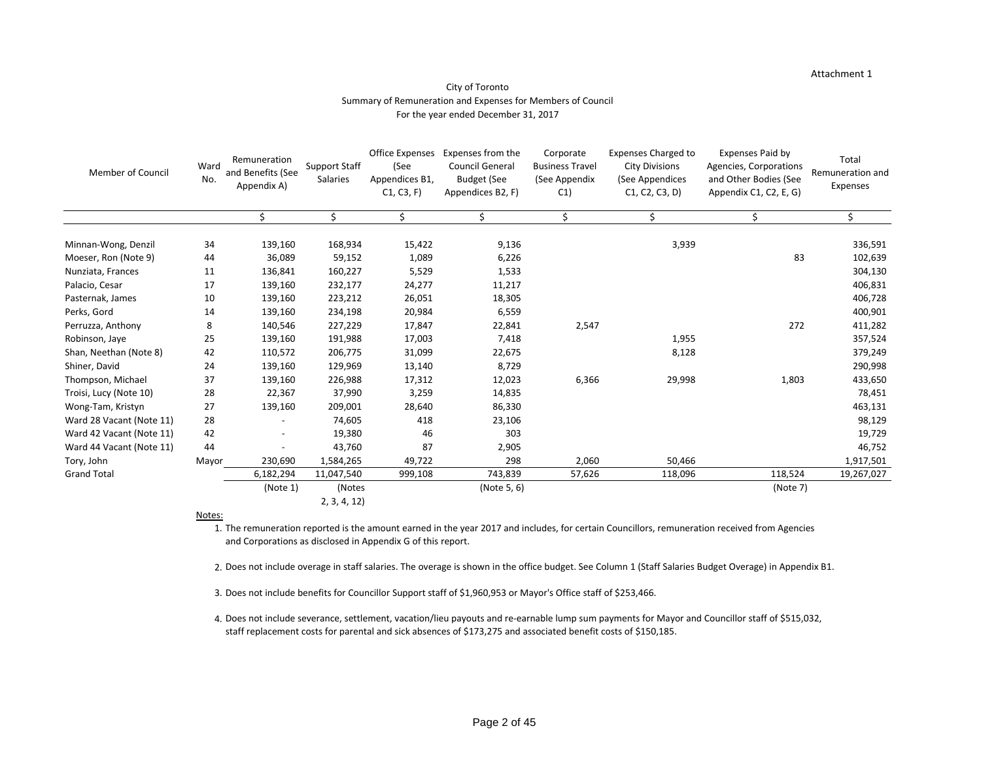### Attachment 1

### City of Toronto Summary of Remuneration and Expenses for Members of Council For the year ended December 31, 2017

| <b>Member of Council</b> | Ward<br>No. | Remuneration<br>and Benefits (See<br>Appendix A) | <b>Support Staff</b><br><b>Salaries</b> | <b>Office Expenses</b><br>(See<br>Appendices B1,<br>C1, C3, F | Expenses from the<br><b>Council General</b><br><b>Budget (See</b><br>Appendices B2, F) | Corporate<br><b>Business Travel</b><br>(See Appendix<br>C1) | <b>Expenses Charged to</b><br><b>City Divisions</b><br>(See Appendices<br>C1, C2, C3, D | <b>Expenses Paid by</b><br>Agencies, Corporations<br>and Other Bodies (See<br>Appendix C1, C2, E, G) | Total<br>Remuneration and<br><b>Expenses</b> |
|--------------------------|-------------|--------------------------------------------------|-----------------------------------------|---------------------------------------------------------------|----------------------------------------------------------------------------------------|-------------------------------------------------------------|-----------------------------------------------------------------------------------------|------------------------------------------------------------------------------------------------------|----------------------------------------------|
|                          |             | \$                                               | \$                                      | \$                                                            | \$                                                                                     | \$                                                          | \$                                                                                      | \$                                                                                                   | $\mathsf{S}$                                 |
| Minnan-Wong, Denzil      | 34          | 139,160                                          | 168,934                                 | 15,422                                                        | 9,136                                                                                  |                                                             | 3,939                                                                                   |                                                                                                      | 336,591                                      |
| Moeser, Ron (Note 9)     | 44          | 36,089                                           | 59,152                                  | 1,089                                                         | 6,226                                                                                  |                                                             |                                                                                         | 83                                                                                                   | 102,639                                      |
| Nunziata, Frances        | 11          | 136,841                                          | 160,227                                 | 5,529                                                         | 1,533                                                                                  |                                                             |                                                                                         |                                                                                                      | 304,130                                      |
| Palacio, Cesar           | 17          | 139,160                                          | 232,177                                 | 24,277                                                        | 11,217                                                                                 |                                                             |                                                                                         |                                                                                                      | 406,831                                      |
| Pasternak, James         | 10          | 139,160                                          | 223,212                                 | 26,051                                                        | 18,305                                                                                 |                                                             |                                                                                         |                                                                                                      | 406,728                                      |
| Perks, Gord              | 14          | 139,160                                          | 234,198                                 | 20,984                                                        | 6,559                                                                                  |                                                             |                                                                                         |                                                                                                      | 400,901                                      |
| Perruzza, Anthony        | 8           | 140,546                                          | 227,229                                 | 17,847                                                        | 22,841                                                                                 | 2,547                                                       |                                                                                         | 272                                                                                                  | 411,282                                      |
| Robinson, Jaye           | 25          | 139,160                                          | 191,988                                 | 17,003                                                        | 7,418                                                                                  |                                                             | 1,955                                                                                   |                                                                                                      | 357,524                                      |
| Shan, Neethan (Note 8)   | 42          | 110,572                                          | 206,775                                 | 31,099                                                        | 22,675                                                                                 |                                                             | 8,128                                                                                   |                                                                                                      | 379,249                                      |
| Shiner, David            | 24          | 139,160                                          | 129,969                                 | 13,140                                                        | 8,729                                                                                  |                                                             |                                                                                         |                                                                                                      | 290,998                                      |
| Thompson, Michael        | 37          | 139,160                                          | 226,988                                 | 17,312                                                        | 12,023                                                                                 | 6,366                                                       | 29,998                                                                                  | 1,803                                                                                                | 433,650                                      |
| Troisi, Lucy (Note 10)   | 28          | 22,367                                           | 37,990                                  | 3,259                                                         | 14,835                                                                                 |                                                             |                                                                                         |                                                                                                      | 78,451                                       |
| Wong-Tam, Kristyn        | 27          | 139,160                                          | 209,001                                 | 28,640                                                        | 86,330                                                                                 |                                                             |                                                                                         |                                                                                                      | 463,131                                      |
| Ward 28 Vacant (Note 11) | 28          |                                                  | 74,605                                  | 418                                                           | 23,106                                                                                 |                                                             |                                                                                         |                                                                                                      | 98,129                                       |
| Ward 42 Vacant (Note 11) | 42          |                                                  | 19,380                                  | 46                                                            | 303                                                                                    |                                                             |                                                                                         |                                                                                                      | 19,729                                       |
| Ward 44 Vacant (Note 11) | 44          |                                                  | 43,760                                  | 87                                                            | 2,905                                                                                  |                                                             |                                                                                         |                                                                                                      | 46,752                                       |
| Tory, John               | Mayor       | 230,690                                          | 1,584,265                               | 49,722                                                        | 298                                                                                    | 2,060                                                       | 50,466                                                                                  |                                                                                                      | 1,917,501                                    |
| <b>Grand Total</b>       |             | 6,182,294                                        | 11,047,540                              | 999,108                                                       | 743,839                                                                                | 57,626                                                      | 118,096                                                                                 | 118,524                                                                                              | 19,267,027                                   |
|                          |             | (Note 1)                                         | (Notes                                  |                                                               | (Note 5, 6)                                                                            |                                                             |                                                                                         | (Note 7)                                                                                             |                                              |
|                          |             |                                                  | 2, 3, 4, 12                             |                                                               |                                                                                        |                                                             |                                                                                         |                                                                                                      |                                              |

#### Notes:

- 1. The remuneration reported is the amount earned in the year 2017 and includes, for certain Councillors, remuneration received from Agencies and Corporations as disclosed in Appendix G of this report.
- 2. Does not include overage in staff salaries. The overage is shown in the office budget. See Column 1 (Staff Salaries Budget Overage) in Appendix B1.
- 3. Does not include benefits for Councillor Support staff of \$1,960,953 or Mayor's Office staff of \$253,466.
- 4. Does not include severance, settlement, vacation/lieu payouts and re-earnable lump sum payments for Mayor and Councillor staff of \$515,032, staff replacement costs for parental and sick absences of \$173,275 and associated benefit costs of \$150,185.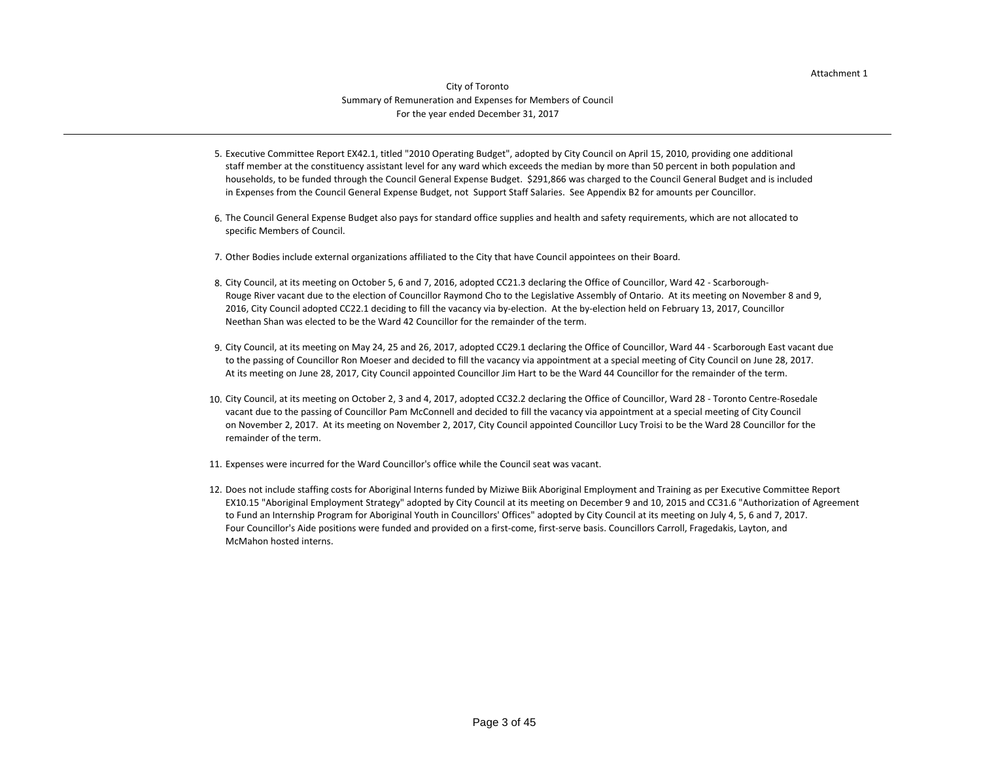### City of Toronto Summary of Remuneration and Expenses for Members of Council For the year ended December 31, 2017

- 5. Executive Committee Report EX42.1, titled "2010 Operating Budget", adopted by City Council on April 15, 2010, providing one additional staff member at the constituency assistant level for any ward which exceeds the median by more than 50 percent in both population and households, to be funded through the Council General Expense Budget. \$291,866 was charged to the Council General Budget and is included in Expenses from the Council General Expense Budget, not Support Staff Salaries. See Appendix B2 for amounts per Councillor.
- 6. The Council General Expense Budget also pays for standard office supplies and health and safety requirements, which are not allocated to specific Members of Council.
- 7. Other Bodies include external organizations affiliated to the City that have Council appointees on their Board.
- 8. City Council, at its meeting on October 5, 6 and 7, 2016, adopted CC21.3 declaring the Office of Councillor, Ward 42 Scarborough-Rouge River vacant due to the election of Councillor Raymond Cho to the Legislative Assembly of Ontario. At its meeting on November 8 and 9, 2016, City Council adopted CC22.1 deciding to fill the vacancy via by-election. At the by-election held on February 13, 2017, Councillor Neethan Shan was elected to be the Ward 42 Councillor for the remainder of the term.
- 9. City Council, at its meeting on May 24, 25 and 26, 2017, adopted CC29.1 declaring the Office of Councillor, Ward 44 Scarborough East vacant due At its meeting on June 28, 2017, City Council appointed Councillor Jim Hart to be the Ward 44 Councillor for the remainder of the term. to the passing of Councillor Ron Moeser and decided to fill the vacancy via appointment at a special meeting of City Council on June 28, 2017.
- 10. City Council, at its meeting on October 2, 3 and 4, 2017, adopted CC32.2 declaring the Office of Councillor, Ward 28 Toronto Centre-Rosedale vacant due to the passing of Councillor Pam McConnell and decided to fill the vacancy via appointment at a special meeting of City Council on November 2, 2017. At its meeting on November 2, 2017, City Council appointed Councillor Lucy Troisi to be the Ward 28 Councillor for the remainder of the term.
- 11. Expenses were incurred for the Ward Councillor's office while the Council seat was vacant.
- 12. Does not include staffing costs for Aboriginal Interns funded by Miziwe Biik Aboriginal Employment and Training as per Executive Committee Report to Fund an Internship Program for Aboriginal Youth in Councillors' Offices" adopted by City Council at its meeting on July 4, 5, 6 and 7, 2017. Four Councillor's Aide positions were funded and provided on a first-come, first-serve basis. Councillors Carroll, Fragedakis, Layton, and McMahon hosted interns. EX10.15 "Aboriginal Employment Strategy" adopted by City Council at its meeting on December 9 and 10, 2015 and CC31.6 "Authorization of Agreement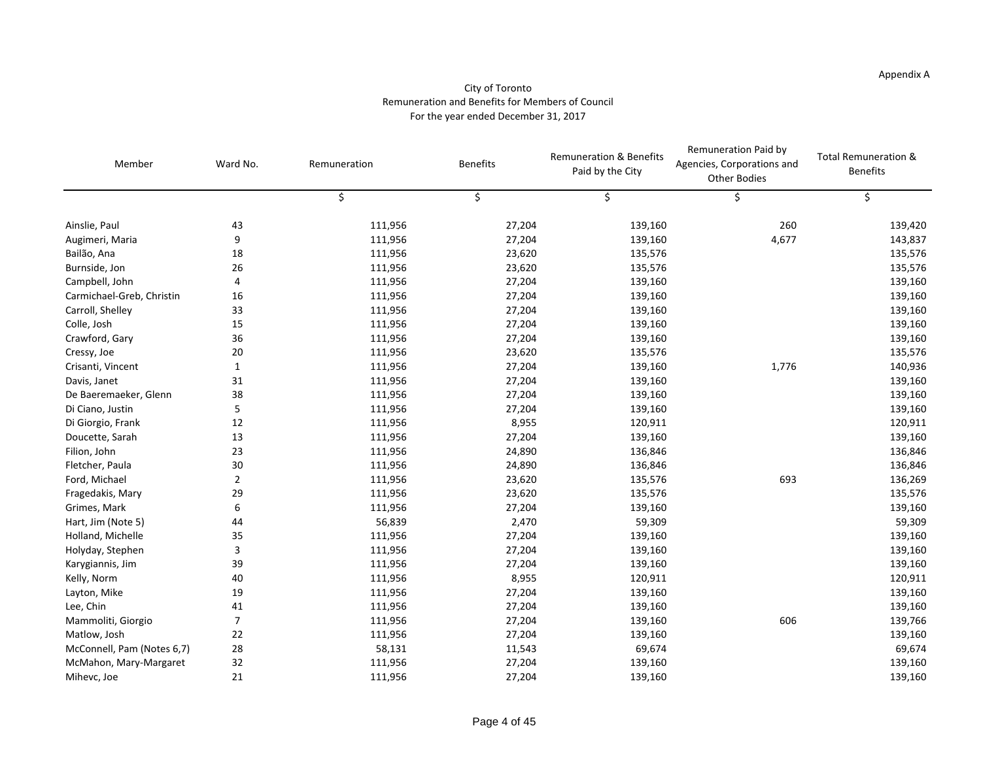#### City of Toronto Remuneration and Benefits for Members of Council For the year ended December 31, 2017

| Member                     | Ward No.       | Remuneration | <b>Benefits</b> | <b>Remuneration &amp; Benefits</b><br>Paid by the City | Remuneration Paid by<br>Agencies, Corporations and<br><b>Other Bodies</b> | <b>Total Remuneration &amp;</b><br><b>Benefits</b> |
|----------------------------|----------------|--------------|-----------------|--------------------------------------------------------|---------------------------------------------------------------------------|----------------------------------------------------|
|                            |                | \$           | \$              |                                                        |                                                                           |                                                    |
| Ainslie, Paul              | 43             | 111,956      | 27,204          | 139,160                                                | 260                                                                       | 139,420                                            |
| Augimeri, Maria            | 9              | 111,956      | 27,204          | 139,160                                                | 4,677                                                                     | 143,837                                            |
| Bailão, Ana                | 18             | 111,956      | 23,620          | 135,576                                                |                                                                           | 135,576                                            |
| Burnside, Jon              | 26             | 111,956      | 23,620          | 135,576                                                |                                                                           | 135,576                                            |
| Campbell, John             | 4              | 111,956      | 27,204          | 139,160                                                |                                                                           | 139,160                                            |
| Carmichael-Greb, Christin  | 16             | 111,956      | 27,204          | 139,160                                                |                                                                           | 139,160                                            |
| Carroll, Shelley           | 33             | 111,956      | 27,204          | 139,160                                                |                                                                           | 139,160                                            |
| Colle, Josh                | 15             | 111,956      | 27,204          | 139,160                                                |                                                                           | 139,160                                            |
| Crawford, Gary             | 36             | 111,956      | 27,204          | 139,160                                                |                                                                           | 139,160                                            |
| Cressy, Joe                | 20             | 111,956      | 23,620          | 135,576                                                |                                                                           | 135,576                                            |
| Crisanti, Vincent          | $\mathbf{1}$   | 111,956      | 27,204          | 139,160                                                | 1,776                                                                     | 140,936                                            |
| Davis, Janet               | 31             | 111,956      | 27,204          | 139,160                                                |                                                                           | 139,160                                            |
| De Baeremaeker, Glenn      | 38             | 111,956      | 27,204          | 139,160                                                |                                                                           | 139,160                                            |
| Di Ciano, Justin           | 5              | 111,956      | 27,204          | 139,160                                                |                                                                           | 139,160                                            |
| Di Giorgio, Frank          | 12             | 111,956      | 8,955           | 120,911                                                |                                                                           | 120,911                                            |
| Doucette, Sarah            | 13             | 111,956      | 27,204          | 139,160                                                |                                                                           | 139,160                                            |
| Filion, John               | 23             | 111,956      | 24,890          | 136,846                                                |                                                                           | 136,846                                            |
| Fletcher, Paula            | 30             | 111,956      | 24,890          | 136,846                                                |                                                                           | 136,846                                            |
| Ford, Michael              | $\overline{2}$ | 111,956      | 23,620          | 135,576                                                | 693                                                                       | 136,269                                            |
| Fragedakis, Mary           | 29             | 111,956      | 23,620          | 135,576                                                |                                                                           | 135,576                                            |
| Grimes, Mark               | 6              | 111,956      | 27,204          | 139,160                                                |                                                                           | 139,160                                            |
| Hart, Jim (Note 5)         | 44             | 56,839       | 2,470           | 59,309                                                 |                                                                           | 59,309                                             |
| Holland, Michelle          | 35             | 111,956      | 27,204          | 139,160                                                |                                                                           | 139,160                                            |
| Holyday, Stephen           | 3              | 111,956      | 27,204          | 139,160                                                |                                                                           | 139,160                                            |
| Karygiannis, Jim           | 39             | 111,956      | 27,204          | 139,160                                                |                                                                           | 139,160                                            |
| Kelly, Norm                | 40             | 111,956      | 8,955           | 120,911                                                |                                                                           | 120,911                                            |
| Layton, Mike               | 19             | 111,956      | 27,204          | 139,160                                                |                                                                           | 139,160                                            |
| Lee, Chin                  | 41             | 111,956      | 27,204          | 139,160                                                |                                                                           | 139,160                                            |
| Mammoliti, Giorgio         | 7              | 111,956      | 27,204          | 139,160                                                | 606                                                                       | 139,766                                            |
| Matlow, Josh               | 22             | 111,956      | 27,204          | 139,160                                                |                                                                           | 139,160                                            |
| McConnell, Pam (Notes 6,7) | 28             | 58,131       | 11,543          | 69,674                                                 |                                                                           | 69,674                                             |
| McMahon, Mary-Margaret     | 32             | 111,956      | 27,204          | 139,160                                                |                                                                           | 139,160                                            |
| Mihevc, Joe                | 21             | 111,956      | 27,204          | 139,160                                                |                                                                           | 139,160                                            |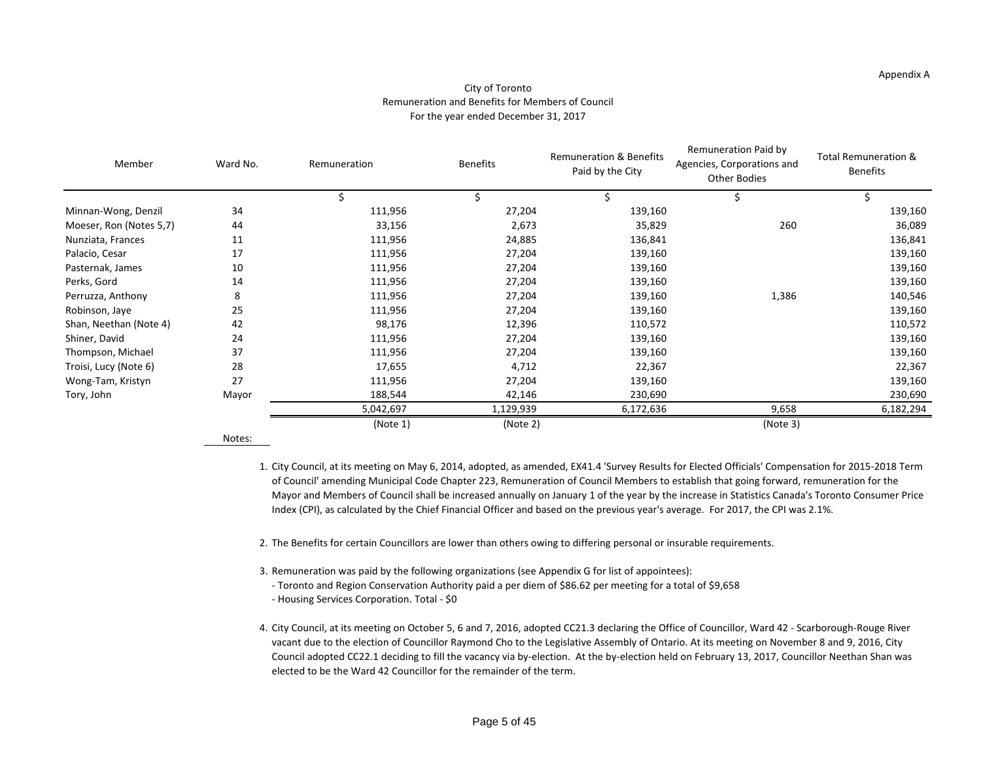#### Appendix A

#### City of Toronto Remuneration and Benefits for Members of Council For the year ended December 31, 2017

| Member                  | Ward No. | Remuneration | <b>Benefits</b> | <b>Remuneration &amp; Benefits</b><br>Paid by the City | Remuneration Paid by<br>Agencies, Corporations and<br><b>Other Bodies</b> | <b>Total Remuneration &amp;</b><br><b>Benefits</b> |  |
|-------------------------|----------|--------------|-----------------|--------------------------------------------------------|---------------------------------------------------------------------------|----------------------------------------------------|--|
|                         |          |              |                 |                                                        |                                                                           |                                                    |  |
| Minnan-Wong, Denzil     | 34       | 111,956      | 27,204          | 139,160                                                |                                                                           | 139,160                                            |  |
| Moeser, Ron (Notes 5,7) | 44       | 33,156       | 2,673           | 35,829                                                 | 260                                                                       | 36,089                                             |  |
| Nunziata, Frances       | 11       | 111,956      | 24,885          | 136,841                                                |                                                                           | 136,841                                            |  |
| Palacio, Cesar          | 17       | 111,956      | 27,204          | 139,160                                                |                                                                           | 139,160                                            |  |
| Pasternak, James        | 10       | 111,956      | 27,204          | 139,160                                                |                                                                           | 139,160                                            |  |
| Perks, Gord             | 14       | 111,956      | 27,204          | 139,160                                                |                                                                           | 139,160                                            |  |
| Perruzza, Anthony       | 8        | 111,956      | 27,204          | 139,160                                                | 1,386                                                                     | 140,546                                            |  |
| Robinson, Jaye          | 25       | 111,956      | 27,204          | 139,160                                                |                                                                           | 139,160                                            |  |
| Shan, Neethan (Note 4)  | 42       | 98,176       | 12,396          | 110,572                                                |                                                                           | 110,572                                            |  |
| Shiner, David           | 24       | 111,956      | 27,204          | 139,160                                                |                                                                           | 139,160                                            |  |
| Thompson, Michael       | 37       | 111,956      | 27,204          | 139,160                                                |                                                                           | 139,160                                            |  |
| Troisi, Lucy (Note 6)   | 28       | 17,655       | 4,712           | 22,367                                                 |                                                                           | 22,367                                             |  |
| Wong-Tam, Kristyn       | 27       | 111,956      | 27,204          | 139,160                                                |                                                                           | 139,160                                            |  |
| Tory, John              | Mayor    | 188,544      | 42,146          | 230,690                                                |                                                                           | 230,690                                            |  |
|                         |          | 5,042,697    | 1,129,939       | 6,172,636                                              | 9,658                                                                     | 6,182,294                                          |  |
|                         |          | (Note 1)     | (Note 2)        |                                                        | (Note 3)                                                                  |                                                    |  |

Notes:

1. City Council, at its meeting on May 6, 2014, adopted, as amended, EX41.4 'Survey Results for Elected Officials' Compensation for 2015-2018 Term of Council' amending Municipal Code Chapter 223, Remuneration of Council Members to establish that going forward, remuneration for the Mayor and Members of Council shall be increased annually on January 1 of the year by the increase in Statistics Canada's Toronto Consumer Price Index (CPI), as calculated by the Chief Financial Officer and based on the previous year's average. For 2017, the CPI was 2.1%.

2. The Benefits for certain Councillors are lower than others owing to differing personal or insurable requirements.

- 3. Remuneration was paid by the following organizations (see Appendix G for list of appointees):
	- Toronto and Region Conservation Authority paid a per diem of \$86.62 per meeting for a total of \$9,658
- Housing Services Corporation. Total \$0
- 4. City Council, at its meeting on October 5, 6 and 7, 2016, adopted CC21.3 declaring the Office of Councillor, Ward 42 Scarborough-Rouge River vacant due to the election of Councillor Raymond Cho to the Legislative Assembly of Ontario. At its meeting on November 8 and 9, 2016, City Council adopted CC22.1 deciding to fill the vacancy via by-election. At the by-election held on February 13, 2017, Councillor Neethan Shan was elected to be the Ward 42 Councillor for the remainder of the term.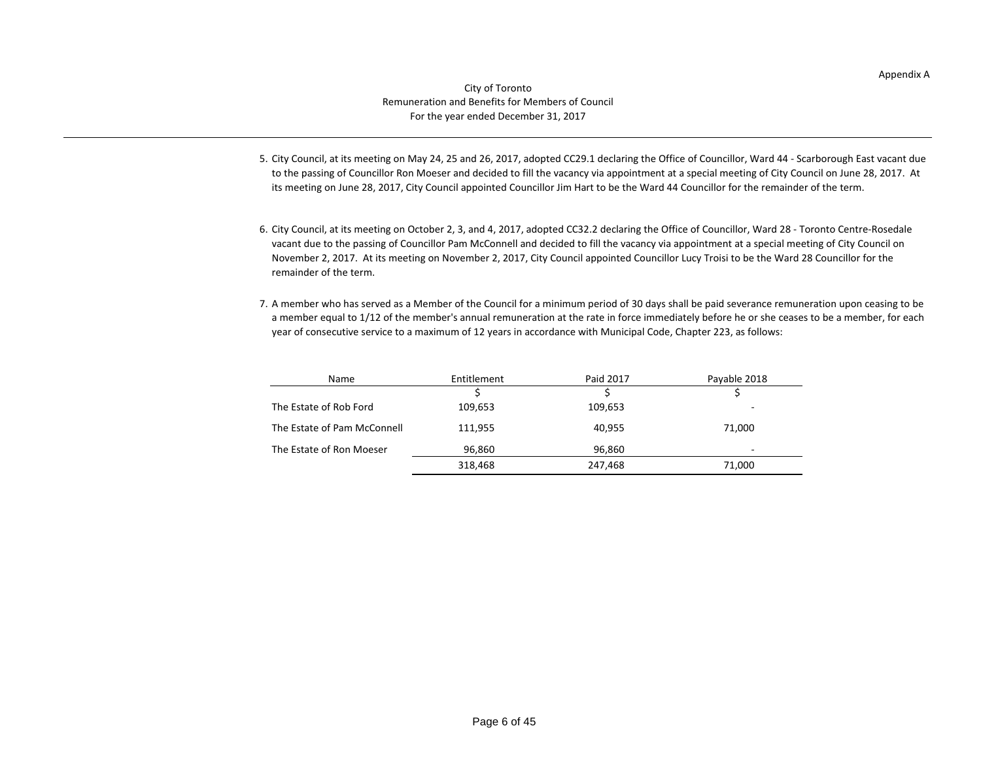- 5. City Council, at its meeting on May 24, 25 and 26, 2017, adopted CC29.1 declaring the Office of Councillor, Ward 44 Scarborough East vacant due to the passing of Councillor Ron Moeser and decided to fill the vacancy via appointment at a special meeting of City Council on June 28, 2017. At its meeting on June 28, 2017, City Council appointed Councillor Jim Hart to be the Ward 44 Councillor for the remainder of the term.
- 6. City Council, at its meeting on October 2, 3, and 4, 2017, adopted CC32.2 declaring the Office of Councillor, Ward 28 Toronto Centre-Rosedale vacant due to the passing of Councillor Pam McConnell and decided to fill the vacancy via appointment at a special meeting of City Council on November 2, 2017. At its meeting on November 2, 2017, City Council appointed Councillor Lucy Troisi to be the Ward 28 Councillor for the remainder of the term.
- 7. A member who has served as a Member of the Council for a minimum period of 30 days shall be paid severance remuneration upon ceasing to be a member equal to 1/12 of the member's annual remuneration at the rate in force immediately before he or she ceases to be a member, for each year of consecutive service to a maximum of 12 years in accordance with Municipal Code, Chapter 223, as follows:

| Name                        | Entitlement | Paid 2017 | Payable 2018                 |
|-----------------------------|-------------|-----------|------------------------------|
|                             |             |           |                              |
| The Estate of Rob Ford      | 109,653     | 109,653   | $\qquad \qquad \blacksquare$ |
| The Estate of Pam McConnell | 111,955     | 40,955    | 71,000                       |
| The Estate of Ron Moeser    | 96,860      | 96,860    | $\qquad \qquad$              |
|                             | 318,468     | 247,468   | 71,000                       |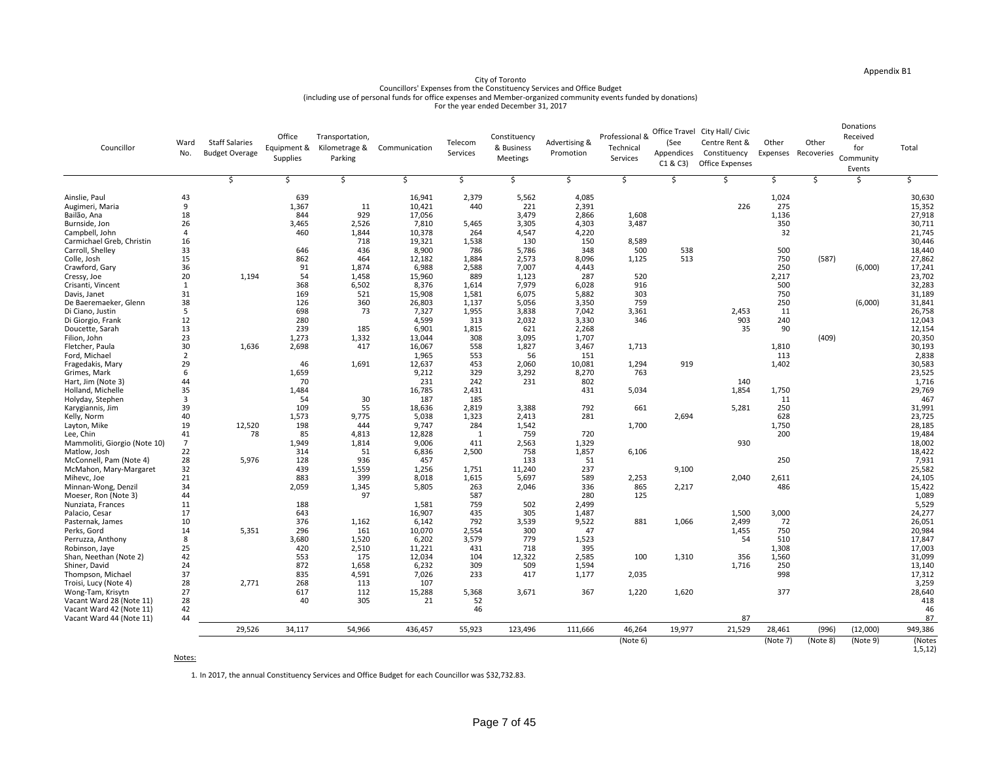| Councillor                           | Ward<br>No. | <b>Staff Salaries</b><br><b>Budget Overage</b> | Office<br>Equipment &<br>Supplies | Transportation,<br>Kilometrage &<br>Parking | Communication   | Telecom<br>Services | Constituency<br>& Business<br><b>Meetings</b> | <b>Advertising &amp;</b><br>Promotion | Professional &<br>Technical<br>Services | (See<br>Appendices<br>C1 & C3 | Office Travel City Hall/ Civic<br>Centre Rent &<br>Constituency<br><b>Office Expenses</b> | Other<br>Expenses | Other<br>Recoveries | Donations<br>Received<br>for<br>Community<br>Events | Total               |
|--------------------------------------|-------------|------------------------------------------------|-----------------------------------|---------------------------------------------|-----------------|---------------------|-----------------------------------------------|---------------------------------------|-----------------------------------------|-------------------------------|-------------------------------------------------------------------------------------------|-------------------|---------------------|-----------------------------------------------------|---------------------|
|                                      |             |                                                |                                   |                                             |                 |                     |                                               |                                       |                                         |                               |                                                                                           |                   |                     |                                                     |                     |
| Ainslie, Paul                        | 43          |                                                | 639                               |                                             | 16,941          | 2,379               | 5,562                                         | 4,085                                 |                                         |                               |                                                                                           | 1,024             |                     |                                                     | 30,630              |
| Augimeri, Maria                      |             |                                                | 1,367                             | <u>11</u>                                   | 10,421          | 440                 | 221                                           | 2,391                                 |                                         |                               | 226                                                                                       | 275               |                     |                                                     | 15,352              |
| Bailão, Ana                          | 18          |                                                | 844                               | 929                                         | 17,056          |                     | 3,479                                         | 2,866                                 | 1,608                                   |                               |                                                                                           | 1,136             |                     |                                                     | 27,918              |
| Burnside, Jon                        | 26          |                                                | 3,465                             | 2,526                                       | 7,810           | 5,465               | 3,305                                         | 4,303                                 | 3,487                                   |                               |                                                                                           | 350               |                     |                                                     | 30,711              |
| Campbell, John                       |             |                                                | 460                               | 1,844                                       | 10,378          | 264                 | 4,547                                         | 4,220                                 |                                         |                               |                                                                                           | 32                |                     |                                                     | 21,745              |
| Carmichael Greb, Christin            | 16          |                                                |                                   | 718                                         | 19,321          | 1,538               | 130                                           | 150                                   | 8,589                                   |                               |                                                                                           |                   |                     |                                                     | 30,446              |
| Carroll, Shelley                     | 33          |                                                | 646                               | 436                                         | 8,900           | 786                 | 5,786                                         | 348                                   | 500                                     | 538                           |                                                                                           | 500               |                     |                                                     | 18,440              |
| Colle, Josh                          | 15          |                                                | 862                               | 464                                         | 12,182          | 1,884               | 2,573                                         | 8,096                                 | 1,125                                   | 513                           |                                                                                           | 750               | (587)               |                                                     | 27,862              |
| Crawford, Gary                       | 36          |                                                | 91                                | 1,874                                       | 6,988           | 2,588               | 7,007                                         | 4,443                                 |                                         |                               |                                                                                           | 250               |                     | (6,000)                                             | 17,241              |
| Cressy, Joe                          | 20          | 1,194                                          | 54                                | 1,458                                       | 15,960          | 889                 | 1,123                                         | 287                                   | 520                                     |                               |                                                                                           | 2,217             |                     |                                                     | 23,702              |
| Crisanti, Vincent                    |             |                                                | 368                               | 6,502                                       | 8,376           | 1,614               | 7,979                                         | 6,028                                 | 916                                     |                               |                                                                                           | 500               |                     |                                                     | 32,283              |
| Davis, Janet                         | 31          |                                                | 169                               | 521                                         | 15,908          | 1,581               | 6,075                                         | 5,882                                 | 303                                     |                               |                                                                                           | 750               |                     |                                                     | 31,189              |
| De Baeremaeker, Glenn                | 38          |                                                | 126                               | 360                                         | 26,803          | 1,137               | 5,056                                         | 3,350                                 | 759                                     |                               |                                                                                           | 250               |                     | (6,000)                                             | 31,841              |
| Di Ciano, Justin                     |             |                                                | 698<br>280                        | 73                                          | 7,327           | 1,955<br>313        | 3,838<br>2,032                                | 7,042<br>3,330                        | 3,361<br>346                            |                               | 2,453<br>903                                                                              | 11<br>240         |                     |                                                     | 26,758              |
| Di Giorgio, Frank<br>Doucette, Sarah | 12<br>13    |                                                | 239                               | 185                                         | 4,599           | 1,815               | 621                                           | 2,268                                 |                                         |                               | 35                                                                                        | 90                |                     |                                                     | 12,043<br>12,154    |
| Filion, John                         | 23          |                                                | 1,273                             | 1,332                                       | 6,901<br>13,044 | 308                 | 3,095                                         | 1,707                                 |                                         |                               |                                                                                           |                   | (409)               |                                                     | 20,350              |
| Fletcher, Paula                      | 30          | 1,636                                          | 2,698                             | 417                                         | 16,067          | 558                 | 1,827                                         | 3,467                                 | 1,713                                   |                               |                                                                                           | 1,810             |                     |                                                     | 30,193              |
| Ford, Michael                        |             |                                                |                                   |                                             | 1,965           | 553                 | 56                                            | 151                                   |                                         |                               |                                                                                           | 113               |                     |                                                     | 2,838               |
| Fragedakis, Mary                     | 29          |                                                | 46                                | 1,691                                       | 12,637          | 453                 | 2,060                                         | 10,081                                | 1,294                                   | 919                           |                                                                                           | 1,402             |                     |                                                     | 30,583              |
| Grimes, Mark                         |             |                                                | 1,659                             |                                             | 9,212           | 329                 | 3,292                                         | 8,270                                 | 763                                     |                               |                                                                                           |                   |                     |                                                     | 23,525              |
| Hart, Jim (Note 3)                   | 44          |                                                | 70                                |                                             | 231             | 242                 | 231                                           | 802                                   |                                         |                               | 140                                                                                       |                   |                     |                                                     | 1,716               |
| Holland, Michelle                    | 35          |                                                | 1,484                             |                                             | 16,785          | 2,431               |                                               | 431                                   | 5,034                                   |                               | 1,854                                                                                     | 1,750             |                     |                                                     | 29,769              |
| Holyday, Stephen                     |             |                                                | 54                                | 30                                          | 187             | 185                 |                                               |                                       |                                         |                               |                                                                                           | 11                |                     |                                                     | 467                 |
| Karygiannis, Jim                     | 39          |                                                | 109                               | 55                                          | 18,636          | 2,819               | 3,388                                         | 792                                   | 661                                     |                               | 5,281                                                                                     | 250               |                     |                                                     | 31,991              |
| Kelly, Norm                          | 40          |                                                | 1,573                             | 9,775                                       | 5,038           | 1,323               | 2,413                                         | 281                                   |                                         | 2,694                         |                                                                                           | 628               |                     |                                                     | 23,725              |
| Layton, Mike                         | 19          | 12,520                                         | 198                               | 444                                         | 9,747           | 284                 | 1,542                                         |                                       | 1,700                                   |                               |                                                                                           | 1,750             |                     |                                                     | 28,185              |
| Lee, Chin                            | 41          | 78                                             | 85                                | 4,813                                       | 12,828          |                     | 759                                           | 720                                   |                                         |                               |                                                                                           | 200               |                     |                                                     | 19,484              |
| Mammoliti, Giorgio (Note 10)         |             |                                                | 1,949                             | 1,814                                       | 9,006           | 411                 | 2,563                                         | 1,329                                 |                                         |                               | 930                                                                                       |                   |                     |                                                     | 18,002              |
| Matlow, Josh                         | 22          |                                                | 314                               | 51                                          | 6,836           | 2,500               | 758                                           | 1,857                                 | 6,106                                   |                               |                                                                                           |                   |                     |                                                     | 18,422              |
| McConnell, Pam (Note 4)              | 28          | 5,976                                          | 128                               | 936                                         | 457             |                     | 133                                           | 51                                    |                                         |                               |                                                                                           | 250               |                     |                                                     | 7,931               |
| McMahon, Mary-Margaret               | 32          |                                                | 439                               | 1,559                                       | 1,256           | 1,751               | 11,240                                        | 237                                   |                                         | 9,100                         |                                                                                           |                   |                     |                                                     | 25,582              |
| Mihevc, Joe                          | 21          |                                                | 883                               | 399                                         | 8,018           | 1,615               | 5,697                                         | 589                                   | 2,253                                   |                               | 2,040                                                                                     | 2,611             |                     |                                                     | 24,105              |
| Minnan-Wong, Denzil                  | 34          |                                                | 2,059                             | 1,345                                       | 5,805           | 263                 | 2,046                                         | 336                                   | 865                                     | 2,217                         |                                                                                           | 486               |                     |                                                     | 15,422              |
| Moeser, Ron (Note 3)                 | 44          |                                                |                                   | 97                                          |                 | 587                 |                                               | 280                                   | 125                                     |                               |                                                                                           |                   |                     |                                                     | 1,089               |
| Nunziata, Frances                    | 11          |                                                | 188                               |                                             | 1,581           | 759                 | 502                                           | 2,499                                 |                                         |                               |                                                                                           |                   |                     |                                                     | 5,529               |
| Palacio, Cesar                       | 17          |                                                | 643                               |                                             | 16,907          | 435                 | 305                                           | 1,487                                 |                                         |                               | 1,500                                                                                     | 3,000             |                     |                                                     | 24,277              |
| Pasternak, James<br>Perks, Gord      | 10<br>14    |                                                | 376<br>296                        | 1,162<br>161                                | 6,142           | 792<br>2,554        | 3,539<br>300                                  | 9,522<br>47                           | 881                                     | 1,066                         | 2,499                                                                                     | 72<br>750         |                     |                                                     | 26,051<br>20,984    |
| Perruzza, Anthony                    |             | 5,351                                          | 3,680                             | 1,520                                       | 10,070<br>6,202 | 3,579               | 779                                           | 1,523                                 |                                         |                               | 1,455<br>54                                                                               | 510               |                     |                                                     | 17,847              |
| Robinson, Jaye                       | 25          |                                                | 420                               | 2,510                                       | 11,221          | 431                 | 718                                           | 395                                   |                                         |                               |                                                                                           | 1,308             |                     |                                                     | 17,003              |
| Shan, Neethan (Note 2)               | 42          |                                                | 553                               | 175                                         | 12,034          | 104                 | 12,322                                        | 2,585                                 | 100                                     | 1,310                         | 356                                                                                       | 1,560             |                     |                                                     | 31,099              |
| Shiner, David                        | 24          |                                                | 872                               | 1,658                                       | 6,232           | 309                 | 509                                           | 1,594                                 |                                         |                               | 1,716                                                                                     | 250               |                     |                                                     | 13,140              |
| Thompson, Michael                    | 37          |                                                | 835                               | 4,591                                       | 7,026           | 233                 | 417                                           | 1,177                                 | 2,035                                   |                               |                                                                                           | 998               |                     |                                                     | 17,312              |
| Troisi, Lucy (Note 4)                | 28          | 2,771                                          | 268                               | 113                                         | 107             |                     |                                               |                                       |                                         |                               |                                                                                           |                   |                     |                                                     | 3,259               |
| Wong-Tam, Krisytn                    | 27          |                                                | 617                               | 112                                         | 15,288          | 5,368               | 3,671                                         | 367                                   | 1,220                                   | 1,620                         |                                                                                           | 377               |                     |                                                     | 28,640              |
| Vacant Ward 28 (Note 11)             | 28          |                                                | 40                                | 305                                         | 21              | 52                  |                                               |                                       |                                         |                               |                                                                                           |                   |                     |                                                     | 418                 |
| Vacant Ward 42 (Note 11)             | 42          |                                                |                                   |                                             |                 | 46                  |                                               |                                       |                                         |                               |                                                                                           |                   |                     |                                                     | 46                  |
| Vacant Ward 44 (Note 11)             | 44          |                                                |                                   |                                             |                 |                     |                                               |                                       |                                         |                               | 87                                                                                        |                   |                     |                                                     | 87                  |
|                                      |             | 29,526                                         | 34,117                            | 54,966                                      | 436,457         | 55,923              | 123,496                                       | 111,666                               | 46,264                                  | 19,977                        | 21,529                                                                                    | 28,461            | (996)               | (12,000)                                            | 949,386             |
|                                      |             |                                                |                                   |                                             |                 |                     |                                               |                                       | (Note 6)                                |                               |                                                                                           | (Note 7)          | (Note 8)            | (Note 9)                                            | (Notes<br>1, 5, 12) |

Notes:

1. In 2017, the annual Constituency Services and Office Budget for each Councillor was \$32,732.83.

## Appendix B1

### City of Toronto Councillors' Expenses from the Constituency Services and Office Budget (including use of personal funds for office expenses and Member-organized community events funded by donations) For the year ended December 31, 2017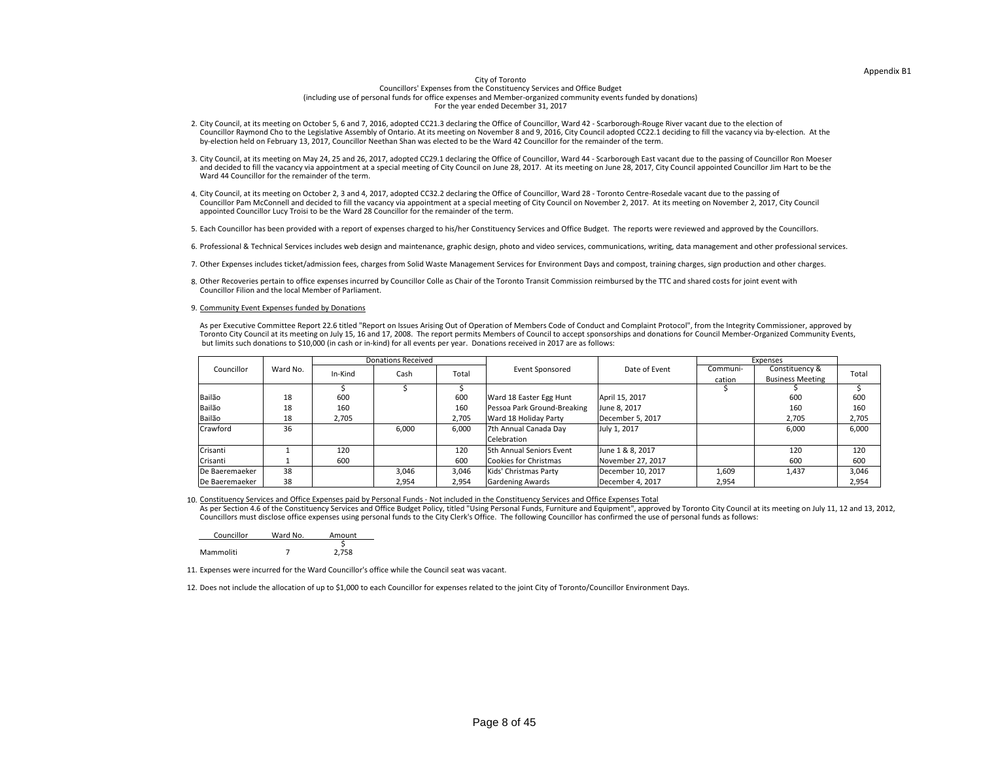## Appendix B1

### City of Toronto

3. City Council, at its meeting on May 24, 25 and 26, 2017, adopted CC29.1 declaring the Office of Councillor, Ward 44 - Scarborough East vacant due to the passing of Councillor Ron Moeser and decided to fill the vacancy via appointment at a special meeting of City Council on June 28, 2017. At its meeting on June 28, 2017, City Council appointed Councillor Jim Hart to be the

Councillors' Expenses from the Constituency Services and Office Budget (including use of personal funds for office expenses and Member-organized community events funded by donations) For the year ended December 31, 2017

5. Each Councillor has been provided with a report of expenses charged to his/her Constituency Services and Office Budget. The reports were reviewed and approved by the Councillors.

As per Executive Committee Report 22.6 titled "Report on Issues Arising Out of Operation of Members Code of Conduct and Complaint Protocol", from the Integrity Commissioner, approved by Toronto City Council at its meeting on July 15, 16 and 17, 2008. The report permits Members of Council to accept sponsorships and donations for Council Member-Organized Community Events, but limits such donations to \$10,000 (in cash or in-kind) for all events per year. Donations received in 2017 are as follows:

| Councillor | Ward No. | Amount |
|------------|----------|--------|
|            |          |        |
| Mammoliti  |          | 2,758  |

4. City Council, at its meeting on October 2, 3 and 4, 2017, adopted CC32.2 declaring the Office of Councillor, Ward 28 - Toronto Centre-Rosedale vacant due to the passing of Councillor Pam McConnell and decided to fill the vacancy via appointment at a special meeting of City Council on November 2, 2017. At its meeting on November 2, 2017, City Council

- 11. Expenses were incurred for the Ward Councillor's office while the Council seat was vacant.
- 

12. Does not include the allocation of up to \$1,000 to each Councillor for expenses related to the joint City of Toronto/Councillor Environment Days.

6. Professional & Technical Services includes web design and maintenance, graphic design, photo and video services, communications, writing, data management and other professional services.

10. Constituency Services and Office Expenses paid by Personal Funds - Not included in the Constituency Services and Office Expenses Total

7. Other Expenses includes ticket/admission fees, charges from Solid Waste Management Services for Environment Days and compost, training charges, sign production and other charges.

8. Other Recoveries pertain to office expenses incurred by Councillor Colle as Chair of the Toronto Transit Commission reimbursed by the TTC and shared costs for joint event with

Councillors must disclose office expenses using personal funds to the City Clerk's Office. The following Councillor has confirmed the use of personal funds as follows: As per Section 4.6 of the Constituency Services and Office Budget Policy, titled "Using Personal Funds, Furniture and Equipment", approved by Toronto City Council at its meeting on July 11, 12 and 13, 2012,

2. City Council, at its meeting on October 5, 6 and 7, 2016, adopted CC21.3 declaring the Office of Councillor, Ward 42 - Scarborough-Rouge River vacant due to the election of Councillor Raymond Cho to the Legislative Assembly of Ontario. At its meeting on November 8 and 9, 2016, City Council adopted CC22.1 deciding to fill the vacancy via by-election. At the by-election held on February 13, 2017, Councillor Neethan Shan was elected to be the Ward 42 Councillor for the remainder of the term.

|                 |          |         | <b>Donations Received</b> |       |                                 |                   |          | Expenses                |              |
|-----------------|----------|---------|---------------------------|-------|---------------------------------|-------------------|----------|-------------------------|--------------|
| Councillor      | Ward No. | In-Kind | Cash                      | Total | <b>Event Sponsored</b>          | Date of Event     | Communi- | Constituency &          | <b>Total</b> |
|                 |          |         |                           |       |                                 |                   | cation   | <b>Business Meeting</b> |              |
|                 |          |         |                           |       |                                 |                   |          |                         |              |
| Bailão          | 18       | 600     |                           | 600   | <b>Ward 18 Easter Egg Hunt</b>  | April 15, 2017    |          | 600                     | 600          |
| Bailão          | 18       | 160     |                           | 160   | Pessoa Park Ground-Breaking     | June 8, 2017      |          | 160                     | 160          |
| Bailão          | 18       | 2,705   |                           | 2,705 | Ward 18 Holiday Party           | December 5, 2017  |          | 2,705                   | 2,705        |
| <b>Crawford</b> | 36       |         | 6,000                     | 6,000 | 7th Annual Canada Day           | July 1, 2017      |          | 6,000                   | 6,000        |
|                 |          |         |                           |       | Celebration                     |                   |          |                         |              |
| Crisanti        |          | 120     |                           | 120   | <b>5th Annual Seniors Event</b> | June 1 & 8, 2017  |          | 120                     | 120          |
| Crisanti        |          | 600     |                           | 600   | Cookies for Christmas           | November 27, 2017 |          | 600                     | 600          |
| De Baeremaeker  | 38       |         | 3,046                     | 3,046 | Kids' Christmas Party           | December 10, 2017 | 1,609    | 1,437                   | 3,046        |
| De Baeremaeker  | 38       |         | 2,954                     | 2,954 | <b>Gardening Awards</b>         | December 4, 2017  | 2,954    |                         | 2,954        |

- 
- Ward 44 Councillor for the remainder of the term.
- appointed Councillor Lucy Troisi to be the Ward 28 Councillor for the remainder of the term.
- 
- 
- 
- Councillor Filion and the local Member of Parliament.
- 9. Community Event Expenses funded by Donations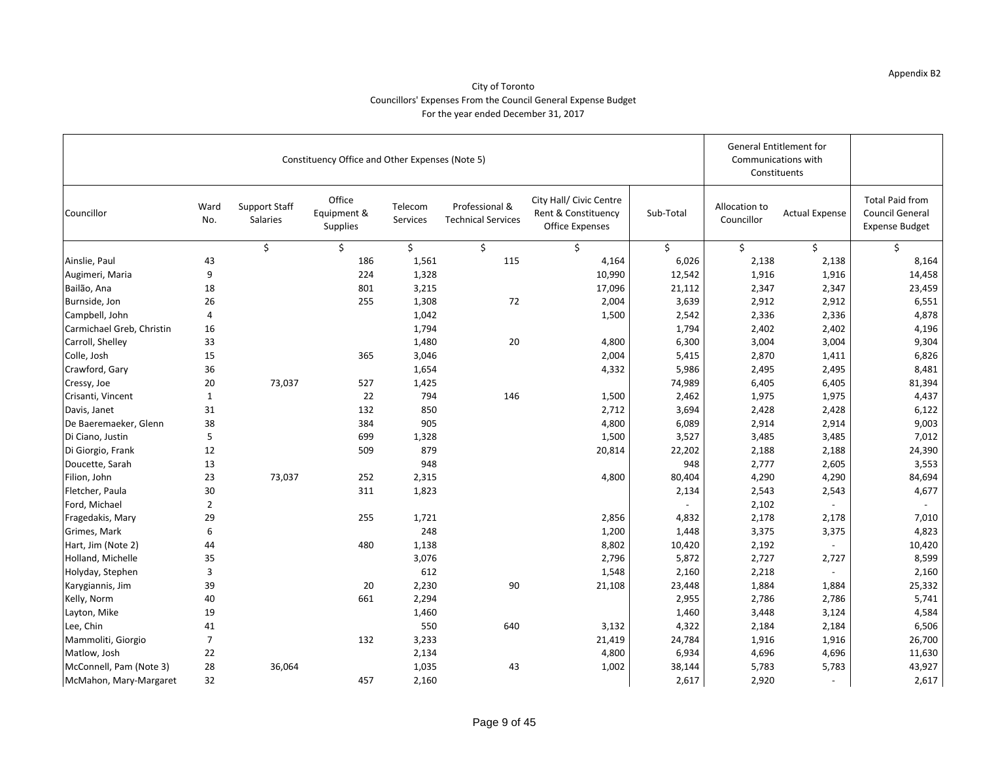|                           |                |                                         | Constituency Office and Other Expenses (Note 5) | <b>General Entitlement for</b><br>Communications with<br>Constituents |                                             |                                                                          |           |                             |                       |                                                                           |
|---------------------------|----------------|-----------------------------------------|-------------------------------------------------|-----------------------------------------------------------------------|---------------------------------------------|--------------------------------------------------------------------------|-----------|-----------------------------|-----------------------|---------------------------------------------------------------------------|
| Councillor                | Ward<br>No.    | <b>Support Staff</b><br><b>Salaries</b> | Office<br>Equipment &<br><b>Supplies</b>        | Telecom<br>Services                                                   | Professional &<br><b>Technical Services</b> | City Hall/ Civic Centre<br>Rent & Constituency<br><b>Office Expenses</b> | Sub-Total | Allocation to<br>Councillor | <b>Actual Expense</b> | <b>Total Paid from</b><br><b>Council General</b><br><b>Expense Budget</b> |
|                           |                |                                         |                                                 |                                                                       |                                             |                                                                          |           |                             |                       |                                                                           |
| Ainslie, Paul             | 43             |                                         | 186                                             | 1,561                                                                 | 115                                         | 4,164                                                                    | 6,026     | 2,138                       | 2,138                 | 8,164                                                                     |
| Augimeri, Maria           | 9              |                                         | 224                                             | 1,328                                                                 |                                             | 10,990                                                                   | 12,542    | 1,916                       | 1,916                 | 14,458                                                                    |
| Bailão, Ana               | 18             |                                         | 801                                             | 3,215                                                                 |                                             | 17,096                                                                   | 21,112    | 2,347                       | 2,347                 | 23,459                                                                    |
| Burnside, Jon             | 26             |                                         | 255                                             | 1,308                                                                 | 72                                          | 2,004                                                                    | 3,639     | 2,912                       | 2,912                 | 6,551                                                                     |
| Campbell, John            | 4              |                                         |                                                 | 1,042                                                                 |                                             | 1,500                                                                    | 2,542     | 2,336                       | 2,336                 | 4,878                                                                     |
| Carmichael Greb, Christin | 16             |                                         |                                                 | 1,794                                                                 |                                             |                                                                          | 1,794     | 2,402                       | 2,402                 | 4,196                                                                     |
| Carroll, Shelley          | 33             |                                         |                                                 | 1,480                                                                 | 20                                          | 4,800                                                                    | 6,300     | 3,004                       | 3,004                 | 9,304                                                                     |
| Colle, Josh               | 15             |                                         | 365                                             | 3,046                                                                 |                                             | 2,004                                                                    | 5,415     | 2,870                       | 1,411                 | 6,826                                                                     |
| Crawford, Gary            | 36             |                                         |                                                 | 1,654                                                                 |                                             | 4,332                                                                    | 5,986     | 2,495                       | 2,495                 | 8,481                                                                     |
| Cressy, Joe               | 20             | 73,037                                  | 527                                             | 1,425                                                                 |                                             |                                                                          | 74,989    | 6,405                       | 6,405                 | 81,394                                                                    |
| Crisanti, Vincent         |                |                                         | 22                                              | 794                                                                   | 146                                         | 1,500                                                                    | 2,462     | 1,975                       | 1,975                 | 4,437                                                                     |
| Davis, Janet              | 31             |                                         | 132                                             | 850                                                                   |                                             | 2,712                                                                    | 3,694     | 2,428                       | 2,428                 | 6,122                                                                     |
| De Baeremaeker, Glenn     | 38             |                                         | 384                                             | 905                                                                   |                                             | 4,800                                                                    | 6,089     | 2,914                       | 2,914                 | 9,003                                                                     |
| Di Ciano, Justin          | 5              |                                         | 699                                             | 1,328                                                                 |                                             | 1,500                                                                    | 3,527     | 3,485                       | 3,485                 | 7,012                                                                     |
| Di Giorgio, Frank         | 12             |                                         | 509                                             | 879                                                                   |                                             | 20,814                                                                   | 22,202    | 2,188                       | 2,188                 | 24,390                                                                    |
| Doucette, Sarah           | 13             |                                         |                                                 | 948                                                                   |                                             |                                                                          | 948       | 2,777                       | 2,605                 | 3,553                                                                     |
| Filion, John              | 23             | 73,037                                  | 252                                             | 2,315                                                                 |                                             | 4,800                                                                    | 80,404    | 4,290                       | 4,290                 | 84,694                                                                    |
| Fletcher, Paula           | 30             |                                         | 311                                             | 1,823                                                                 |                                             |                                                                          | 2,134     | 2,543                       | 2,543                 | 4,677                                                                     |
| Ford, Michael             | $\overline{2}$ |                                         |                                                 |                                                                       |                                             |                                                                          |           | 2,102                       |                       |                                                                           |
| Fragedakis, Mary          | 29             |                                         | 255                                             | 1,721                                                                 |                                             | 2,856                                                                    | 4,832     | 2,178                       | 2,178                 | 7,010                                                                     |
| Grimes, Mark              | 6              |                                         |                                                 | 248                                                                   |                                             | 1,200                                                                    | 1,448     | 3,375                       | 3,375                 | 4,823                                                                     |
| Hart, Jim (Note 2)        | 44             |                                         | 480                                             | 1,138                                                                 |                                             | 8,802                                                                    | 10,420    | 2,192                       |                       | 10,420                                                                    |
| Holland, Michelle         | 35             |                                         |                                                 | 3,076                                                                 |                                             | 2,796                                                                    | 5,872     | 2,727                       | 2,727                 | 8,599                                                                     |
| Holyday, Stephen          | 3              |                                         |                                                 | 612                                                                   |                                             | 1,548                                                                    | 2,160     | 2,218                       |                       | 2,160                                                                     |
| Karygiannis, Jim          | 39             |                                         | 20                                              | 2,230                                                                 | 90                                          | 21,108                                                                   | 23,448    | 1,884                       | 1,884                 | 25,332                                                                    |
| Kelly, Norm               | 40             |                                         | 661                                             | 2,294                                                                 |                                             |                                                                          | 2,955     | 2,786                       | 2,786                 | 5,741                                                                     |
| Layton, Mike              | 19             |                                         |                                                 | 1,460                                                                 |                                             |                                                                          | 1,460     | 3,448                       | 3,124                 | 4,584                                                                     |
| Lee, Chin                 | 41             |                                         |                                                 | 550                                                                   | 640                                         | 3,132                                                                    | 4,322     | 2,184                       | 2,184                 | 6,506                                                                     |
| Mammoliti, Giorgio        | $\overline{7}$ |                                         | 132                                             | 3,233                                                                 |                                             | 21,419                                                                   | 24,784    | 1,916                       | 1,916                 | 26,700                                                                    |
| Matlow, Josh              | 22             |                                         |                                                 | 2,134                                                                 |                                             | 4,800                                                                    | 6,934     | 4,696                       | 4,696                 | 11,630                                                                    |
| McConnell, Pam (Note 3)   | 28             | 36,064                                  |                                                 | 1,035                                                                 | 43                                          | 1,002                                                                    | 38,144    | 5,783                       | 5,783                 | 43,927                                                                    |
| McMahon, Mary-Margaret    | 32             |                                         | 457                                             | 2,160                                                                 |                                             |                                                                          | 2,617     | 2,920                       |                       | 2,617                                                                     |

### City of Toronto Councillors' Expenses From the Council General Expense Budget For the year ended December 31, 2017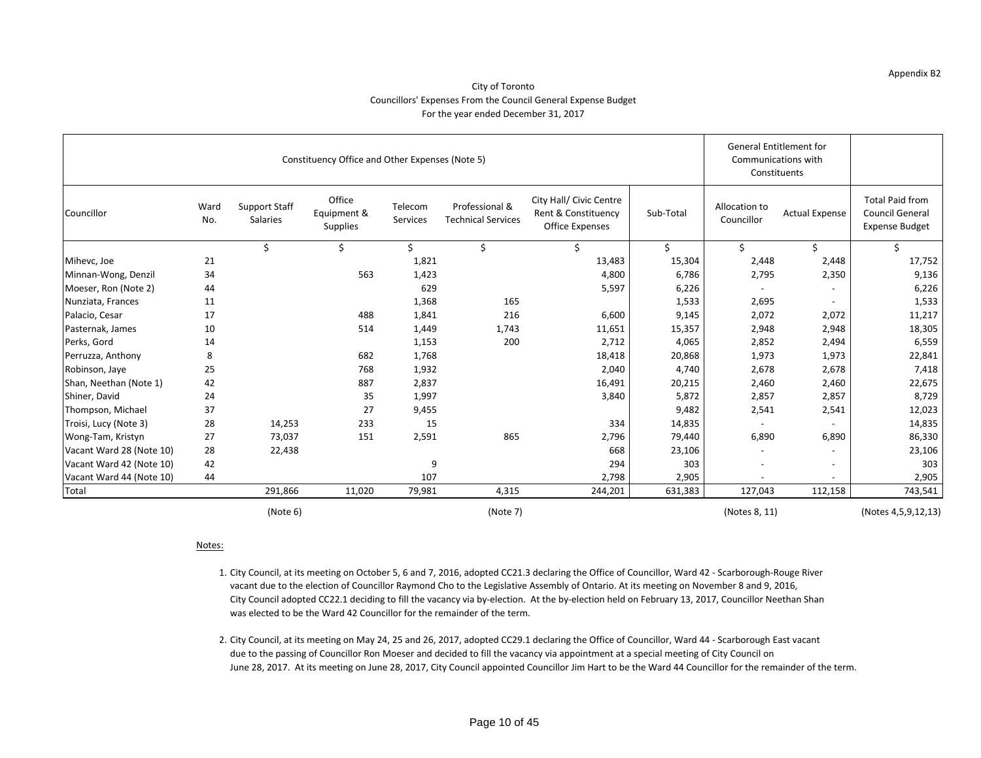### City of Toronto Councillors' Expenses From the Council General Expense Budget For the year ended December 31, 2017

|                          |             |                                         | Constituency Office and Other Expenses (Note 5) |                            |                                             |                                                                          |           | <b>General Entitlement for</b> | Communications with<br>Constituents |                                                                           |
|--------------------------|-------------|-----------------------------------------|-------------------------------------------------|----------------------------|---------------------------------------------|--------------------------------------------------------------------------|-----------|--------------------------------|-------------------------------------|---------------------------------------------------------------------------|
| Councillor               | Ward<br>No. | <b>Support Staff</b><br><b>Salaries</b> | Office<br>Equipment &<br>Supplies               | Telecom<br><b>Services</b> | Professional &<br><b>Technical Services</b> | City Hall/ Civic Centre<br>Rent & Constituency<br><b>Office Expenses</b> | Sub-Total | Allocation to<br>Councillor    | <b>Actual Expense</b>               | <b>Total Paid from</b><br><b>Council General</b><br><b>Expense Budget</b> |
|                          |             | \$                                      |                                                 | Ś                          |                                             |                                                                          |           |                                |                                     |                                                                           |
| Mihevc, Joe              | 21          |                                         |                                                 | 1,821                      |                                             | 13,483                                                                   | 15,304    | 2,448                          | 2,448                               | 17,752                                                                    |
| Minnan-Wong, Denzil      | 34          |                                         | 563                                             | 1,423                      |                                             | 4,800                                                                    | 6,786     | 2,795                          | 2,350                               | 9,136                                                                     |
| Moeser, Ron (Note 2)     | 44          |                                         |                                                 | 629                        |                                             | 5,597                                                                    | 6,226     |                                |                                     | 6,226                                                                     |
| Nunziata, Frances        | 11          |                                         |                                                 | 1,368                      | 165                                         |                                                                          | 1,533     | 2,695                          |                                     | 1,533                                                                     |
| Palacio, Cesar           | 17          |                                         | 488                                             | 1,841                      | 216                                         | 6,600                                                                    | 9,145     | 2,072                          | 2,072                               | 11,217                                                                    |
| Pasternak, James         | 10          |                                         | 514                                             | 1,449                      | 1,743                                       | 11,651                                                                   | 15,357    | 2,948                          | 2,948                               | 18,305                                                                    |
| Perks, Gord              | 14          |                                         |                                                 | 1,153                      | 200                                         | 2,712                                                                    | 4,065     | 2,852                          | 2,494                               | 6,559                                                                     |
| Perruzza, Anthony        | 8           |                                         | 682                                             | 1,768                      |                                             | 18,418                                                                   | 20,868    | 1,973                          | 1,973                               | 22,841                                                                    |
| Robinson, Jaye           | 25          |                                         | 768                                             | 1,932                      |                                             | 2,040                                                                    | 4,740     | 2,678                          | 2,678                               | 7,418                                                                     |
| Shan, Neethan (Note 1)   | 42          |                                         | 887                                             | 2,837                      |                                             | 16,491                                                                   | 20,215    | 2,460                          | 2,460                               | 22,675                                                                    |
| Shiner, David            | 24          |                                         | 35                                              | 1,997                      |                                             | 3,840                                                                    | 5,872     | 2,857                          | 2,857                               | 8,729                                                                     |
| Thompson, Michael        | 37          |                                         | 27                                              | 9,455                      |                                             |                                                                          | 9,482     | 2,541                          | 2,541                               | 12,023                                                                    |
| Troisi, Lucy (Note 3)    | 28          | 14,253                                  | 233                                             | 15                         |                                             | 334                                                                      | 14,835    |                                |                                     | 14,835                                                                    |
| Wong-Tam, Kristyn        | 27          | 73,037                                  | 151                                             | 2,591                      | 865                                         | 2,796                                                                    | 79,440    | 6,890                          | 6,890                               | 86,330                                                                    |
| Vacant Ward 28 (Note 10) | 28          | 22,438                                  |                                                 |                            |                                             | 668                                                                      | 23,106    |                                |                                     | 23,106                                                                    |
| Vacant Ward 42 (Note 10) | 42          |                                         |                                                 | 9                          |                                             | 294                                                                      | 303       | $\sim$                         | $\overline{\phantom{a}}$            | 303                                                                       |
| Vacant Ward 44 (Note 10) | 44          |                                         |                                                 | 107                        |                                             | 2,798                                                                    | 2,905     | $\qquad \qquad \blacksquare$   | $\overline{\phantom{a}}$            | 2,905                                                                     |
| Total                    |             | 291,866                                 | 11,020                                          | 79,981                     | 4,315                                       | 244,201                                                                  | 631,383   | 127,043                        | 112,158                             | 743,541                                                                   |
|                          |             | (Note 6)                                |                                                 |                            | (Note 7)                                    |                                                                          |           | (Notes 8, 11)                  |                                     | (Notes 4,5,9,12,13)                                                       |

### Notes:

- 1. City Council, at its meeting on October 5, 6 and 7, 2016, adopted CC21.3 declaring the Office of Councillor, Ward 42 Scarborough-Rouge River vacant due to the election of Councillor Raymond Cho to the Legislative Assembly of Ontario. At its meeting on November 8 and 9, 2016, City Council adopted CC22.1 deciding to fill the vacancy via by-election. At the by-election held on February 13, 2017, Councillor Neethan Shan was elected to be the Ward 42 Councillor for the remainder of the term.
- 2. City Council, at its meeting on May 24, 25 and 26, 2017, adopted CC29.1 declaring the Office of Councillor, Ward 44 Scarborough East vacant due to the passing of Councillor Ron Moeser and decided to fill the vacancy via appointment at a special meeting of City Council on June 28, 2017. At its meeting on June 28, 2017, City Council appointed Councillor Jim Hart to be the Ward 44 Councillor for the remainder of the term.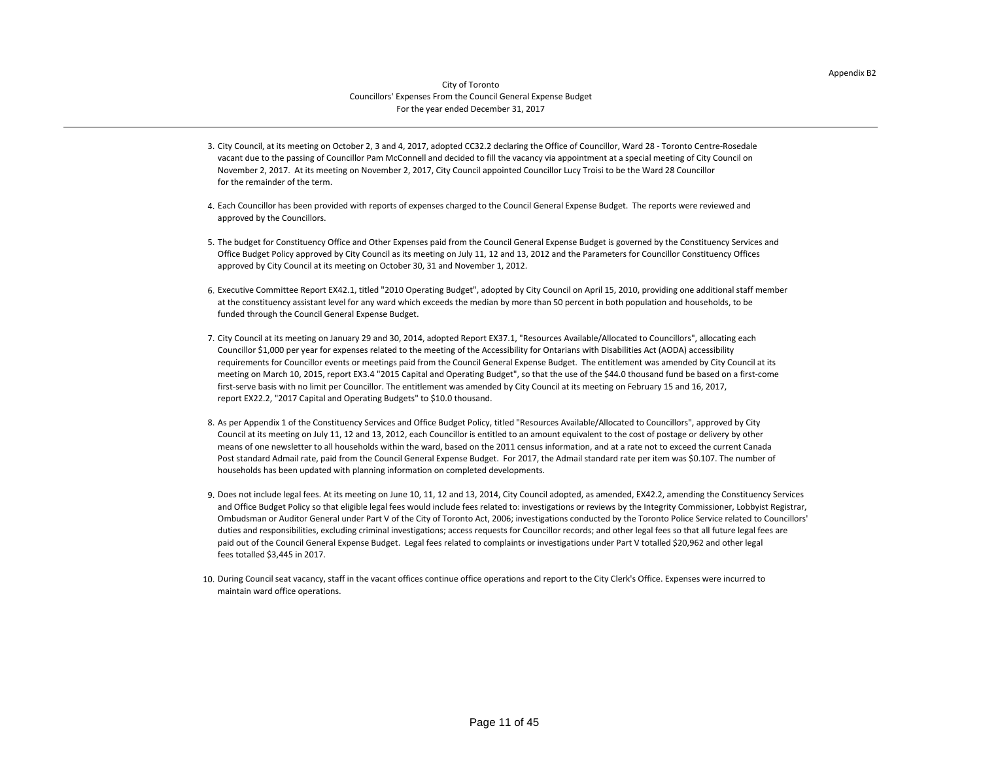### City of Toronto Councillors' Expenses From the Council General Expense Budget For the year ended December 31, 2017

- 3. City Council, at its meeting on October 2, 3 and 4, 2017, adopted CC32.2 declaring the Office of Councillor, Ward 28 Toronto Centre-Rosedale vacant due to the passing of Councillor Pam McConnell and decided to fill the vacancy via appointment at a special meeting of City Council on November 2, 2017. At its meeting on November 2, 2017, City Council appointed Councillor Lucy Troisi to be the Ward 28 Councillor for the remainder of the term.
- 4. Each Councillor has been provided with reports of expenses charged to the Council General Expense Budget. The reports were reviewed and approved by the Councillors.
- 5. The budget for Constituency Office and Other Expenses paid from the Council General Expense Budget is governed by the Constituency Services and Office Budget Policy approved by City Council as its meeting on July 11, 12 and 13, 2012 and the Parameters for Councillor Constituency Offices approved by City Council at its meeting on October 30, 31 and November 1, 2012.
- 6. Executive Committee Report EX42.1, titled "2010 Operating Budget", adopted by City Council on April 15, 2010, providing one additional staff member at the constituency assistant level for any ward which exceeds the median by more than 50 percent in both population and households, to be funded through the Council General Expense Budget.
- 7. City Council at its meeting on January 29 and 30, 2014, adopted Report EX37.1, "Resources Available/Allocated to Councillors", allocating each report EX22.2, "2017 Capital and Operating Budgets" to \$10.0 thousand. requirements for Councillor events or meetings paid from the Council General Expense Budget. The entitlement was amended by City Council at its Councillor \$1,000 per year for expenses related to the meeting of the Accessibility for Ontarians with Disabilities Act (AODA) accessibility meeting on March 10, 2015, report EX3.4 "2015 Capital and Operating Budget", so that the use of the \$44.0 thousand fund be based on a first-come first-serve basis with no limit per Councillor. The entitlement was amended by City Council at its meeting on February 15 and 16, 2017,
- 8. As per Appendix 1 of the Constituency Services and Office Budget Policy, titled "Resources Available/Allocated to Councillors", approved by City Council at its meeting on July 11, 12 and 13, 2012, each Councillor is entitled to an amount equivalent to the cost of postage or delivery by other means of one newsletter to all households within the ward, based on the 2011 census information, and at a rate not to exceed the current Canada Post standard Admail rate, paid from the Council General Expense Budget. For 2017, the Admail standard rate per item was \$0.107. The number of households has been updated with planning information on completed developments.
- 9. Does not include legal fees. At its meeting on June 10, 11, 12 and 13, 2014, City Council adopted, as amended, EX42.2, amending the Constituency Services paid out of the Council General Expense Budget. Legal fees related to complaints or investigations under Part V totalled \$20,962 and other legal and Office Budget Policy so that eligible legal fees would include fees related to: investigations or reviews by the Integrity Commissioner, Lobbyist Registrar, Ombudsman or Auditor General under Part V of the City of Toronto Act, 2006; investigations conducted by the Toronto Police Service related to Councillors' duties and responsibilities, excluding criminal investigations; access requests for Councillor records; and other legal fees so that all future legal fees are fees totalled \$3,445 in 2017.
- 10. During Council seat vacancy, staff in the vacant offices continue office operations and report to the City Clerk's Office. Expenses were incurred to maintain ward office operations.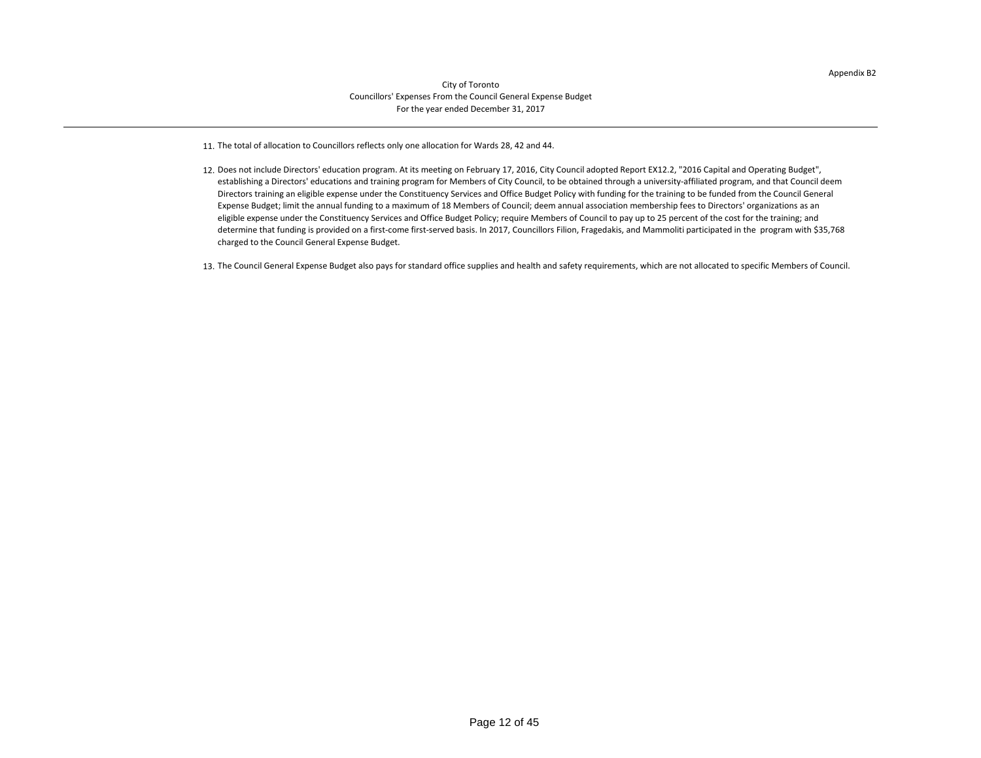Appendix B2

- 11. The total of allocation to Councillors reflects only one allocation for Wards 28, 42 and 44.
- 12. Does not include Directors' education program. At its meeting on February 17, 2016, City Council adopted Report EX12.2, "2016 Capital and Operating Budget", establishing a Directors' educations and training program for Members of City Council, to be obtained through a university-affiliated program, and that Council deem Directors training an eligible expense under the Constituency Services and Office Budget Policy with funding for the training to be funded from the Council General Expense Budget; limit the annual funding to a maximum of 18 Members of Council; deem annual association membership fees to Directors' organizations as an eligible expense under the Constituency Services and Office Budget Policy; require Members of Council to pay up to 25 percent of the cost for the training; and determine that funding is provided on a first-come first-served basis. In 2017, Councillors Filion, Fragedakis, and Mammoliti participated in the program with \$35,768 charged to the Council General Expense Budget.
- 13. The Council General Expense Budget also pays for standard office supplies and health and safety requirements, which are not allocated to specific Members of Council.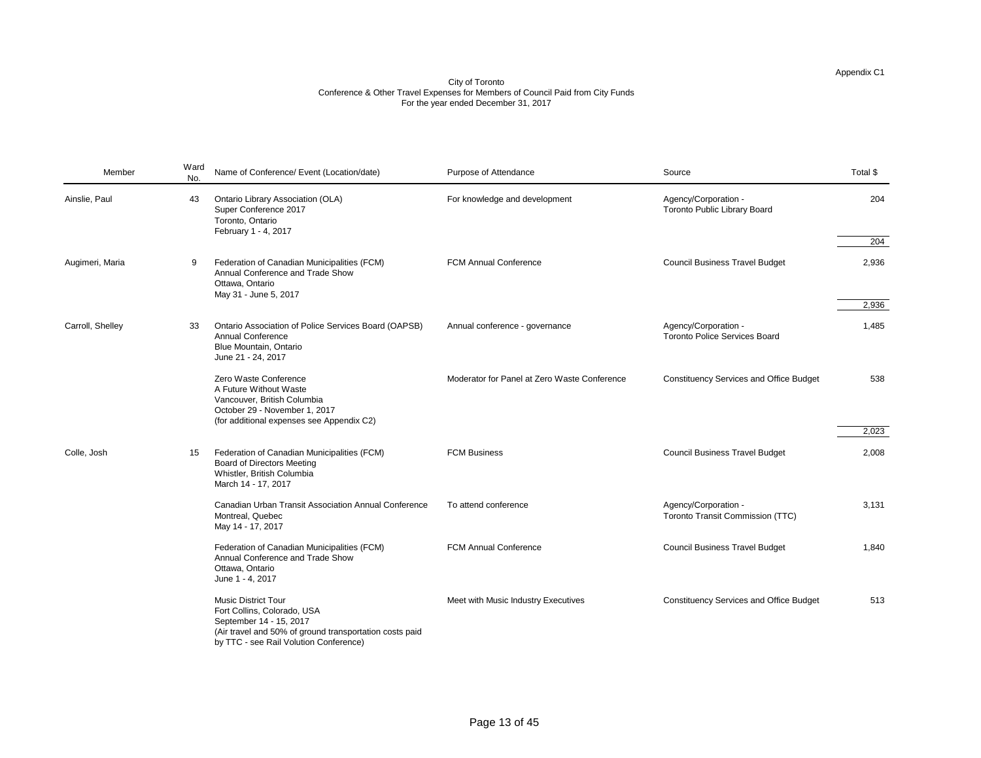| Source                                                      | Total \$ |
|-------------------------------------------------------------|----------|
| Agency/Corporation -<br><b>Toronto Public Library Board</b> | 204      |
|                                                             | 204      |
|                                                             |          |
| <b>Council Business Travel Budget</b>                       | 2,936    |
|                                                             |          |
|                                                             | 2,936    |
| Agency/Corporation -                                        | 1,485    |
| <b>Toronto Police Services Board</b>                        |          |
|                                                             |          |
| <b>Constituency Services and Office Budget</b>              | 538      |
|                                                             |          |
|                                                             |          |
|                                                             | 2,023    |
| <b>Council Business Travel Budget</b>                       | 2,008    |
|                                                             |          |
|                                                             |          |
| Agency/Corporation -                                        | 3,131    |
| <b>Toronto Transit Commission (TTC)</b>                     |          |
| <b>Council Business Travel Budget</b>                       | 1,840    |
|                                                             |          |
|                                                             |          |
| <b>Constituency Services and Office Budget</b>              | 513      |

| Member           | Ward<br>No. | Name of Conference/ Event (Location/date)                                                                                                                                                 | Purpose of Attendance                        | Source                                                          | Total \$ |
|------------------|-------------|-------------------------------------------------------------------------------------------------------------------------------------------------------------------------------------------|----------------------------------------------|-----------------------------------------------------------------|----------|
| Ainslie, Paul    | 43          | <b>Ontario Library Association (OLA)</b><br>Super Conference 2017<br>Toronto, Ontario<br>February 1 - 4, 2017                                                                             | For knowledge and development                | Agency/Corporation -<br><b>Toronto Public Library Board</b>     | 204      |
|                  |             |                                                                                                                                                                                           |                                              |                                                                 | 204      |
| Augimeri, Maria  | 9           | Federation of Canadian Municipalities (FCM)<br>Annual Conference and Trade Show<br>Ottawa, Ontario<br>May 31 - June 5, 2017                                                               | <b>FCM Annual Conference</b>                 | <b>Council Business Travel Budget</b>                           | 2,936    |
|                  |             |                                                                                                                                                                                           |                                              |                                                                 | 2,936    |
| Carroll, Shelley | 33          | <b>Ontario Association of Police Services Board (OAPSB)</b><br><b>Annual Conference</b><br><b>Blue Mountain, Ontario</b><br>June 21 - 24, 2017                                            | Annual conference - governance               | Agency/Corporation -<br><b>Toronto Police Services Board</b>    | 1,485    |
|                  |             | Zero Waste Conference<br>A Future Without Waste<br>Vancouver, British Columbia<br>October 29 - November 1, 2017<br>(for additional expenses see Appendix C2)                              | Moderator for Panel at Zero Waste Conference | <b>Constituency Services and Office Budget</b>                  | 538      |
|                  |             |                                                                                                                                                                                           |                                              |                                                                 | 2,023    |
| Colle, Josh      | 15          | Federation of Canadian Municipalities (FCM)<br><b>Board of Directors Meeting</b><br>Whistler, British Columbia<br>March 14 - 17, 2017                                                     | <b>FCM Business</b>                          | <b>Council Business Travel Budget</b>                           | 2,008    |
|                  |             | <b>Canadian Urban Transit Association Annual Conference</b><br>Montreal, Quebec<br>May 14 - 17, 2017                                                                                      | To attend conference                         | Agency/Corporation -<br><b>Toronto Transit Commission (TTC)</b> | 3,131    |
|                  |             | Federation of Canadian Municipalities (FCM)<br>Annual Conference and Trade Show<br>Ottawa, Ontario<br>June 1 - 4, 2017                                                                    | <b>FCM Annual Conference</b>                 | <b>Council Business Travel Budget</b>                           | 1,840    |
|                  |             | <b>Music District Tour</b><br>Fort Collins, Colorado, USA<br>September 14 - 15, 2017<br>(Air travel and 50% of ground transportation costs paid<br>by TTC - see Rail Volution Conference) | Meet with Music Industry Executives          | <b>Constituency Services and Office Budget</b>                  | 513      |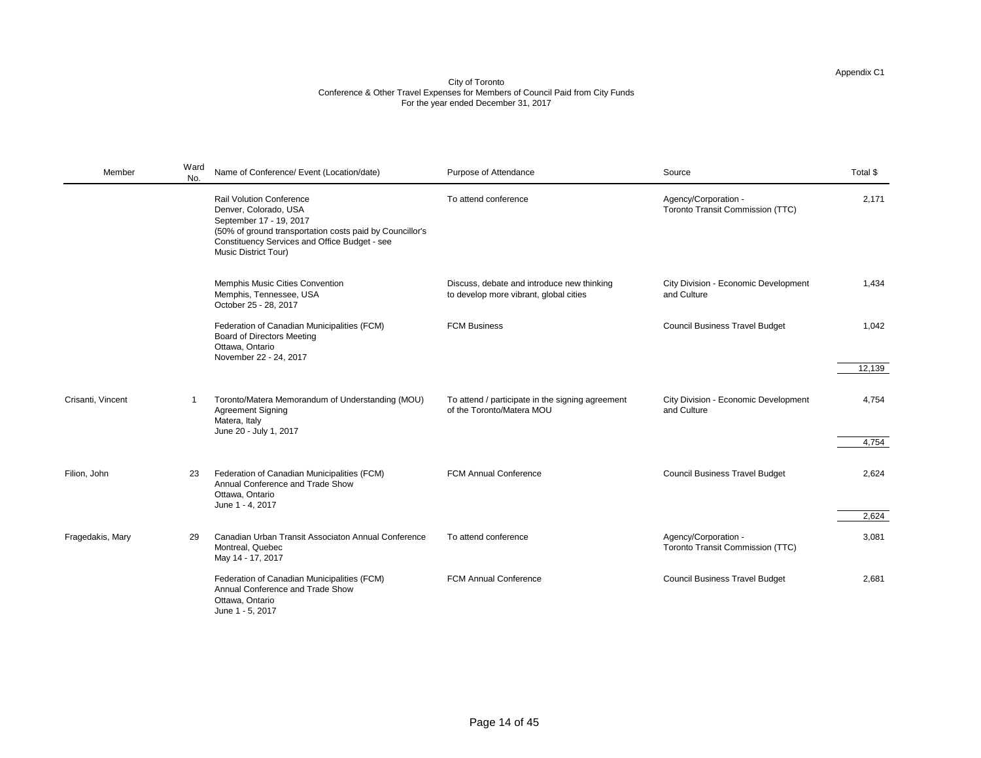| Member            | Ward<br>No. | Name of Conference/ Event (Location/date)                                                                                                                                                                                              | Purpose of Attendance                                                                | Source                                                          | Total \$ |
|-------------------|-------------|----------------------------------------------------------------------------------------------------------------------------------------------------------------------------------------------------------------------------------------|--------------------------------------------------------------------------------------|-----------------------------------------------------------------|----------|
|                   |             | <b>Rail Volution Conference</b><br>Denver, Colorado, USA<br>September 17 - 19, 2017<br>(50% of ground transportation costs paid by Councillor's<br><b>Constituency Services and Office Budget - see</b><br><b>Music District Tour)</b> | To attend conference                                                                 | Agency/Corporation -<br><b>Toronto Transit Commission (TTC)</b> | 2,171    |
|                   |             | <b>Memphis Music Cities Convention</b><br>Memphis, Tennessee, USA<br>October 25 - 28, 2017                                                                                                                                             | Discuss, debate and introduce new thinking<br>to develop more vibrant, global cities | <b>City Division - Economic Development</b><br>and Culture      | 1,434    |
|                   |             | Federation of Canadian Municipalities (FCM)<br><b>Board of Directors Meeting</b><br>Ottawa, Ontario<br>November 22 - 24, 2017                                                                                                          | <b>FCM Business</b>                                                                  | <b>Council Business Travel Budget</b>                           | 1,042    |
|                   |             |                                                                                                                                                                                                                                        |                                                                                      |                                                                 | 12,139   |
| Crisanti, Vincent |             | Toronto/Matera Memorandum of Understanding (MOU)<br><b>Agreement Signing</b><br>Matera, Italy<br>June 20 - July 1, 2017                                                                                                                | To attend / participate in the signing agreement<br>of the Toronto/Matera MOU        | <b>City Division - Economic Development</b><br>and Culture      | 4,754    |
|                   |             |                                                                                                                                                                                                                                        |                                                                                      |                                                                 | 4,754    |
| Filion, John      | 23          | Federation of Canadian Municipalities (FCM)<br>Annual Conference and Trade Show<br>Ottawa, Ontario<br>June 1 - 4, 2017                                                                                                                 | <b>FCM Annual Conference</b>                                                         | <b>Council Business Travel Budget</b>                           | 2,624    |
|                   |             |                                                                                                                                                                                                                                        |                                                                                      |                                                                 | 2,624    |
| Fragedakis, Mary  | 29          | Canadian Urban Transit Associaton Annual Conference<br>Montreal, Quebec<br>May 14 - 17, 2017                                                                                                                                           | To attend conference                                                                 | Agency/Corporation -<br><b>Toronto Transit Commission (TTC)</b> | 3,081    |
|                   |             | Federation of Canadian Municipalities (FCM)<br>Annual Conference and Trade Show<br>Ottawa, Ontario<br>June 1 - 5, 2017                                                                                                                 | <b>FCM Annual Conference</b>                                                         | <b>Council Business Travel Budget</b>                           | 2,681    |

| Source                                                          | Total \$ |
|-----------------------------------------------------------------|----------|
| Agency/Corporation -<br><b>Toronto Transit Commission (TTC)</b> | 2,171    |
|                                                                 |          |
| <b>City Division - Economic Development</b><br>and Culture      | 1,434    |
| <b>Council Business Travel Budget</b>                           | 1,042    |
|                                                                 | 12,139   |
| <b>City Division - Economic Development</b><br>and Culture      | 4,754    |
|                                                                 | 4,754    |
| <b>Council Business Travel Budget</b>                           | 2,624    |
|                                                                 | 2,624    |
| Agency/Corporation -<br><b>Toronto Transit Commission (TTC)</b> | 3,081    |
| <b>Council Business Travel Budget</b>                           | 2,681    |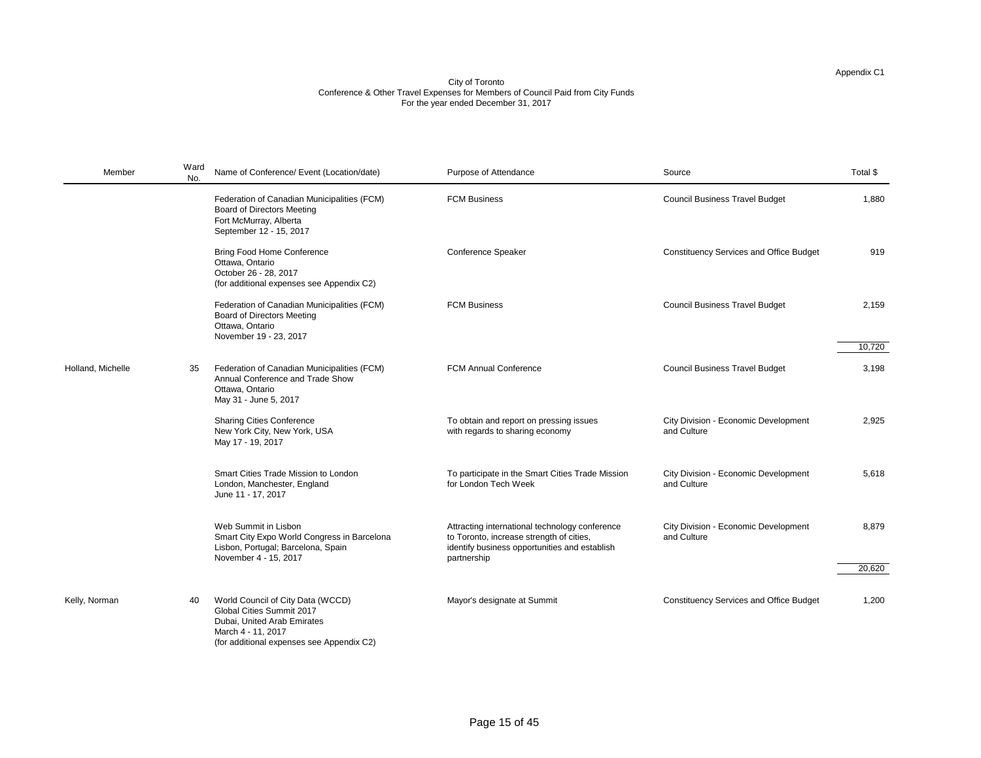| Member            | Ward<br>No. | Name of Conference/ Event (Location/date)                                                                                                                               | Purpose of Attendance                                                                                                                                      | Source                                                     | Total \$        |
|-------------------|-------------|-------------------------------------------------------------------------------------------------------------------------------------------------------------------------|------------------------------------------------------------------------------------------------------------------------------------------------------------|------------------------------------------------------------|-----------------|
|                   |             | Federation of Canadian Municipalities (FCM)<br><b>Board of Directors Meeting</b><br>Fort McMurray, Alberta<br>September 12 - 15, 2017                                   | <b>FCM Business</b>                                                                                                                                        | <b>Council Business Travel Budget</b>                      | 1,880           |
|                   |             | <b>Bring Food Home Conference</b><br>Ottawa, Ontario<br>October 26 - 28, 2017<br>(for additional expenses see Appendix C2)                                              | <b>Conference Speaker</b>                                                                                                                                  | <b>Constituency Services and Office Budget</b>             | 919             |
|                   |             | Federation of Canadian Municipalities (FCM)<br><b>Board of Directors Meeting</b><br>Ottawa, Ontario<br>November 19 - 23, 2017                                           | <b>FCM Business</b>                                                                                                                                        | <b>Council Business Travel Budget</b>                      | 2,159<br>10,720 |
| Holland, Michelle | 35          | Federation of Canadian Municipalities (FCM)<br>Annual Conference and Trade Show<br>Ottawa, Ontario<br>May 31 - June 5, 2017                                             | <b>FCM Annual Conference</b>                                                                                                                               | <b>Council Business Travel Budget</b>                      | 3,198           |
|                   |             | <b>Sharing Cities Conference</b><br>New York City, New York, USA<br>May 17 - 19, 2017                                                                                   | To obtain and report on pressing issues<br>with regards to sharing economy                                                                                 | <b>City Division - Economic Development</b><br>and Culture | 2,925           |
|                   |             | <b>Smart Cities Trade Mission to London</b><br>London, Manchester, England<br>June 11 - 17, 2017                                                                        | To participate in the Smart Cities Trade Mission<br>for London Tech Week                                                                                   | <b>City Division - Economic Development</b><br>and Culture | 5,618           |
|                   |             | Web Summit in Lisbon<br>Smart City Expo World Congress in Barcelona<br>Lisbon, Portugal; Barcelona, Spain<br>November 4 - 15, 2017                                      | Attracting international technology conference<br>to Toronto, increase strength of cities,<br>identify business opportunities and establish<br>partnership | <b>City Division - Economic Development</b><br>and Culture | 8,879           |
|                   |             |                                                                                                                                                                         |                                                                                                                                                            |                                                            | 20,620          |
| Kelly, Norman     | 40          | World Council of City Data (WCCD)<br><b>Global Cities Summit 2017</b><br>Dubai, United Arab Emirates<br>March 4 - 11, 2017<br>(for additional expenses see Appendix C2) | Mayor's designate at Summit                                                                                                                                | <b>Constituency Services and Office Budget</b>             | 1,200           |

| Source                                                     | Total \$ |
|------------------------------------------------------------|----------|
| <b>Council Business Travel Budget</b>                      | 1,880    |
| <b>Constituency Services and Office Budget</b>             | 919      |
| <b>Council Business Travel Budget</b>                      | 2,159    |
|                                                            | 10,720   |
| <b>Council Business Travel Budget</b>                      | 3,198    |
| <b>City Division - Economic Development</b><br>and Culture | 2,925    |
| <b>City Division - Economic Development</b><br>and Culture | 5,618    |
| <b>City Division - Economic Development</b><br>and Culture | 8,879    |
|                                                            | 20,620   |
| <b>Constituency Services and Office Budget</b>             | 1,200    |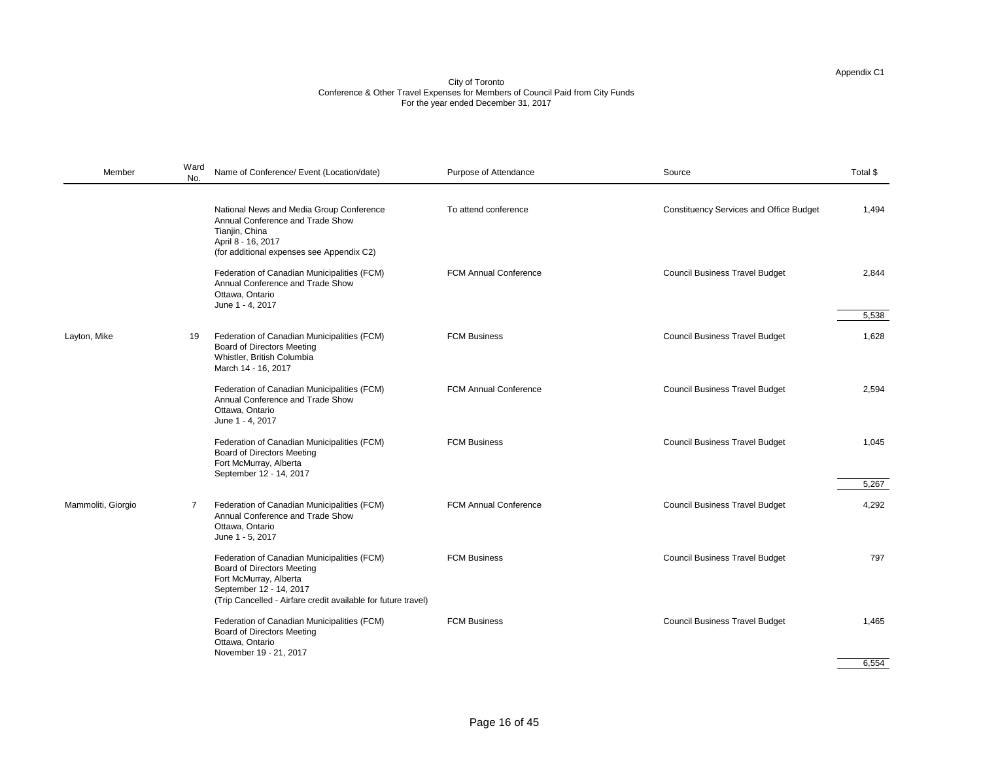#### City of Toronto Conference & Other Travel Expenses for Members of Council Paid from City Funds For the year ended December 31, 2017

| National News and Media Group Conference<br>To attend conference<br><b>Constituency Services and Office Budget</b><br>Annual Conference and Trade Show<br>Tianjin, China<br>April 8 - 16, 2017<br>(for additional expenses see Appendix C2)<br>Federation of Canadian Municipalities (FCM)<br><b>FCM Annual Conference</b><br><b>Council Business Travel Budget</b><br>Annual Conference and Trade Show<br>Ottawa, Ontario<br>June 1 - 4, 2017<br><b>Council Business Travel Budget</b><br>Federation of Canadian Municipalities (FCM)<br><b>FCM Business</b><br>Layton, Mike<br>19<br><b>Board of Directors Meeting</b><br>Whistler, British Columbia<br>March 14 - 16, 2017<br>Federation of Canadian Municipalities (FCM)<br><b>FCM Annual Conference</b><br><b>Council Business Travel Budget</b><br>Annual Conference and Trade Show<br>Ottawa, Ontario<br>June 1 - 4, 2017<br>Federation of Canadian Municipalities (FCM)<br><b>FCM Business</b><br><b>Council Business Travel Budget</b><br><b>Board of Directors Meeting</b><br>Fort McMurray, Alberta<br>September 12 - 14, 2017<br>Mammoliti, Giorgio<br><b>FCM Annual Conference</b><br><b>Council Business Travel Budget</b><br>Federation of Canadian Municipalities (FCM)<br>Annual Conference and Trade Show<br>Ottawa, Ontario<br>June 1 - 5, 2017<br><b>FCM Business</b><br><b>Council Business Travel Budget</b><br>Federation of Canadian Municipalities (FCM)<br><b>Board of Directors Meeting</b><br>Fort McMurray, Alberta<br>September 12 - 14, 2017<br>(Trip Cancelled - Airfare credit available for future travel)<br><b>Council Business Travel Budget</b><br>Federation of Canadian Municipalities (FCM)<br><b>FCM Business</b><br><b>Board of Directors Meeting</b><br>Ottawa, Ontario | Member | Ward<br>No. | Name of Conference/ Event (Location/date) | Purpose of Attendance | Source | Total \$       |
|---------------------------------------------------------------------------------------------------------------------------------------------------------------------------------------------------------------------------------------------------------------------------------------------------------------------------------------------------------------------------------------------------------------------------------------------------------------------------------------------------------------------------------------------------------------------------------------------------------------------------------------------------------------------------------------------------------------------------------------------------------------------------------------------------------------------------------------------------------------------------------------------------------------------------------------------------------------------------------------------------------------------------------------------------------------------------------------------------------------------------------------------------------------------------------------------------------------------------------------------------------------------------------------------------------------------------------------------------------------------------------------------------------------------------------------------------------------------------------------------------------------------------------------------------------------------------------------------------------------------------------------------------------------------------------------------------------------------------------------------------------------------|--------|-------------|-------------------------------------------|-----------------------|--------|----------------|
|                                                                                                                                                                                                                                                                                                                                                                                                                                                                                                                                                                                                                                                                                                                                                                                                                                                                                                                                                                                                                                                                                                                                                                                                                                                                                                                                                                                                                                                                                                                                                                                                                                                                                                                                                                     |        |             |                                           |                       |        | 1,494          |
|                                                                                                                                                                                                                                                                                                                                                                                                                                                                                                                                                                                                                                                                                                                                                                                                                                                                                                                                                                                                                                                                                                                                                                                                                                                                                                                                                                                                                                                                                                                                                                                                                                                                                                                                                                     |        |             |                                           |                       |        | 2,844<br>5,538 |
|                                                                                                                                                                                                                                                                                                                                                                                                                                                                                                                                                                                                                                                                                                                                                                                                                                                                                                                                                                                                                                                                                                                                                                                                                                                                                                                                                                                                                                                                                                                                                                                                                                                                                                                                                                     |        |             |                                           |                       |        | 1,628          |
|                                                                                                                                                                                                                                                                                                                                                                                                                                                                                                                                                                                                                                                                                                                                                                                                                                                                                                                                                                                                                                                                                                                                                                                                                                                                                                                                                                                                                                                                                                                                                                                                                                                                                                                                                                     |        |             |                                           |                       |        | 2,594          |
|                                                                                                                                                                                                                                                                                                                                                                                                                                                                                                                                                                                                                                                                                                                                                                                                                                                                                                                                                                                                                                                                                                                                                                                                                                                                                                                                                                                                                                                                                                                                                                                                                                                                                                                                                                     |        |             |                                           |                       |        | 1,045<br>5,267 |
|                                                                                                                                                                                                                                                                                                                                                                                                                                                                                                                                                                                                                                                                                                                                                                                                                                                                                                                                                                                                                                                                                                                                                                                                                                                                                                                                                                                                                                                                                                                                                                                                                                                                                                                                                                     |        |             |                                           |                       |        | 4,292          |
|                                                                                                                                                                                                                                                                                                                                                                                                                                                                                                                                                                                                                                                                                                                                                                                                                                                                                                                                                                                                                                                                                                                                                                                                                                                                                                                                                                                                                                                                                                                                                                                                                                                                                                                                                                     |        |             |                                           |                       |        | 797            |
| November 19 - 21, 2017                                                                                                                                                                                                                                                                                                                                                                                                                                                                                                                                                                                                                                                                                                                                                                                                                                                                                                                                                                                                                                                                                                                                                                                                                                                                                                                                                                                                                                                                                                                                                                                                                                                                                                                                              |        |             |                                           |                       |        | 1,465          |

| Source                                         | Total \$ |
|------------------------------------------------|----------|
| <b>Constituency Services and Office Budget</b> | 1,494    |
| <b>Council Business Travel Budget</b>          | 2,844    |
|                                                | 5,538    |
| <b>Council Business Travel Budget</b>          | 1,628    |
| <b>Council Business Travel Budget</b>          | 2,594    |
| <b>Council Business Travel Budget</b>          | 1,045    |
|                                                | 5,267    |
| <b>Council Business Travel Budget</b>          | 4,292    |
| <b>Council Business Travel Budget</b>          | 797      |
| <b>Council Business Travel Budget</b>          | 1,465    |

6,554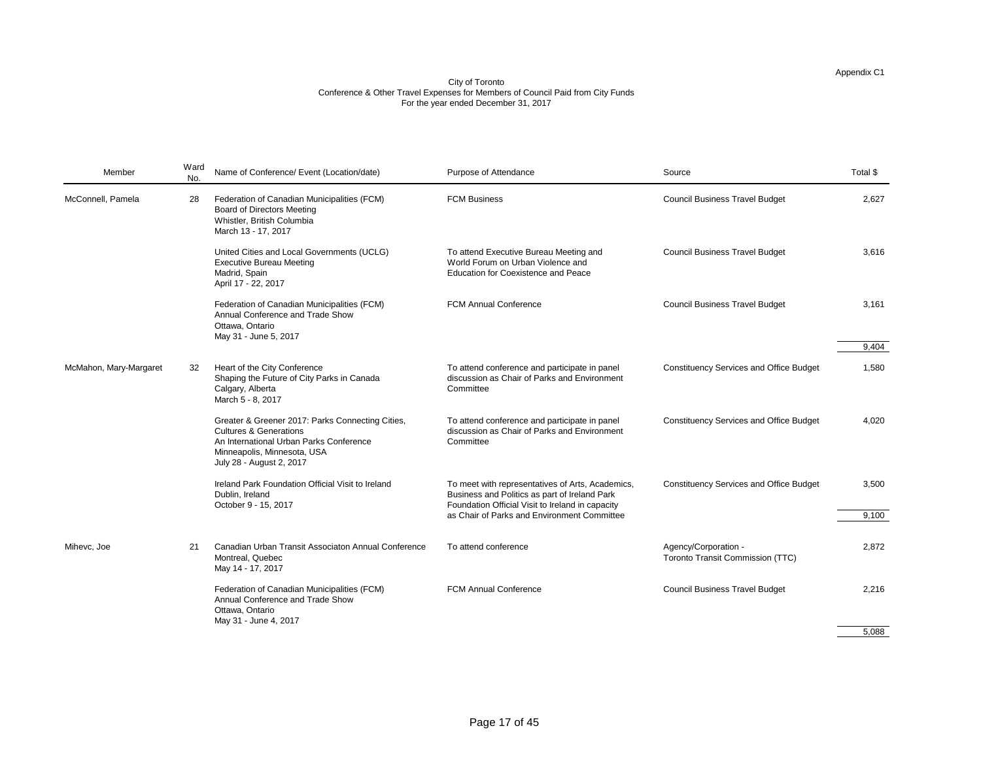| Member                 | Ward<br>No. | Name of Conference/ Event (Location/date)                                                                                                                                                   | Purpose of Attendance                                                                                                                                 | Source                                                          | Total \$ |
|------------------------|-------------|---------------------------------------------------------------------------------------------------------------------------------------------------------------------------------------------|-------------------------------------------------------------------------------------------------------------------------------------------------------|-----------------------------------------------------------------|----------|
| McConnell, Pamela      | 28          | Federation of Canadian Municipalities (FCM)<br><b>Board of Directors Meeting</b><br>Whistler, British Columbia<br>March 13 - 17, 2017                                                       | <b>FCM Business</b>                                                                                                                                   | <b>Council Business Travel Budget</b>                           | 2,627    |
|                        |             | United Cities and Local Governments (UCLG)<br><b>Executive Bureau Meeting</b><br>Madrid, Spain<br>April 17 - 22, 2017                                                                       | To attend Executive Bureau Meeting and<br>World Forum on Urban Violence and<br><b>Education for Coexistence and Peace</b>                             | <b>Council Business Travel Budget</b>                           | 3,616    |
|                        |             | Federation of Canadian Municipalities (FCM)<br>Annual Conference and Trade Show<br>Ottawa, Ontario<br>May 31 - June 5, 2017                                                                 | <b>FCM Annual Conference</b>                                                                                                                          | <b>Council Business Travel Budget</b>                           | 3,161    |
|                        |             |                                                                                                                                                                                             |                                                                                                                                                       |                                                                 | 9,404    |
| McMahon, Mary-Margaret | 32          | Heart of the City Conference<br>Shaping the Future of City Parks in Canada<br>Calgary, Alberta<br>March 5 - 8, 2017                                                                         | To attend conference and participate in panel<br>discussion as Chair of Parks and Environment<br>Committee                                            | <b>Constituency Services and Office Budget</b>                  | 1,580    |
|                        |             | Greater & Greener 2017: Parks Connecting Cities,<br><b>Cultures &amp; Generations</b><br>An International Urban Parks Conference<br>Minneapolis, Minnesota, USA<br>July 28 - August 2, 2017 | To attend conference and participate in panel<br>discussion as Chair of Parks and Environment<br>Committee                                            | <b>Constituency Services and Office Budget</b>                  | 4,020    |
|                        |             | Ireland Park Foundation Official Visit to Ireland<br>Dublin, Ireland<br>October 9 - 15, 2017                                                                                                | To meet with representatives of Arts, Academics,<br>Business and Politics as part of Ireland Park<br>Foundation Official Visit to Ireland in capacity | <b>Constituency Services and Office Budget</b>                  | 3,500    |
|                        |             |                                                                                                                                                                                             | as Chair of Parks and Environment Committee                                                                                                           |                                                                 | 9,100    |
| Mihevc, Joe            | 21          | <b>Canadian Urban Transit Associaton Annual Conference</b><br>Montreal, Quebec<br>May 14 - 17, 2017                                                                                         | To attend conference                                                                                                                                  | Agency/Corporation -<br><b>Toronto Transit Commission (TTC)</b> | 2,872    |
|                        |             | Federation of Canadian Municipalities (FCM)<br>Annual Conference and Trade Show<br>Ottawa, Ontario<br>May 31 - June 4, 2017                                                                 | <b>FCM Annual Conference</b>                                                                                                                          | <b>Council Business Travel Budget</b>                           | 2,216    |

| Purpose of Attendance                                                                                                                                                                                | Source                                                          | Total \$       |
|------------------------------------------------------------------------------------------------------------------------------------------------------------------------------------------------------|-----------------------------------------------------------------|----------------|
| <b>FCM Business</b>                                                                                                                                                                                  | <b>Council Business Travel Budget</b>                           | 2,627          |
| To attend Executive Bureau Meeting and<br>World Forum on Urban Violence and<br><b>Education for Coexistence and Peace</b>                                                                            | <b>Council Business Travel Budget</b>                           | 3,616          |
| <b>FCM Annual Conference</b>                                                                                                                                                                         | <b>Council Business Travel Budget</b>                           | 3,161          |
|                                                                                                                                                                                                      |                                                                 | 9,404          |
| To attend conference and participate in panel<br>discussion as Chair of Parks and Environment<br>Committee                                                                                           | <b>Constituency Services and Office Budget</b>                  | 1,580          |
| To attend conference and participate in panel<br>discussion as Chair of Parks and Environment<br>Committee                                                                                           | <b>Constituency Services and Office Budget</b>                  | 4,020          |
| To meet with representatives of Arts, Academics,<br>Business and Politics as part of Ireland Park<br>Foundation Official Visit to Ireland in capacity<br>as Chair of Parks and Environment Committee | <b>Constituency Services and Office Budget</b>                  | 3,500<br>9,100 |
|                                                                                                                                                                                                      |                                                                 |                |
| To attend conference                                                                                                                                                                                 | Agency/Corporation -<br><b>Toronto Transit Commission (TTC)</b> | 2,872          |
| <b>FCM Annual Conference</b>                                                                                                                                                                         | <b>Council Business Travel Budget</b>                           | 2,216          |
|                                                                                                                                                                                                      |                                                                 | 5,088          |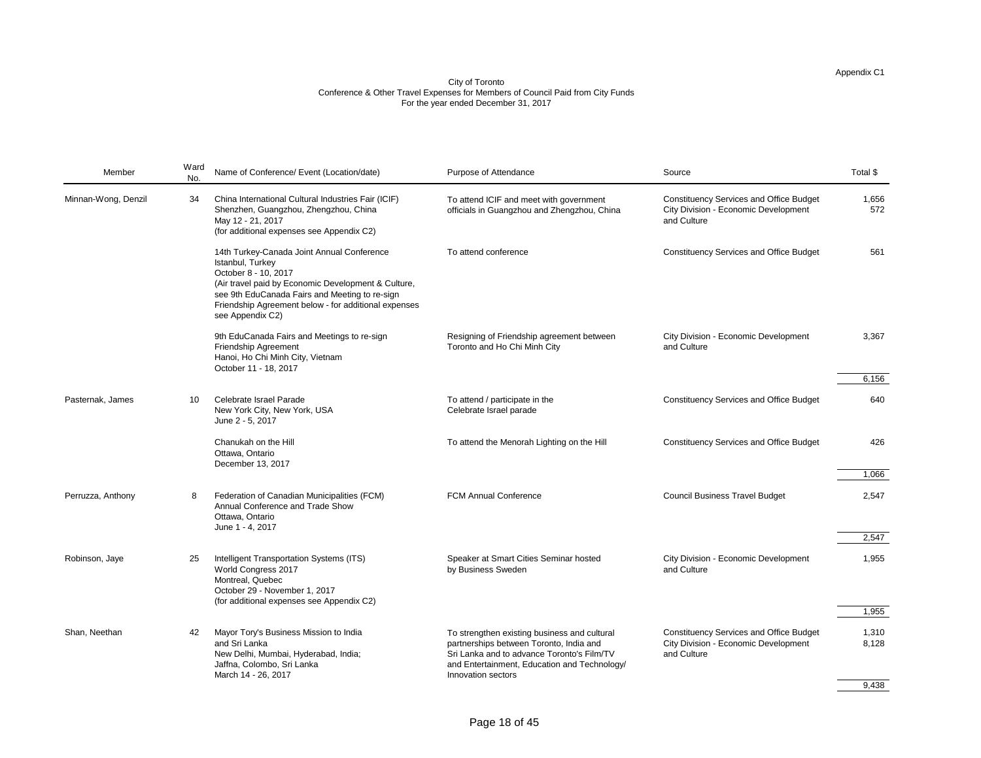| Member              | Ward<br>No. | Name of Conference/ Event (Location/date)                                                                                                                                                                                                                                   | <b>Purpose of Attendance</b>                                                                                                                                                          | Source                                                                                                       | Total \$       |
|---------------------|-------------|-----------------------------------------------------------------------------------------------------------------------------------------------------------------------------------------------------------------------------------------------------------------------------|---------------------------------------------------------------------------------------------------------------------------------------------------------------------------------------|--------------------------------------------------------------------------------------------------------------|----------------|
| Minnan-Wong, Denzil | 34          | China International Cultural Industries Fair (ICIF)<br>Shenzhen, Guangzhou, Zhengzhou, China<br>May 12 - 21, 2017<br>(for additional expenses see Appendix C2)                                                                                                              | To attend ICIF and meet with government<br>officials in Guangzhou and Zhengzhou, China                                                                                                | <b>Constituency Services and Office Budget</b><br><b>City Division - Economic Development</b><br>and Culture | 1,656<br>572   |
|                     |             | 14th Turkey-Canada Joint Annual Conference<br>Istanbul, Turkey<br>October 8 - 10, 2017<br>(Air travel paid by Economic Development & Culture,<br>see 9th EduCanada Fairs and Meeting to re-sign<br>Friendship Agreement below - for additional expenses<br>see Appendix C2) | To attend conference                                                                                                                                                                  | <b>Constituency Services and Office Budget</b>                                                               | 561            |
|                     |             | 9th EduCanada Fairs and Meetings to re-sign<br><b>Friendship Agreement</b><br>Hanoi, Ho Chi Minh City, Vietnam<br>October 11 - 18, 2017                                                                                                                                     | Resigning of Friendship agreement between<br>Toronto and Ho Chi Minh City                                                                                                             | <b>City Division - Economic Development</b><br>and Culture                                                   | 3,367          |
|                     |             |                                                                                                                                                                                                                                                                             |                                                                                                                                                                                       |                                                                                                              | 6,156          |
| Pasternak, James    | 10          | <b>Celebrate Israel Parade</b><br>New York City, New York, USA<br>June 2 - 5, 2017                                                                                                                                                                                          | To attend / participate in the<br>Celebrate Israel parade                                                                                                                             | <b>Constituency Services and Office Budget</b>                                                               | 640            |
|                     |             | Chanukah on the Hill<br>Ottawa, Ontario<br>December 13, 2017                                                                                                                                                                                                                | To attend the Menorah Lighting on the Hill                                                                                                                                            | <b>Constituency Services and Office Budget</b>                                                               | 426            |
|                     |             |                                                                                                                                                                                                                                                                             |                                                                                                                                                                                       |                                                                                                              | 1,066          |
| Perruzza, Anthony   | 8           | Federation of Canadian Municipalities (FCM)<br>Annual Conference and Trade Show<br>Ottawa, Ontario<br>June 1 - 4, 2017                                                                                                                                                      | <b>FCM Annual Conference</b>                                                                                                                                                          | <b>Council Business Travel Budget</b>                                                                        | 2,547          |
|                     |             |                                                                                                                                                                                                                                                                             |                                                                                                                                                                                       |                                                                                                              | 2,547          |
| Robinson, Jaye      | 25          | Intelligent Transportation Systems (ITS)<br>World Congress 2017<br>Montreal, Quebec<br>October 29 - November 1, 2017<br>(for additional expenses see Appendix C2)                                                                                                           | Speaker at Smart Cities Seminar hosted<br>by Business Sweden                                                                                                                          | <b>City Division - Economic Development</b><br>and Culture                                                   | 1,955          |
|                     |             |                                                                                                                                                                                                                                                                             |                                                                                                                                                                                       |                                                                                                              | 1,955          |
| Shan, Neethan       | 42          | Mayor Tory's Business Mission to India<br>and Sri Lanka<br>New Delhi, Mumbai, Hyderabad, India;<br>Jaffna, Colombo, Sri Lanka                                                                                                                                               | To strengthen existing business and cultural<br>partnerships between Toronto, India and<br>Sri Lanka and to advance Toronto's Film/TV<br>and Entertainment, Education and Technology/ | <b>Constituency Services and Office Budget</b><br><b>City Division - Economic Development</b><br>and Culture | 1,310<br>8,128 |
|                     |             | March 14 - 26, 2017                                                                                                                                                                                                                                                         | Innovation sectors                                                                                                                                                                    |                                                                                                              | $Q$ 438        |

| Source                                                                                                       | Total \$       |
|--------------------------------------------------------------------------------------------------------------|----------------|
| <b>Constituency Services and Office Budget</b><br><b>City Division - Economic Development</b><br>and Culture | 1,656<br>572   |
| <b>Constituency Services and Office Budget</b>                                                               | 561            |
| <b>City Division - Economic Development</b><br>and Culture                                                   | 3,367          |
|                                                                                                              | 6,156          |
| <b>Constituency Services and Office Budget</b>                                                               | 640            |
| <b>Constituency Services and Office Budget</b>                                                               | 426            |
|                                                                                                              | 1,066          |
| <b>Council Business Travel Budget</b>                                                                        | 2,547          |
|                                                                                                              |                |
|                                                                                                              | 2,547          |
| <b>City Division - Economic Development</b><br>and Culture                                                   | 1,955          |
|                                                                                                              |                |
|                                                                                                              | 1,955          |
| <b>Constituency Services and Office Budget</b><br><b>City Division - Economic Development</b><br>and Culture | 1,310<br>8,128 |
|                                                                                                              |                |
|                                                                                                              | 9,438          |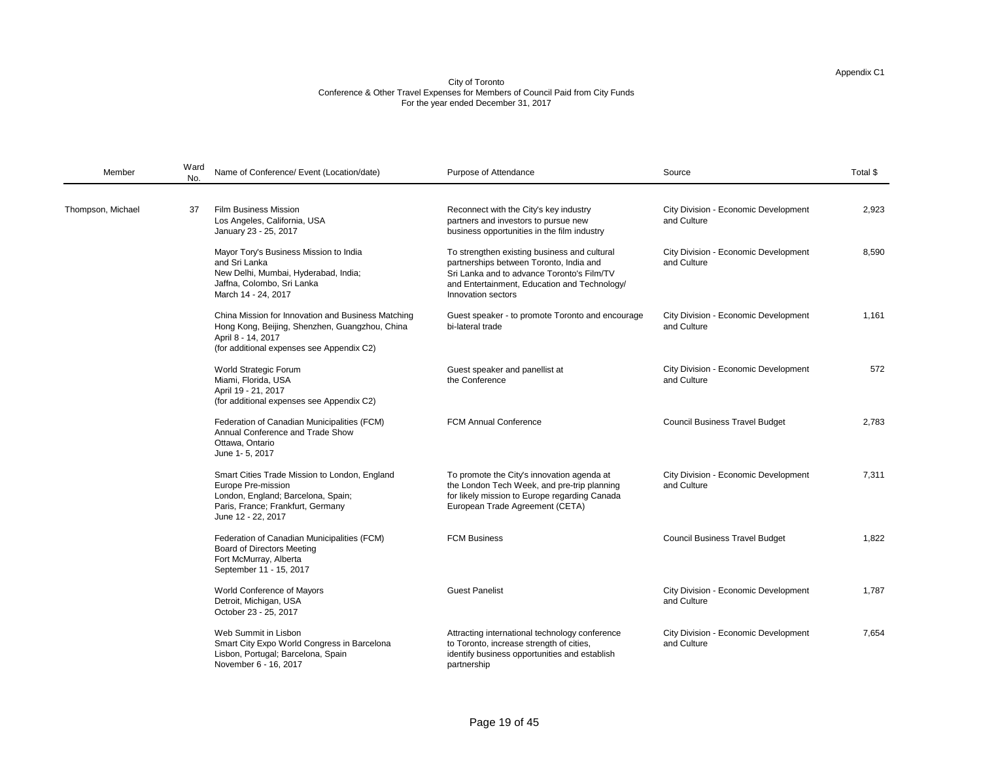| Source                                                     | Total \$ |
|------------------------------------------------------------|----------|
| <b>City Division - Economic Development</b><br>and Culture | 2,923    |
| <b>City Division - Economic Development</b><br>and Culture | 8,590    |
| <b>City Division - Economic Development</b><br>and Culture | 1,161    |
| <b>City Division - Economic Development</b><br>and Culture | 572      |
| <b>Council Business Travel Budget</b>                      | 2,783    |
| <b>City Division - Economic Development</b><br>and Culture | 7,311    |
| <b>Council Business Travel Budget</b>                      | 1,822    |
| <b>City Division - Economic Development</b><br>and Culture | 1,787    |
| <b>City Division - Economic Development</b><br>and Culture | 7,654    |

| Member            | Ward<br>No. | Name of Conference/ Event (Location/date)                                                                                                                               | Purpose of Attendance                                                                                                                                                                                       | Source                                                     | Total \$ |
|-------------------|-------------|-------------------------------------------------------------------------------------------------------------------------------------------------------------------------|-------------------------------------------------------------------------------------------------------------------------------------------------------------------------------------------------------------|------------------------------------------------------------|----------|
| Thompson, Michael | 37          | <b>Film Business Mission</b><br>Los Angeles, California, USA<br>January 23 - 25, 2017                                                                                   | Reconnect with the City's key industry<br>partners and investors to pursue new<br>business opportunities in the film industry                                                                               | <b>City Division - Economic Development</b><br>and Culture | 2,923    |
|                   |             | Mayor Tory's Business Mission to India<br>and Sri Lanka<br>New Delhi, Mumbai, Hyderabad, India;<br>Jaffna, Colombo, Sri Lanka<br>March 14 - 24, 2017                    | To strengthen existing business and cultural<br>partnerships between Toronto, India and<br>Sri Lanka and to advance Toronto's Film/TV<br>and Entertainment, Education and Technology/<br>Innovation sectors | <b>City Division - Economic Development</b><br>and Culture | 8,590    |
|                   |             | China Mission for Innovation and Business Matching<br>Hong Kong, Beijing, Shenzhen, Guangzhou, China<br>April 8 - 14, 2017<br>(for additional expenses see Appendix C2) | Guest speaker - to promote Toronto and encourage<br>bi-lateral trade                                                                                                                                        | <b>City Division - Economic Development</b><br>and Culture | 1,161    |
|                   |             | <b>World Strategic Forum</b><br>Miami, Florida, USA<br>April 19 - 21, 2017<br>(for additional expenses see Appendix C2)                                                 | Guest speaker and panellist at<br>the Conference                                                                                                                                                            | <b>City Division - Economic Development</b><br>and Culture | 572      |
|                   |             | Federation of Canadian Municipalities (FCM)<br>Annual Conference and Trade Show<br>Ottawa, Ontario<br>June 1-5, 2017                                                    | <b>FCM Annual Conference</b>                                                                                                                                                                                | <b>Council Business Travel Budget</b>                      | 2,783    |
|                   |             | Smart Cities Trade Mission to London, England<br>Europe Pre-mission<br>London, England; Barcelona, Spain;<br>Paris, France; Frankfurt, Germany<br>June 12 - 22, 2017    | To promote the City's innovation agenda at<br>the London Tech Week, and pre-trip planning<br>for likely mission to Europe regarding Canada<br>European Trade Agreement (CETA)                               | <b>City Division - Economic Development</b><br>and Culture | 7,311    |
|                   |             | Federation of Canadian Municipalities (FCM)<br><b>Board of Directors Meeting</b><br>Fort McMurray, Alberta<br>September 11 - 15, 2017                                   | <b>FCM Business</b>                                                                                                                                                                                         | <b>Council Business Travel Budget</b>                      | 1,822    |
|                   |             | <b>World Conference of Mayors</b><br>Detroit, Michigan, USA<br>October 23 - 25, 2017                                                                                    | <b>Guest Panelist</b>                                                                                                                                                                                       | <b>City Division - Economic Development</b><br>and Culture | 1,787    |
|                   |             | Web Summit in Lisbon<br>Smart City Expo World Congress in Barcelona<br>Lisbon, Portugal; Barcelona, Spain<br>November 6 - 16, 2017                                      | Attracting international technology conference<br>to Toronto, increase strength of cities,<br>identify business opportunities and establish<br>partnership                                                  | <b>City Division - Economic Development</b><br>and Culture | 7,654    |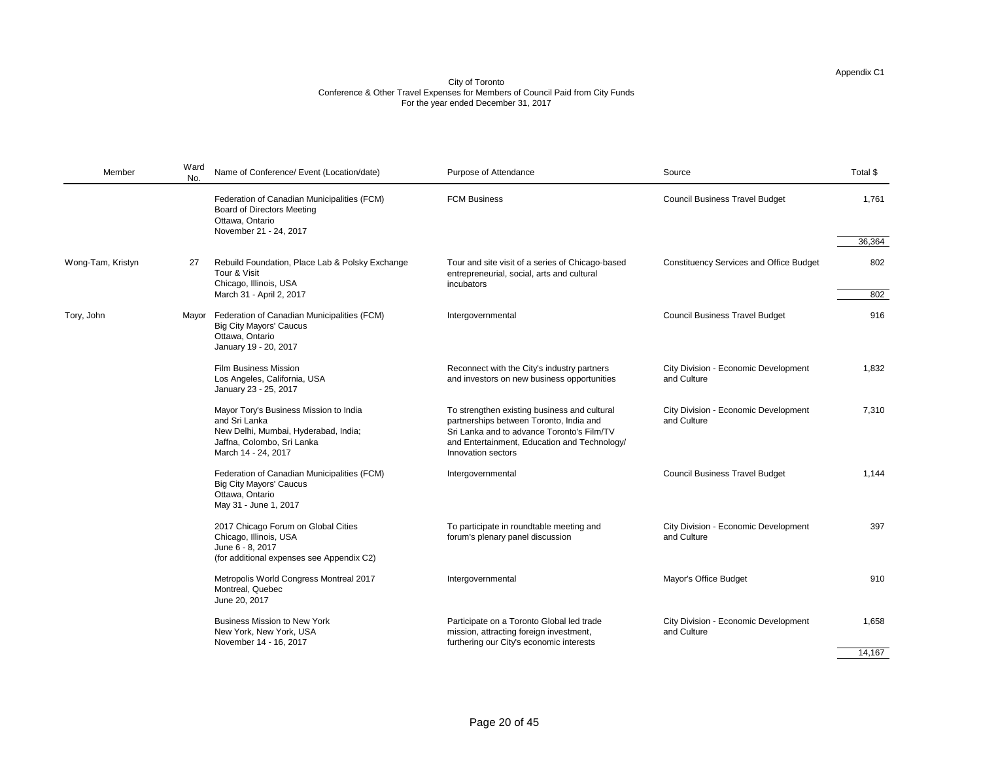| Member            | Ward<br>No. | Name of Conference/ Event (Location/date)                                                                                                            | Purpose of Attendance                                                                                                                                                                                       | Source                                                     | Total \$        |
|-------------------|-------------|------------------------------------------------------------------------------------------------------------------------------------------------------|-------------------------------------------------------------------------------------------------------------------------------------------------------------------------------------------------------------|------------------------------------------------------------|-----------------|
|                   |             | Federation of Canadian Municipalities (FCM)<br><b>Board of Directors Meeting</b><br>Ottawa, Ontario<br>November 21 - 24, 2017                        | <b>FCM Business</b>                                                                                                                                                                                         | <b>Council Business Travel Budget</b>                      | 1,761<br>36,364 |
| Wong-Tam, Kristyn | 27          | Rebuild Foundation, Place Lab & Polsky Exchange<br>Tour & Visit<br>Chicago, Illinois, USA<br>March 31 - April 2, 2017                                | Tour and site visit of a series of Chicago-based<br>entrepreneurial, social, arts and cultural<br>incubators                                                                                                | <b>Constituency Services and Office Budget</b>             | 802<br>802      |
| Tory, John        | Mayor       | Federation of Canadian Municipalities (FCM)<br><b>Big City Mayors' Caucus</b><br>Ottawa, Ontario<br>January 19 - 20, 2017                            | Intergovernmental                                                                                                                                                                                           | <b>Council Business Travel Budget</b>                      | 916             |
|                   |             | <b>Film Business Mission</b><br>Los Angeles, California, USA<br>January 23 - 25, 2017                                                                | Reconnect with the City's industry partners<br>and investors on new business opportunities                                                                                                                  | <b>City Division - Economic Development</b><br>and Culture | 1,832           |
|                   |             | Mayor Tory's Business Mission to India<br>and Sri Lanka<br>New Delhi, Mumbai, Hyderabad, India;<br>Jaffna, Colombo, Sri Lanka<br>March 14 - 24, 2017 | To strengthen existing business and cultural<br>partnerships between Toronto, India and<br>Sri Lanka and to advance Toronto's Film/TV<br>and Entertainment, Education and Technology/<br>Innovation sectors | <b>City Division - Economic Development</b><br>and Culture | 7,310           |
|                   |             | Federation of Canadian Municipalities (FCM)<br><b>Big City Mayors' Caucus</b><br>Ottawa, Ontario<br>May 31 - June 1, 2017                            | Intergovernmental                                                                                                                                                                                           | <b>Council Business Travel Budget</b>                      | 1,144           |
|                   |             | 2017 Chicago Forum on Global Cities<br>Chicago, Illinois, USA<br>June 6 - 8, 2017<br>(for additional expenses see Appendix C2)                       | To participate in roundtable meeting and<br>forum's plenary panel discussion                                                                                                                                | <b>City Division - Economic Development</b><br>and Culture | 397             |
|                   |             | Metropolis World Congress Montreal 2017<br>Montreal, Quebec<br>June 20, 2017                                                                         | Intergovernmental                                                                                                                                                                                           | <b>Mayor's Office Budget</b>                               | 910             |
|                   |             | <b>Business Mission to New York</b><br>New York, New York, USA<br>November 14 - 16, 2017                                                             | Participate on a Toronto Global led trade<br>mission, attracting foreign investment,<br>furthering our City's economic interests                                                                            | <b>City Division - Economic Development</b><br>and Culture | 1,658           |
|                   |             |                                                                                                                                                      |                                                                                                                                                                                                             |                                                            | 14,167          |

| Source                                                     | Total \$ |
|------------------------------------------------------------|----------|
| <b>Council Business Travel Budget</b>                      | 1,761    |
|                                                            | 36,364   |
| <b>Constituency Services and Office Budget</b>             | 802      |
|                                                            | 802      |
| <b>Council Business Travel Budget</b>                      | 916      |
| <b>City Division - Economic Development</b><br>and Culture | 1,832    |
| <b>City Division - Economic Development</b><br>and Culture | 7,310    |
| <b>Council Business Travel Budget</b>                      | 1,144    |
| <b>City Division - Economic Development</b><br>and Culture | 397      |
| Mayor's Office Budget                                      | 910      |
| <b>City Division - Economic Development</b><br>and Culture | 1,658    |
|                                                            | 14,167   |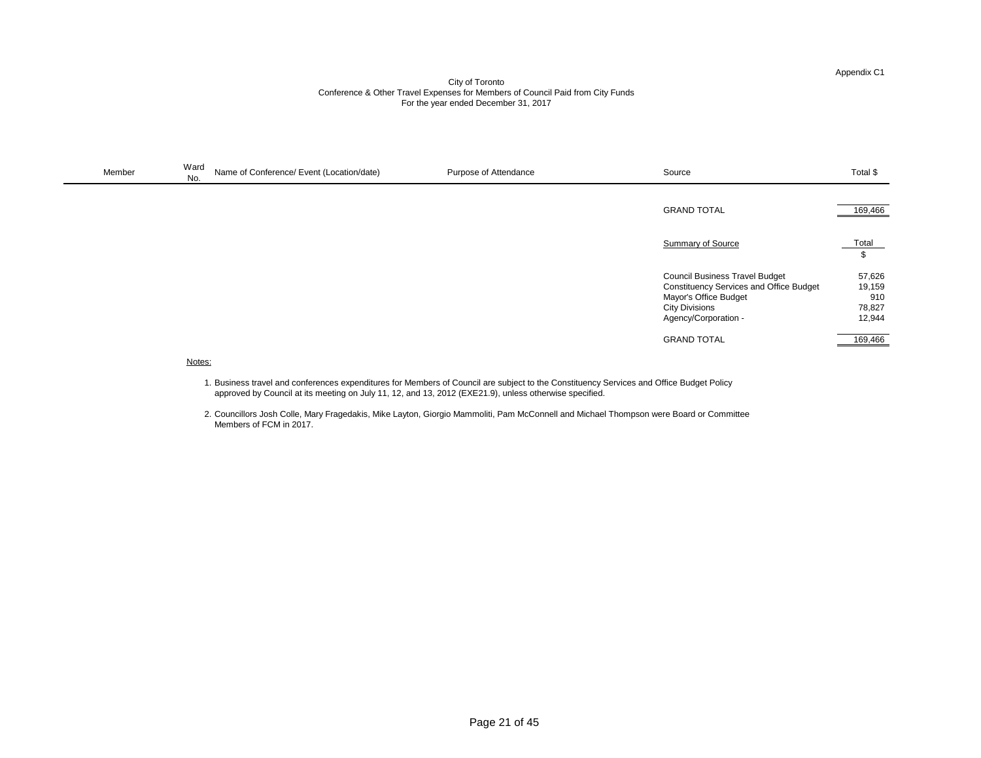| Membe | Ward<br>Name of Conference/ Event (Location/date)<br>No.<br>$\mathbf{r}$ and $\mathbf{r}$ and $\mathbf{r}$ and $\mathbf{r}$ and $\mathbf{r}$ and $\mathbf{r}$ and $\mathbf{r}$ and $\mathbf{r}$ and $\mathbf{r}$ and $\mathbf{r}$ and $\mathbf{r}$ and $\mathbf{r}$ and $\mathbf{r}$ and $\mathbf{r}$ and $\mathbf{r}$ and $\mathbf{r}$ and $\mathbf{r}$ and | Purpose of Attendance | Source | i otal \$ |
|-------|--------------------------------------------------------------------------------------------------------------------------------------------------------------------------------------------------------------------------------------------------------------------------------------------------------------------------------------------------------------|-----------------------|--------|-----------|
|-------|--------------------------------------------------------------------------------------------------------------------------------------------------------------------------------------------------------------------------------------------------------------------------------------------------------------------------------------------------------------|-----------------------|--------|-----------|

Notes:

| Source                                         | Total \$ |
|------------------------------------------------|----------|
|                                                |          |
| <b>GRAND TOTAL</b>                             | 169,466  |
|                                                |          |
| <b>Summary of Source</b>                       | Total    |
|                                                | \$       |
| <b>Council Business Travel Budget</b>          | 57,626   |
| <b>Constituency Services and Office Budget</b> | 19,159   |
| Mayor's Office Budget                          | 910      |
| <b>City Divisions</b>                          | 78,827   |
| Agency/Corporation -                           | 12,944   |
|                                                |          |
| <b>GRAND TOTAL</b>                             | 169,466  |

- 1. Business travel and conferences expenditures for Members of Council are subject to the Constituency Services and Office Budget Policy approved by Council at its meeting on July 11, 12, and 13, 2012 (EXE21.9), unless otherwise specified.
- 2. Councillors Josh Colle, Mary Fragedakis, Mike Layton, Giorgio Mammoliti, Pam McConnell and Michael Thompson were Board or Committee Members of FCM in 2017.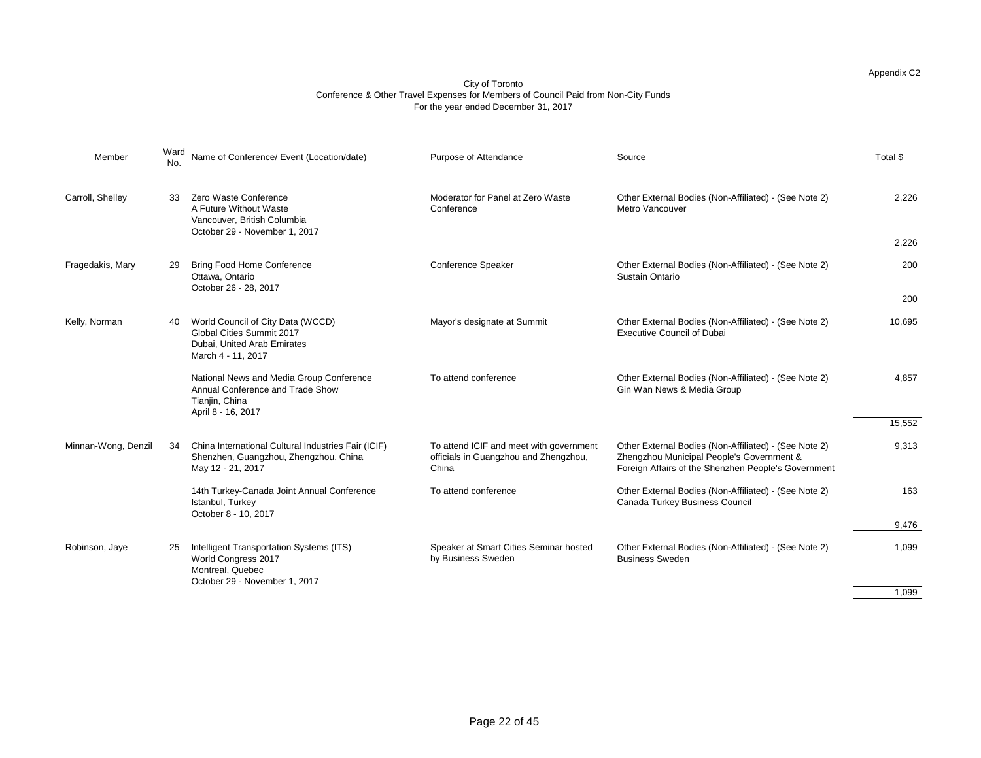| Member              | Ward<br>No. | Name of Conference/ Event (Location/date)                                                                                  | Purpose of Attendance                                                                     | Source                                                                                                                                                    | Total \$ |
|---------------------|-------------|----------------------------------------------------------------------------------------------------------------------------|-------------------------------------------------------------------------------------------|-----------------------------------------------------------------------------------------------------------------------------------------------------------|----------|
| Carroll, Shelley    | 33          | Zero Waste Conference<br>A Future Without Waste<br>Vancouver, British Columbia<br>October 29 - November 1, 2017            | Moderator for Panel at Zero Waste<br>Conference                                           | Other External Bodies (Non-Affiliated) - (See Note 2)<br><b>Metro Vancouver</b>                                                                           | 2,226    |
|                     |             |                                                                                                                            |                                                                                           |                                                                                                                                                           | 2,226    |
| Fragedakis, Mary    | 29          | <b>Bring Food Home Conference</b><br>Ottawa, Ontario<br>October 26 - 28, 2017                                              | <b>Conference Speaker</b>                                                                 | Other External Bodies (Non-Affiliated) - (See Note 2)<br><b>Sustain Ontario</b>                                                                           | 200      |
|                     |             |                                                                                                                            |                                                                                           |                                                                                                                                                           | 200      |
| Kelly, Norman       | 40          | World Council of City Data (WCCD)<br><b>Global Cities Summit 2017</b><br>Dubai, United Arab Emirates<br>March 4 - 11, 2017 | Mayor's designate at Summit                                                               | Other External Bodies (Non-Affiliated) - (See Note 2)<br><b>Executive Council of Dubai</b>                                                                | 10,695   |
|                     |             | National News and Media Group Conference<br>Annual Conference and Trade Show<br>Tianjin, China<br>April 8 - 16, 2017       | To attend conference                                                                      | Other External Bodies (Non-Affiliated) - (See Note 2)<br>Gin Wan News & Media Group                                                                       | 4,857    |
|                     |             |                                                                                                                            |                                                                                           |                                                                                                                                                           | 15,552   |
| Minnan-Wong, Denzil | -34         | China International Cultural Industries Fair (ICIF)<br>Shenzhen, Guangzhou, Zhengzhou, China<br>May 12 - 21, 2017          | To attend ICIF and meet with government<br>officials in Guangzhou and Zhengzhou,<br>China | Other External Bodies (Non-Affiliated) - (See Note 2)<br>Zhengzhou Municipal People's Government &<br>Foreign Affairs of the Shenzhen People's Government | 9,313    |
|                     |             | 14th Turkey-Canada Joint Annual Conference<br>Istanbul, Turkey<br>October 8 - 10, 2017                                     | To attend conference                                                                      | Other External Bodies (Non-Affiliated) - (See Note 2)<br><b>Canada Turkey Business Council</b>                                                            | 163      |
|                     |             |                                                                                                                            |                                                                                           |                                                                                                                                                           | 9,476    |
| Robinson, Jaye      | 25          | Intelligent Transportation Systems (ITS)<br>World Congress 2017<br>Montreal, Quebec<br>October 29 - November 1, 2017       | Speaker at Smart Cities Seminar hosted<br>by Business Sweden                              | Other External Bodies (Non-Affiliated) - (See Note 2)<br><b>Business Sweden</b>                                                                           | 1,099    |
|                     |             |                                                                                                                            |                                                                                           |                                                                                                                                                           | 1,099    |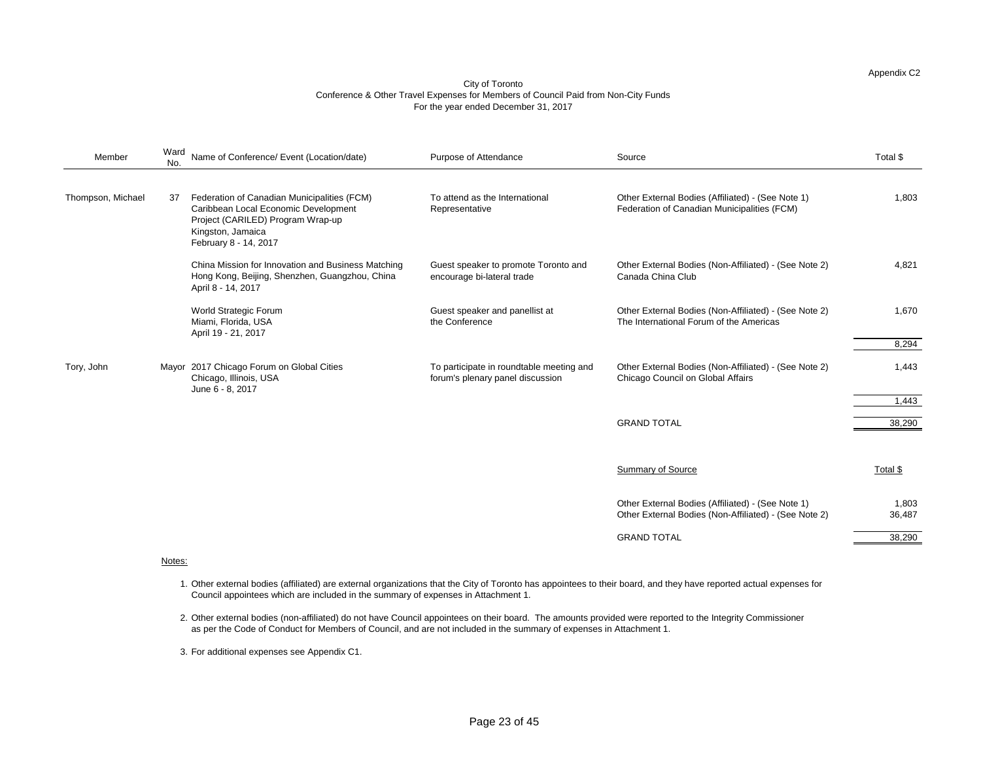| Member                                                                                                                                                                                                                                                                                                                                                                                                                                                                                                                                                                                                                                                                                                                                                                                                                                                                                              | No.                                                                                              | Name of Conference/ Event (Location/date) | Purpose of Attendance | Source                                                                                                     | Total \$        |
|-----------------------------------------------------------------------------------------------------------------------------------------------------------------------------------------------------------------------------------------------------------------------------------------------------------------------------------------------------------------------------------------------------------------------------------------------------------------------------------------------------------------------------------------------------------------------------------------------------------------------------------------------------------------------------------------------------------------------------------------------------------------------------------------------------------------------------------------------------------------------------------------------------|--------------------------------------------------------------------------------------------------|-------------------------------------------|-----------------------|------------------------------------------------------------------------------------------------------------|-----------------|
| Ward<br>Thompson, Michael<br>Federation of Canadian Municipalities (FCM)<br>To attend as the International<br>37<br>Caribbean Local Economic Development<br>Representative<br>Project (CARILED) Program Wrap-up<br>Kingston, Jamaica<br>February 8 - 14, 2017<br>China Mission for Innovation and Business Matching<br>Guest speaker to promote Toronto and<br>Hong Kong, Beijing, Shenzhen, Guangzhou, China<br>Canada China Club<br>encourage bi-lateral trade<br>April 8 - 14, 2017<br><b>World Strategic Forum</b><br>Guest speaker and panellist at<br>the Conference<br>Miami, Florida, USA<br>April 19 - 21, 2017<br>Mayor 2017 Chicago Forum on Global Cities<br>To participate in roundtable meeting and<br>Tory, John<br>Chicago, Illinois, USA<br>forum's plenary panel discussion<br>June 6 - 8, 2017<br><b>GRAND TOTAL</b><br><b>Summary of Source</b><br><b>GRAND TOTAL</b><br>Notes: | Other External Bodies (Affiliated) - (See Note 1)<br>Federation of Canadian Municipalities (FCM) | 1,803                                     |                       |                                                                                                            |                 |
|                                                                                                                                                                                                                                                                                                                                                                                                                                                                                                                                                                                                                                                                                                                                                                                                                                                                                                     |                                                                                                  |                                           |                       | Other External Bodies (Non-Affiliated) - (See Note 2)                                                      | 4,821           |
|                                                                                                                                                                                                                                                                                                                                                                                                                                                                                                                                                                                                                                                                                                                                                                                                                                                                                                     |                                                                                                  |                                           |                       | Other External Bodies (Non-Affiliated) - (See Note 2)<br>The International Forum of the Americas           | 1,670           |
|                                                                                                                                                                                                                                                                                                                                                                                                                                                                                                                                                                                                                                                                                                                                                                                                                                                                                                     |                                                                                                  |                                           |                       |                                                                                                            | 8,294           |
|                                                                                                                                                                                                                                                                                                                                                                                                                                                                                                                                                                                                                                                                                                                                                                                                                                                                                                     |                                                                                                  |                                           |                       | Other External Bodies (Non-Affiliated) - (See Note 2)<br>Chicago Council on Global Affairs                 | 1,443           |
|                                                                                                                                                                                                                                                                                                                                                                                                                                                                                                                                                                                                                                                                                                                                                                                                                                                                                                     |                                                                                                  |                                           |                       |                                                                                                            | 1,443           |
|                                                                                                                                                                                                                                                                                                                                                                                                                                                                                                                                                                                                                                                                                                                                                                                                                                                                                                     |                                                                                                  |                                           |                       |                                                                                                            | 38,290          |
|                                                                                                                                                                                                                                                                                                                                                                                                                                                                                                                                                                                                                                                                                                                                                                                                                                                                                                     |                                                                                                  |                                           |                       |                                                                                                            | Total \$        |
|                                                                                                                                                                                                                                                                                                                                                                                                                                                                                                                                                                                                                                                                                                                                                                                                                                                                                                     |                                                                                                  |                                           |                       | Other External Bodies (Affiliated) - (See Note 1)<br>Other External Bodies (Non-Affiliated) - (See Note 2) | 1,803<br>36,487 |
|                                                                                                                                                                                                                                                                                                                                                                                                                                                                                                                                                                                                                                                                                                                                                                                                                                                                                                     |                                                                                                  |                                           |                       |                                                                                                            | 38,290          |
|                                                                                                                                                                                                                                                                                                                                                                                                                                                                                                                                                                                                                                                                                                                                                                                                                                                                                                     |                                                                                                  |                                           |                       |                                                                                                            |                 |

- 1. Other external bodies (affiliated) are external organizations that the City of Toronto has appointees to their board, and they have reported actual expenses for Council appointees which are included in the summary of expenses in Attachment 1.
- 2. Other external bodies (non-affiliated) do not have Council appointees on their board. The amounts provided were reported to the Integrity Commissioner as per the Code of Conduct for Members of Council, and are not included in the summary of expenses in Attachment 1.
- 3. For additional expenses see Appendix C1.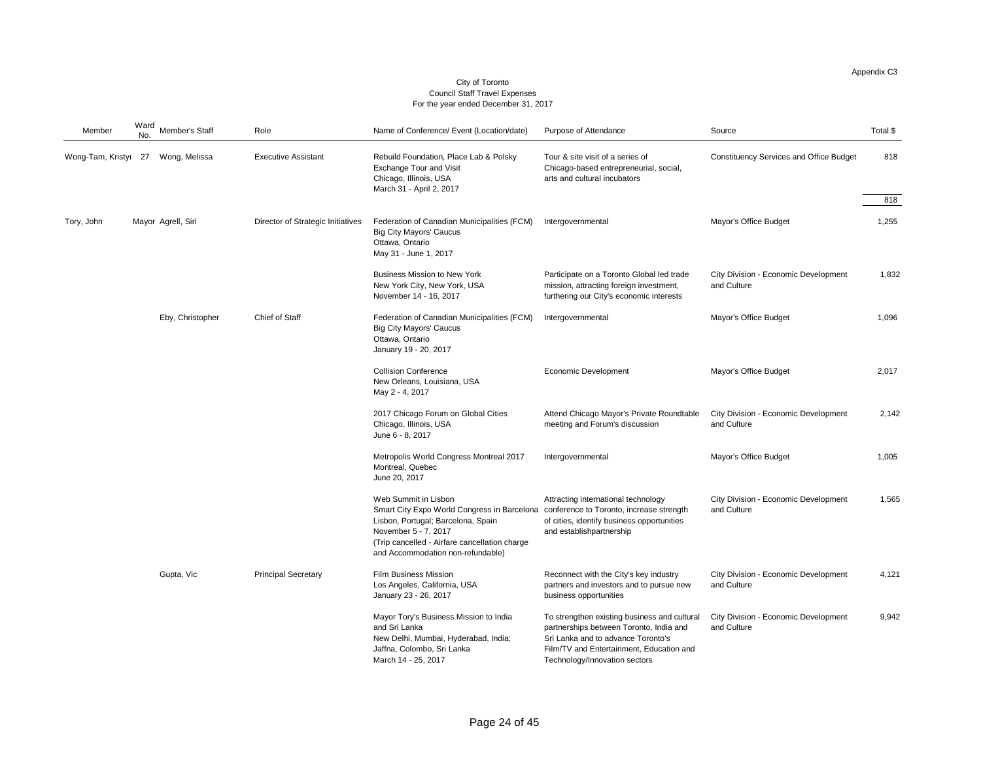$\frac{1}{318}$ 

| Member            | No. | Ward Member's Staff | Role                              | Name of Conference/ Event (Location/date)                                                                                                                                                                                                                                | <b>Purpose of Attendance</b>                                                                                                                                                                               | Source                                                     | Total \$ |
|-------------------|-----|---------------------|-----------------------------------|--------------------------------------------------------------------------------------------------------------------------------------------------------------------------------------------------------------------------------------------------------------------------|------------------------------------------------------------------------------------------------------------------------------------------------------------------------------------------------------------|------------------------------------------------------------|----------|
| Wong-Tam, Kristyr | 27  | Wong, Melissa       | <b>Executive Assistant</b>        | Rebuild Foundation, Place Lab & Polsky<br><b>Exchange Tour and Visit</b><br>Chicago, Illinois, USA<br>March 31 - April 2, 2017                                                                                                                                           | Tour & site visit of a series of<br>Chicago-based entrepreneurial, social,<br>arts and cultural incubators                                                                                                 | <b>Constituency Services and Office Budget</b>             | 818      |
|                   |     |                     |                                   |                                                                                                                                                                                                                                                                          |                                                                                                                                                                                                            |                                                            | 818      |
| Tory, John        |     | Mayor Agrell, Siri  | Director of Strategic Initiatives | Federation of Canadian Municipalities (FCM)<br><b>Big City Mayors' Caucus</b><br>Ottawa, Ontario<br>May 31 - June 1, 2017                                                                                                                                                | Intergovernmental                                                                                                                                                                                          | <b>Mayor's Office Budget</b>                               | 1,255    |
|                   |     |                     |                                   | <b>Business Mission to New York</b><br>New York City, New York, USA<br>November 14 - 16, 2017                                                                                                                                                                            | Participate on a Toronto Global led trade<br>mission, attracting foreign investment,<br>furthering our City's economic interests                                                                           | <b>City Division - Economic Development</b><br>and Culture | 1,832    |
|                   |     | Eby, Christopher    | <b>Chief of Staff</b>             | Federation of Canadian Municipalities (FCM)<br><b>Big City Mayors' Caucus</b><br>Ottawa, Ontario<br>January 19 - 20, 2017                                                                                                                                                | Intergovernmental                                                                                                                                                                                          | <b>Mayor's Office Budget</b>                               | 1,096    |
|                   |     |                     |                                   | <b>Collision Conference</b><br>New Orleans, Louisiana, USA<br>May 2 - 4, 2017                                                                                                                                                                                            | <b>Economic Development</b>                                                                                                                                                                                | <b>Mayor's Office Budget</b>                               | 2,017    |
|                   |     |                     |                                   | 2017 Chicago Forum on Global Cities<br>Chicago, Illinois, USA<br>June 6 - 8, 2017                                                                                                                                                                                        | Attend Chicago Mayor's Private Roundtable<br>meeting and Forum's discussion                                                                                                                                | <b>City Division - Economic Development</b><br>and Culture | 2,142    |
|                   |     |                     |                                   | <b>Metropolis World Congress Montreal 2017</b><br>Montreal, Quebec<br>June 20, 2017                                                                                                                                                                                      | Intergovernmental                                                                                                                                                                                          | <b>Mayor's Office Budget</b>                               | 1,005    |
|                   |     |                     |                                   | <b>Web Summit in Lisbon</b><br>Smart City Expo World Congress in Barcelona conference to Toronto, increase strength<br>Lisbon, Portugal; Barcelona, Spain<br>November 5 - 7, 2017<br>(Trip cancelled - Airfare cancellation charge)<br>and Accommodation non-refundable) | Attracting international technology<br>of cities, identify business opportunities<br>and establishpartnership                                                                                              | <b>City Division - Economic Development</b><br>and Culture | 1,565    |
|                   |     | Gupta, Vic          | <b>Principal Secretary</b>        | <b>Film Business Mission</b><br>Los Angeles, California, USA<br>January 23 - 26, 2017                                                                                                                                                                                    | Reconnect with the City's key industry<br>partners and investors and to pursue new<br>business opportunities                                                                                               | <b>City Division - Economic Development</b><br>and Culture | 4,121    |
|                   |     |                     |                                   | Mayor Tory's Business Mission to India<br>and Sri Lanka<br>New Delhi, Mumbai, Hyderabad, India;<br>Jaffna, Colombo, Sri Lanka<br>March 14 - 25, 2017                                                                                                                     | To strengthen existing business and cultural<br>partnerships between Toronto, India and<br>Sri Lanka and to advance Toronto's<br>Film/TV and Entertainment, Education and<br>Technology/Innovation sectors | <b>City Division - Economic Development</b><br>and Culture | 9,942    |

City of Toronto Council Staff Travel Expenses For the year ended December 31, 2017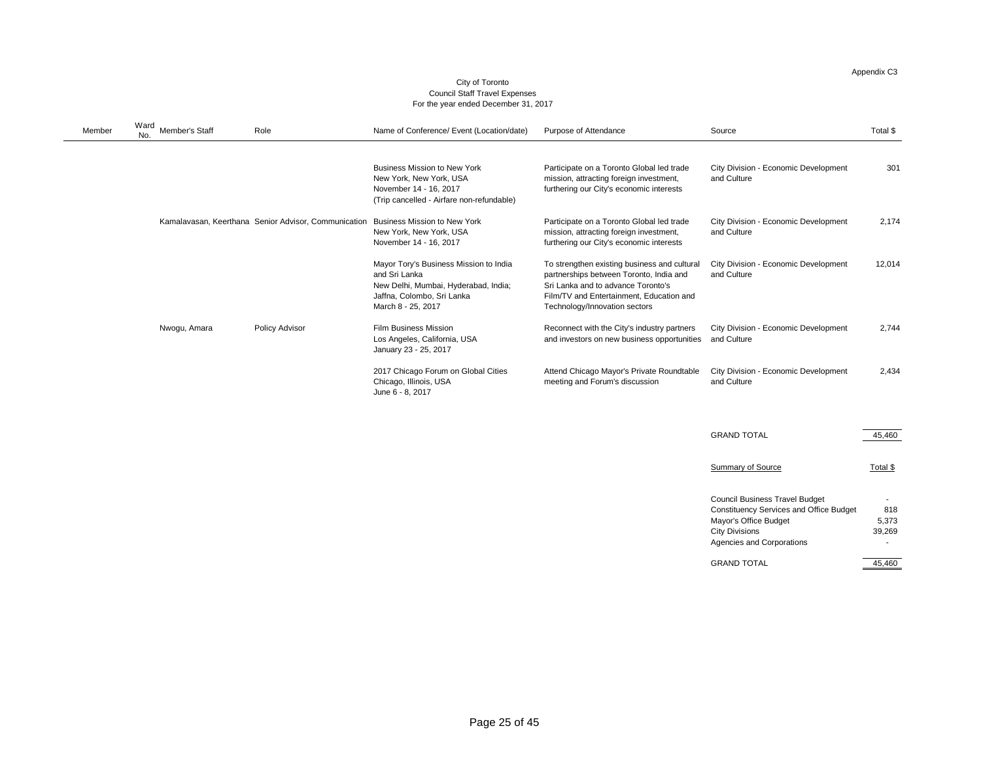### City of Toronto Council Staff Travel Expenses For the year ended December 31, 2017

| Cour                 |  |
|----------------------|--|
| For the y $\epsilon$ |  |

| <b>Member</b> | Ward<br><b>Member's Staff</b><br>No. | Role                                                 | Name of Conference/ Event (Location/date)                                                                                                           | <b>Purpose of Attendance</b>                                                                                                                                                                               | Source                                                                                                                                                                               | Total \$               |
|---------------|--------------------------------------|------------------------------------------------------|-----------------------------------------------------------------------------------------------------------------------------------------------------|------------------------------------------------------------------------------------------------------------------------------------------------------------------------------------------------------------|--------------------------------------------------------------------------------------------------------------------------------------------------------------------------------------|------------------------|
|               |                                      |                                                      | <b>Business Mission to New York</b><br>New York, New York, USA<br>November 14 - 16, 2017<br>(Trip cancelled - Airfare non-refundable)               | Participate on a Toronto Global led trade<br>mission, attracting foreign investment,<br>furthering our City's economic interests                                                                           | <b>City Division - Economic Development</b><br>and Culture                                                                                                                           | 301                    |
|               |                                      | Kamalavasan, Keerthana Senior Advisor, Communication | <b>Business Mission to New York</b><br>New York, New York, USA<br>November 14 - 16, 2017                                                            | Participate on a Toronto Global led trade<br>mission, attracting foreign investment,<br>furthering our City's economic interests                                                                           | <b>City Division - Economic Development</b><br>and Culture                                                                                                                           | 2,174                  |
|               |                                      |                                                      | Mayor Tory's Business Mission to India<br>and Sri Lanka<br>New Delhi, Mumbai, Hyderabad, India;<br>Jaffna, Colombo, Sri Lanka<br>March 8 - 25, 2017 | To strengthen existing business and cultural<br>partnerships between Toronto, India and<br>Sri Lanka and to advance Toronto's<br>Film/TV and Entertainment, Education and<br>Technology/Innovation sectors | <b>City Division - Economic Development</b><br>and Culture                                                                                                                           | 12,014                 |
|               | Nwogu, Amara                         | <b>Policy Advisor</b>                                | <b>Film Business Mission</b><br>Los Angeles, California, USA<br>January 23 - 25, 2017                                                               | Reconnect with the City's industry partners<br>and investors on new business opportunities and Culture                                                                                                     | <b>City Division - Economic Development</b>                                                                                                                                          | 2,744                  |
|               |                                      |                                                      | 2017 Chicago Forum on Global Cities<br>Chicago, Illinois, USA<br>June 6 - 8, 2017                                                                   | Attend Chicago Mayor's Private Roundtable<br>meeting and Forum's discussion                                                                                                                                | <b>City Division - Economic Development</b><br>and Culture                                                                                                                           | 2,434                  |
|               |                                      |                                                      |                                                                                                                                                     |                                                                                                                                                                                                            | <b>GRAND TOTAL</b>                                                                                                                                                                   | 45,460                 |
|               |                                      |                                                      |                                                                                                                                                     |                                                                                                                                                                                                            | <b>Summary of Source</b>                                                                                                                                                             | $Total$                |
|               |                                      |                                                      |                                                                                                                                                     |                                                                                                                                                                                                            | <b>Council Business Travel Budget</b><br><b>Constituency Services and Office Budget</b><br><b>Mayor's Office Budget</b><br><b>City Divisions</b><br><b>Agencies and Corporations</b> | 818<br>5,373<br>39,269 |

GRAND TOTAL 45,460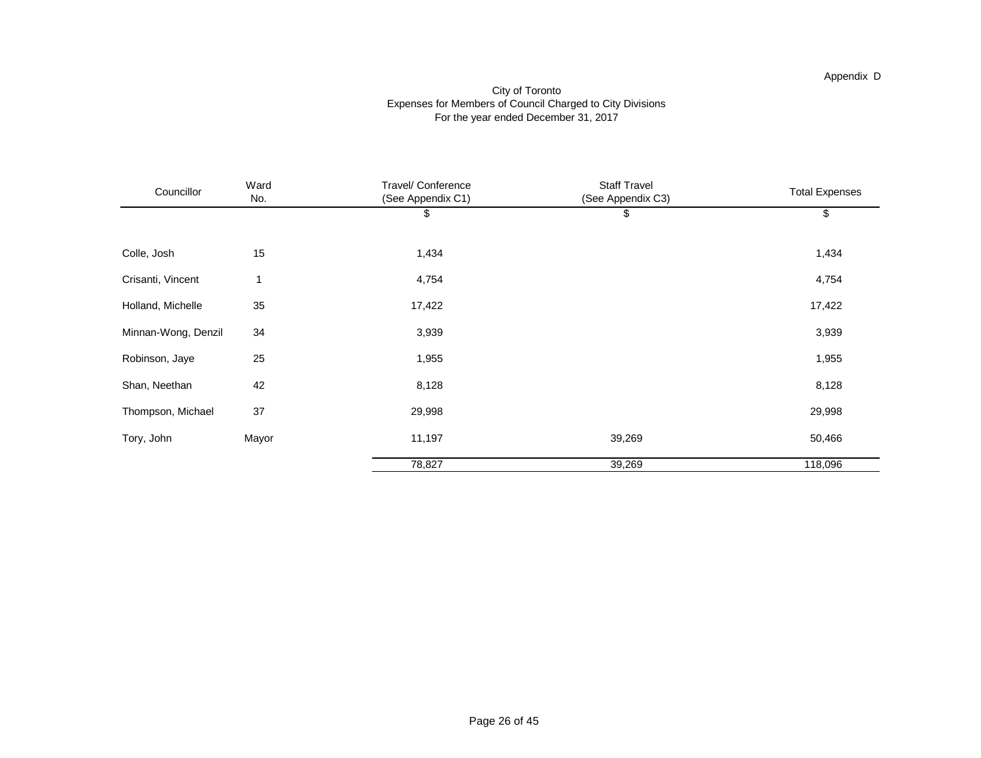#### Appendix D

#### City of Toronto Expenses for Members of Council Charged to City Divisions For the year ended December 31, 2017

| Councillor          | Ward<br>No. | Travel/ Conference<br>(See Appendix C1) | <b>Staff Travel</b><br>(See Appendix C3) | <b>Total Expenses</b> |
|---------------------|-------------|-----------------------------------------|------------------------------------------|-----------------------|
|                     |             | \$                                      | \$                                       | \$                    |
| Colle, Josh         | 15          | 1,434                                   |                                          | 1,434                 |
| Crisanti, Vincent   | 1           | 4,754                                   |                                          | 4,754                 |
| Holland, Michelle   | 35          | 17,422                                  |                                          | 17,422                |
| Minnan-Wong, Denzil | 34          | 3,939                                   |                                          | 3,939                 |
| Robinson, Jaye      | 25          | 1,955                                   |                                          | 1,955                 |
| Shan, Neethan       | 42          | 8,128                                   |                                          | 8,128                 |
| Thompson, Michael   | 37          | 29,998                                  |                                          | 29,998                |
| Tory, John          | Mayor       | 11,197                                  | 39,269                                   | 50,466                |
|                     |             | 78,827                                  | 39,269                                   | 118,096               |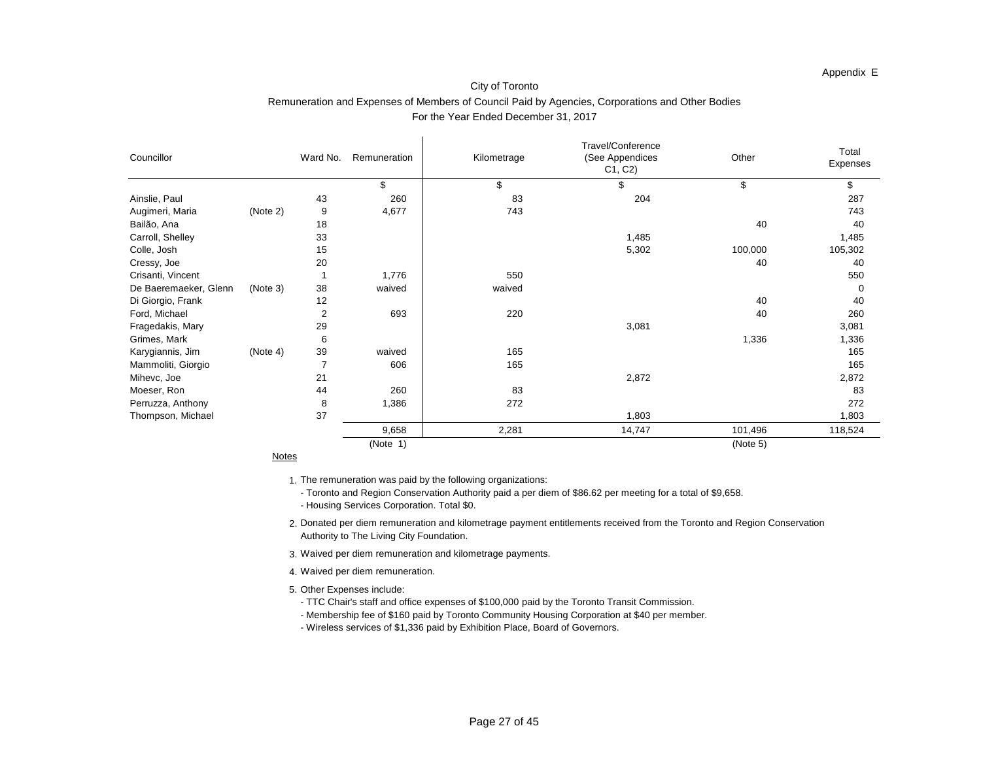| Other   | Total    |
|---------|----------|
|         | Expenses |
| \$      | \$       |
|         | 287      |
|         | 743      |
| 40      | 40       |
|         | 1,485    |
| 100,000 | 105,302  |
| 40      | 40       |
|         | 550      |
|         | 0        |
| 40      | 40       |
| 40      | 260      |
|         | 3,081    |
| 1,336   | 1,336    |
|         | 165      |
|         | 165      |
|         | 2,872    |
|         | 83       |
|         | 272      |
|         | 1,803    |
| 101,496 | 118,524  |

| Councillor            |          | Ward No.       | Remuneration | Kilometrage | Travel/Conference<br>(See Appendices<br>C1, C2 | Other    | Total<br><b>Expense</b> |
|-----------------------|----------|----------------|--------------|-------------|------------------------------------------------|----------|-------------------------|
|                       |          |                | $\mathbb S$  | \$          | \$                                             | \$       | \$                      |
| Ainslie, Paul         |          | 43             | 260          | 83          | 204                                            |          | 287                     |
| Augimeri, Maria       | (Note 2) | $9\,$          | 4,677        | 743         |                                                |          | 743                     |
| Bailão, Ana           |          | 18             |              |             |                                                | 40       | 40                      |
| Carroll, Shelley      |          | 33             |              |             | 1,485                                          |          | 1,485                   |
| Colle, Josh           |          | 15             |              |             | 5,302                                          | 100,000  | 105,302                 |
| Cressy, Joe           |          | 20             |              |             |                                                | 40       | 40                      |
| Crisanti, Vincent     |          |                | 1,776        | 550         |                                                |          | 550                     |
| De Baeremaeker, Glenn | (Note 3) | 38             | waived       | waived      |                                                |          |                         |
| Di Giorgio, Frank     |          | 12             |              |             |                                                | 40       | 40                      |
| Ford, Michael         |          | $\overline{2}$ | 693          | 220         |                                                | 40       | 260                     |
| Fragedakis, Mary      |          | 29             |              |             | 3,081                                          |          | 3,081                   |
| Grimes, Mark          |          | 6              |              |             |                                                | 1,336    | 1,336                   |
| Karygiannis, Jim      | (Note 4) | 39             | waived       | 165         |                                                |          | 165                     |
| Mammoliti, Giorgio    |          |                | 606          | 165         |                                                |          | 165                     |
| Mihevc, Joe           |          | 21             |              |             | 2,872                                          |          | 2,872                   |
| Moeser, Ron           |          | 44             | 260          | 83          |                                                |          | 83                      |
| Perruzza, Anthony     |          | 8              | 1,386        | 272         |                                                |          | 272                     |
| Thompson, Michael     |          | 37             |              |             | 1,803                                          |          | 1,803                   |
|                       |          |                | 9,658        | 2,281       | 14,747                                         | 101,496  | 118,524                 |
|                       |          |                | (Note 1)     |             |                                                | (Note 5) |                         |

**Notes** 

- 3. Waived per diem remuneration and kilometrage payments.
- 4. Waived per diem remuneration.
- 5. Other Expenses include:
	- TTC Chair's staff and office expenses of \$100,000 paid by the Toronto Transit Commission.
	- Membership fee of \$160 paid by Toronto Community Housing Corporation at \$40 per member.
	- Wireless services of \$1,336 paid by Exhibition Place, Board of Governors.

2. Donated per diem remuneration and kilometrage payment entitlements received from the Toronto and Region Conservation Authority to The Living City Foundation.

1. The remuneration was paid by the following organizations:

- Toronto and Region Conservation Authority paid a per diem of \$86.62 per meeting for a total of \$9,658. - Housing Services Corporation. Total \$0.

#### Appendix E

### City of Toronto Remuneration and Expenses of Members of Council Paid by Agencies, Corporations and Other Bodies For the Year Ended December 31, 2017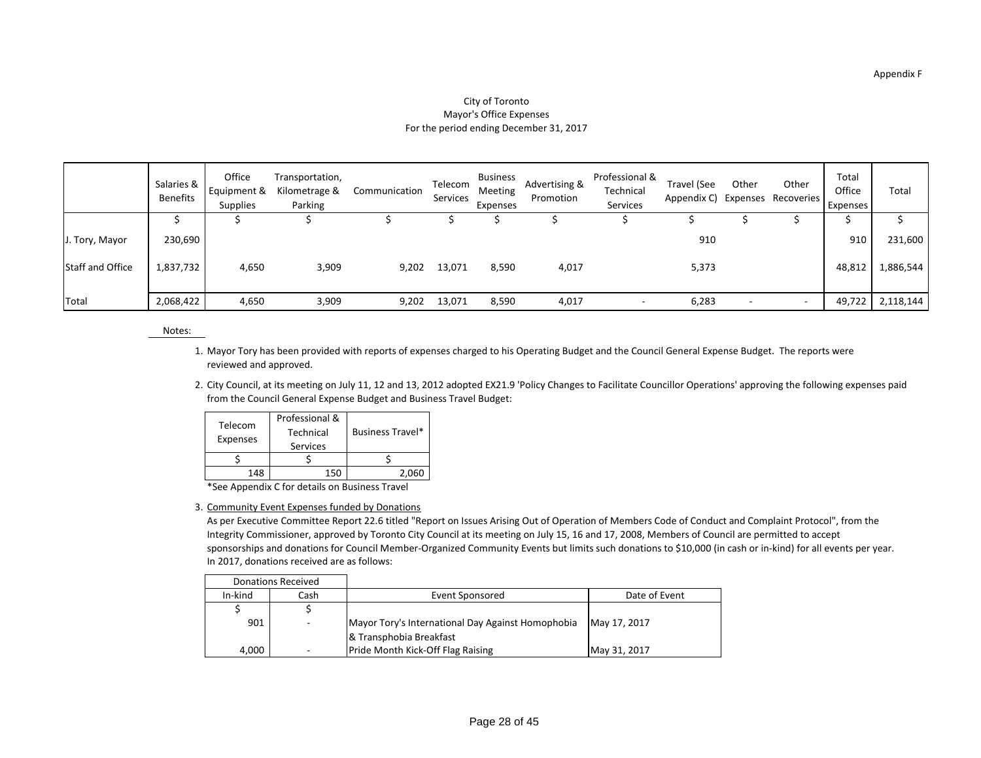#### City of Toronto Mayor's Office Expenses For the period ending December 31, 2017

|                  | Salaries &<br><b>Benefits</b> | Office<br>Equipment &<br><b>Supplies</b> | Transportation,<br>Kilometrage &<br>Parking | Communication | Telecom<br>Services | <b>Business</b><br>Meeting<br>Expenses | Advertising &<br>Promotion | Professional &<br>Technical<br>Services | Travel (See<br>Appendix C) Expenses Recoveries | Other                    | Other                    | Total<br>Office<br>Expenses | Total     |
|------------------|-------------------------------|------------------------------------------|---------------------------------------------|---------------|---------------------|----------------------------------------|----------------------------|-----------------------------------------|------------------------------------------------|--------------------------|--------------------------|-----------------------------|-----------|
|                  |                               |                                          |                                             |               |                     |                                        |                            |                                         |                                                |                          |                          |                             |           |
| J. Tory, Mayor   | 230,690                       |                                          |                                             |               |                     |                                        |                            |                                         | 910                                            |                          |                          | 910                         | 231,600   |
| Staff and Office | 1,837,732                     | 4,650                                    | 3,909                                       | 9,202         | 13,071              | 8,590                                  | 4,017                      |                                         | 5,373                                          |                          |                          | 48,812                      | 1,886,544 |
| <b>Total</b>     | 2,068,422                     | 4,650                                    | 3,909                                       | 9,202         | 13,071              | 8,590                                  | 4,017                      |                                         | 6,283                                          | $\overline{\phantom{0}}$ | $\overline{\phantom{0}}$ | 49,722                      | 2,118,144 |

#### Notes:

- 1. Mayor Tory has been provided with reports of expenses charged to his Operating Budget and the Council General Expense Budget. The reports were reviewed and approved.
- 2. City Council, at its meeting on July 11, 12 and 13, 2012 adopted EX21.9 'Policy Changes to Facilitate Councillor Operations' approving the following expenses paid from the Council General Expense Budget and Business Travel Budget:

| Telecom<br><b>Expenses</b> | Professional &<br>Technical<br><b>Services</b> | <b>Business Travel*</b> |  |
|----------------------------|------------------------------------------------|-------------------------|--|
|                            |                                                |                         |  |
| 148                        |                                                |                         |  |

\*See Appendix C for details on Business Travel

#### 3. Community Event Expenses funded by Donations

As per Executive Committee Report 22.6 titled "Report on Issues Arising Out of Operation of Members Code of Conduct and Complaint Protocol", from the Integrity Commissioner, approved by Toronto City Council at its meeting on July 15, 16 and 17, 2008, Members of Council are permitted to accept sponsorships and donations for Council Member-Organized Community Events but limits such donations to \$10,000 (in cash or in-kind) for all events per year. In 2017, donations received are as follows:

| <b>Donations Received</b> |      |                                                   |               |
|---------------------------|------|---------------------------------------------------|---------------|
| In-kind                   | Cash | Event Sponsored                                   | Date of Event |
|                           |      |                                                   |               |
| 901                       |      | Mayor Tory's International Day Against Homophobia | May 17, 2017  |
|                           |      | & Transphobia Breakfast                           |               |
| 4,000                     |      | Pride Month Kick-Off Flag Raising                 | May 31, 2017  |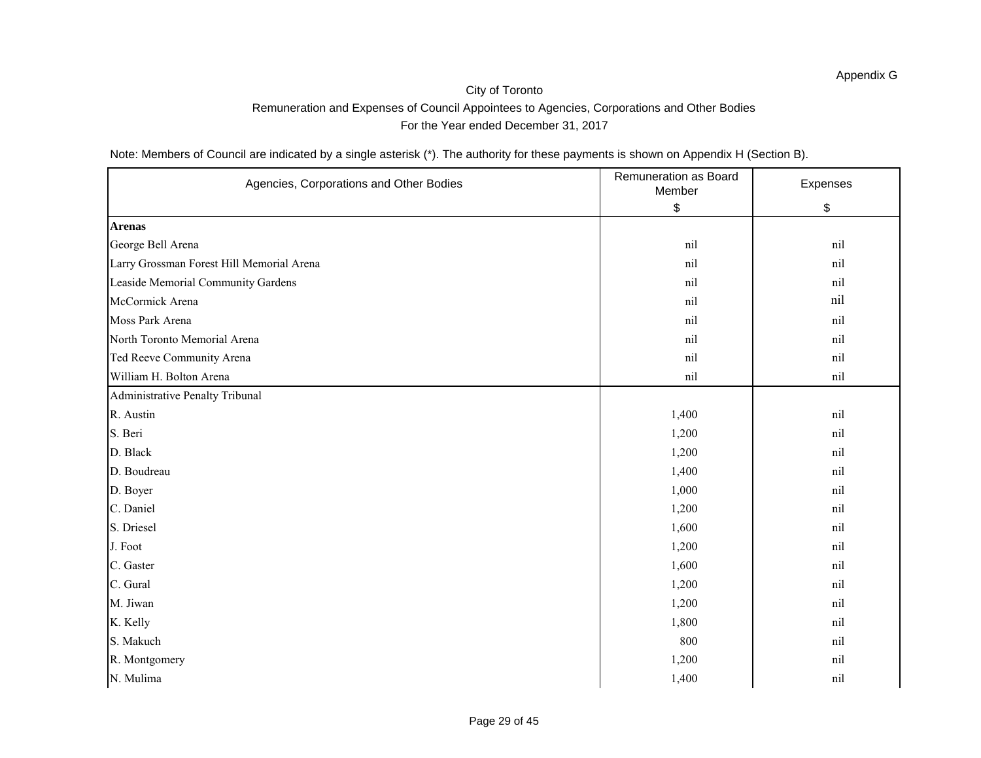Note: Members of Council are indicated by a single asterisk (\*). The authority for these payments is shown on Appendix H (Section B).

| Agencies, Corporations and Other Bodies   | Remuneration as Board<br>Member | Expenses |
|-------------------------------------------|---------------------------------|----------|
|                                           | \$                              | \$       |
| <b>Arenas</b>                             |                                 |          |
| George Bell Arena                         | $\operatorname{nil}$            | nil      |
| Larry Grossman Forest Hill Memorial Arena | nil                             | nil      |
| Leaside Memorial Community Gardens        | nil                             | nil      |
| McCormick Arena                           | nil                             | nil      |
| Moss Park Arena                           | nil                             | nil      |
| North Toronto Memorial Arena              | nil                             | nil      |
| Ted Reeve Community Arena                 | nil                             | nil      |
| William H. Bolton Arena                   | nil                             | nil      |
| Administrative Penalty Tribunal           |                                 |          |
| R. Austin                                 | 1,400                           | nil      |
| S. Beri                                   | 1,200                           | nil      |
| D. Black                                  | 1,200                           | nil      |
| D. Boudreau                               | 1,400                           | nil      |
| D. Boyer                                  | 1,000                           | nil      |
| C. Daniel                                 | 1,200                           | nil      |
| S. Driesel                                | 1,600                           | nil      |
| J. Foot                                   | 1,200                           | nil      |
| C. Gaster                                 | 1,600                           | nil      |
| C. Gural                                  | 1,200                           | nil      |
| M. Jiwan                                  | 1,200                           | nil      |
| K. Kelly                                  | 1,800                           | nil      |
| S. Makuch                                 | 800                             | nil      |
| R. Montgomery                             | 1,200                           | nil      |
| N. Mulima                                 | 1,400                           | nil      |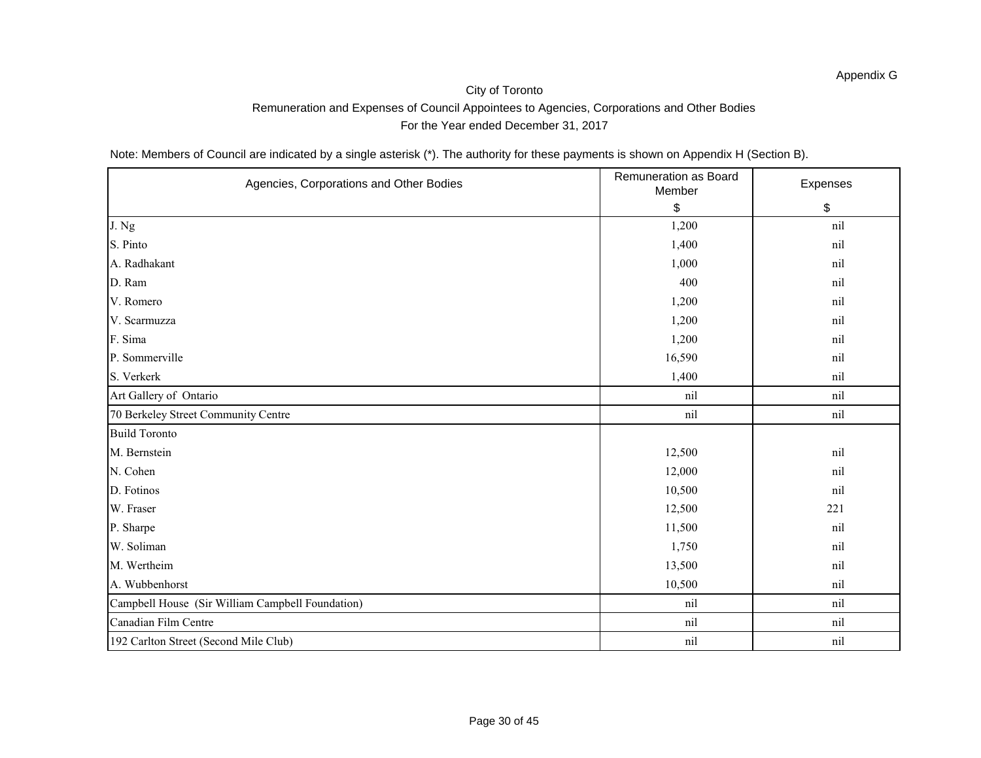Note: Members of Council are indicated by a single asterisk (\*). The authority for these payments is shown on Appendix H (Section B).

| Agencies, Corporations and Other Bodies          | <b>Remuneration as Board</b><br>Member | Expenses |  |
|--------------------------------------------------|----------------------------------------|----------|--|
|                                                  | $\boldsymbol{\mathsf{S}}$              | \$       |  |
| $J.$ Ng                                          | 1,200                                  | nil      |  |
| S. Pinto                                         | 1,400                                  | nil      |  |
| A. Radhakant                                     | 1,000                                  | nil      |  |
| D. Ram                                           | 400                                    | nil      |  |
| V. Romero                                        | 1,200                                  | nil      |  |
| V. Scarmuzza                                     | 1,200                                  | nil      |  |
| F. Sima                                          | 1,200                                  | nil      |  |
| P. Sommerville                                   | 16,590                                 | nil      |  |
| S. Verkerk                                       | 1,400                                  | nil      |  |
| Art Gallery of Ontario                           | nil                                    | nil      |  |
| 70 Berkeley Street Community Centre              | nil                                    | nil      |  |
| <b>Build Toronto</b>                             |                                        |          |  |
| M. Bernstein                                     | 12,500                                 | nil      |  |
| N. Cohen                                         | 12,000                                 | nil      |  |
| D. Fotinos                                       | 10,500                                 | nil      |  |
| W. Fraser                                        | 12,500                                 | 221      |  |
| P. Sharpe                                        | 11,500                                 | nil      |  |
| W. Soliman                                       | 1,750                                  | nil      |  |
| M. Wertheim                                      | 13,500                                 | nil      |  |
| A. Wubbenhorst                                   | 10,500                                 | nil      |  |
| Campbell House (Sir William Campbell Foundation) | nil                                    | nil      |  |
| Canadian Film Centre                             | nil                                    | nil      |  |
| 192 Carlton Street (Second Mile Club)            | nil                                    | nil      |  |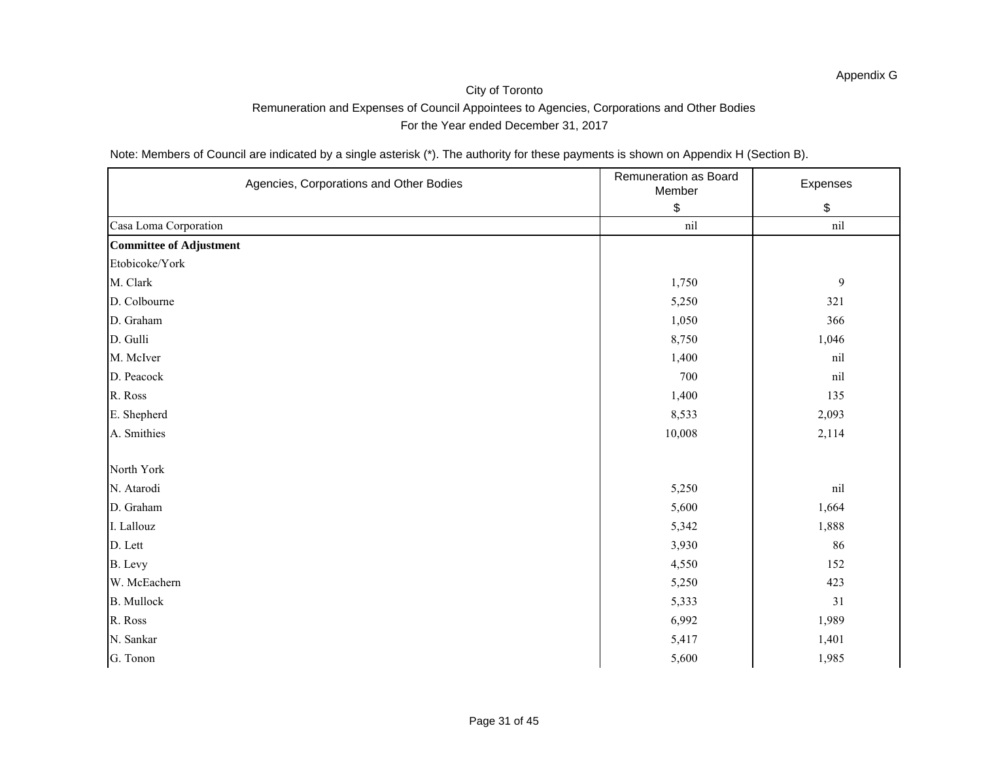Note: Members of Council are indicated by a single asterisk (\*). The authority for these payments is shown on Appendix H (Section B).

| Agencies, Corporations and Other Bodies | Remuneration as Board<br>Member | Expenses             |
|-----------------------------------------|---------------------------------|----------------------|
|                                         | \$                              | $\boldsymbol{\$}$    |
| Casa Loma Corporation                   | nil                             | $\operatorname{nil}$ |
| <b>Committee of Adjustment</b>          |                                 |                      |
| Etobicoke/York                          |                                 |                      |
| M. Clark                                | 1,750                           | $\boldsymbol{9}$     |
| D. Colbourne                            | 5,250                           | 321                  |
| D. Graham                               | 1,050                           | 366                  |
| D. Gulli                                | 8,750                           | 1,046                |
| M. McIver                               | 1,400                           | nil                  |
| D. Peacock                              | 700                             | nil                  |
| R. Ross                                 | 1,400                           | 135                  |
| E. Shepherd                             | 8,533                           | 2,093                |
| A. Smithies                             | 10,008                          | 2,114                |
|                                         |                                 |                      |
| North York                              |                                 |                      |
| N. Atarodi                              | 5,250                           | nil                  |
| D. Graham                               | 5,600                           | 1,664                |
| I. Lallouz                              | 5,342                           | 1,888                |
| D. Lett                                 | 3,930                           | 86                   |
| B. Levy                                 | 4,550                           | 152                  |
| W. McEachern                            | 5,250                           | 423                  |
| <b>B.</b> Mullock                       | 5,333                           | 31                   |
| R. Ross                                 | 6,992                           | 1,989                |
| N. Sankar                               | 5,417                           | 1,401                |
| G. Tonon                                | 5,600                           | 1,985                |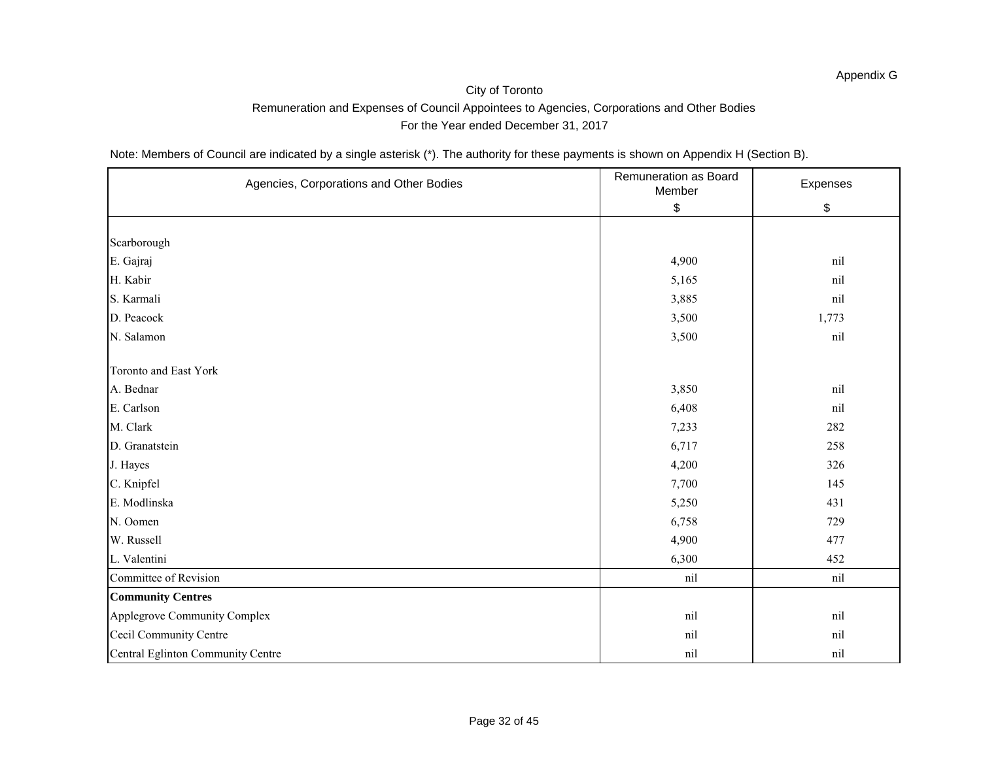Note: Members of Council are indicated by a single asterisk (\*). The authority for these payments is shown on Appendix H (Section B).

| Agencies, Corporations and Other Bodies | Remuneration as Board<br>Member | Expenses |  |
|-----------------------------------------|---------------------------------|----------|--|
|                                         | \$                              | \$       |  |
|                                         |                                 |          |  |
| Scarborough                             |                                 |          |  |
| E. Gajraj                               | 4,900                           | nil      |  |
| H. Kabir                                | 5,165                           | nil      |  |
| S. Karmali                              | 3,885                           | nil      |  |
| D. Peacock                              | 3,500                           | 1,773    |  |
| N. Salamon                              | 3,500                           | nil      |  |
| <b>Toronto and East York</b>            |                                 |          |  |
| A. Bednar                               | 3,850                           | nil      |  |
| E. Carlson                              | 6,408                           | nil      |  |
| M. Clark                                | 7,233                           | 282      |  |
| D. Granatstein                          | 6,717                           | 258      |  |
| J. Hayes                                | 4,200                           | 326      |  |
| C. Knipfel                              | 7,700                           | 145      |  |
| E. Modlinska                            | 5,250                           | 431      |  |
| N. Oomen                                | 6,758                           | 729      |  |
| W. Russell                              | 4,900                           | 477      |  |
| L. Valentini                            | 6,300                           | 452      |  |
| Committee of Revision                   | nil                             | nil      |  |
| <b>Community Centres</b>                |                                 |          |  |
| <b>Applegrove Community Complex</b>     | nil                             | nil      |  |
| Cecil Community Centre                  | nil                             | nil      |  |
| Central Eglinton Community Centre       | nil                             | nil      |  |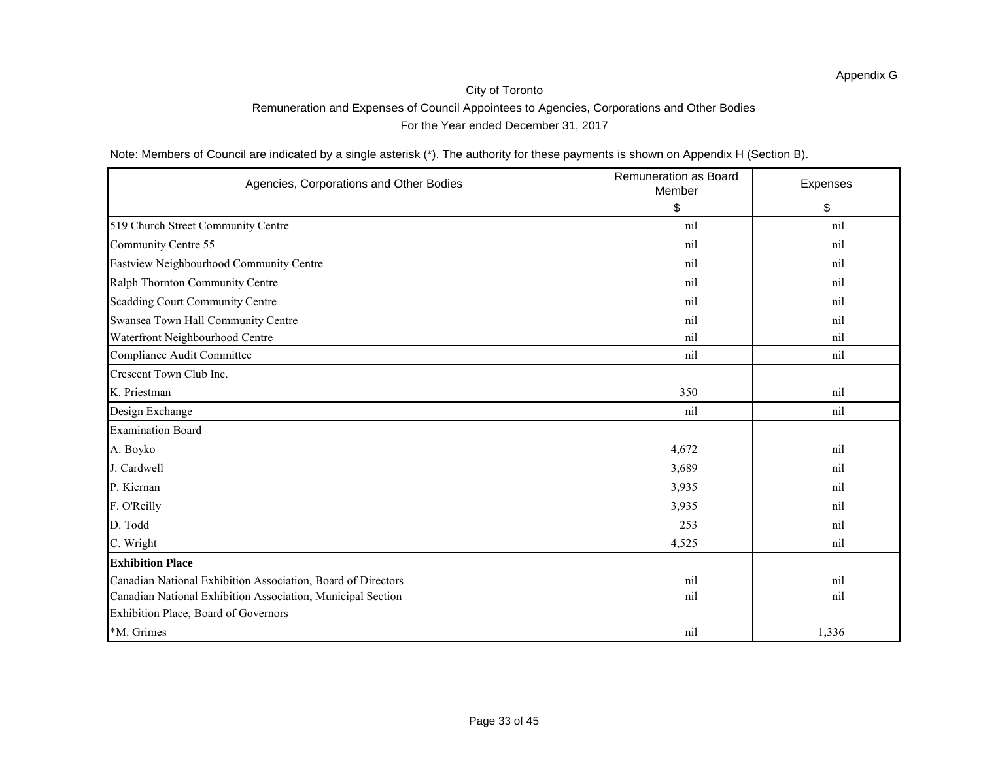Note: Members of Council are indicated by a single asterisk (\*). The authority for these payments is shown on Appendix H (Section B).

| Agencies, Corporations and Other Bodies                      | <b>Remuneration as Board</b><br>Member | Expenses |
|--------------------------------------------------------------|----------------------------------------|----------|
|                                                              | $\boldsymbol{\mathsf{S}}$              | \$       |
| 519 Church Street Community Centre                           | nil                                    | nil      |
| Community Centre 55                                          | nil                                    | nil      |
| Eastview Neighbourhood Community Centre                      | nil                                    | nil      |
| Ralph Thornton Community Centre                              | nil                                    | nil      |
| Scadding Court Community Centre                              | nil                                    | nil      |
| Swansea Town Hall Community Centre                           | nil                                    | nil      |
| Waterfront Neighbourhood Centre                              | nil                                    | nil      |
| Compliance Audit Committee                                   | nil                                    | nil      |
| Crescent Town Club Inc.                                      |                                        |          |
| K. Priestman                                                 | 350                                    | nil      |
| Design Exchange                                              | nil                                    | nil      |
| <b>Examination Board</b>                                     |                                        |          |
| A. Boyko                                                     | 4,672                                  | nil      |
| J. Cardwell                                                  | 3,689                                  | nil      |
| P. Kiernan                                                   | 3,935                                  | nil      |
| F. O'Reilly                                                  | 3,935                                  | nil      |
| D. Todd                                                      | 253                                    | nil      |
| C. Wright                                                    | 4,525                                  | nil      |
| <b>Exhibition Place</b>                                      |                                        |          |
| Canadian National Exhibition Association, Board of Directors | nil                                    | nil      |
| Canadian National Exhibition Association, Municipal Section  | nil                                    | nil      |
| Exhibition Place, Board of Governors                         |                                        |          |
| *M. Grimes                                                   | nil                                    | 1,336    |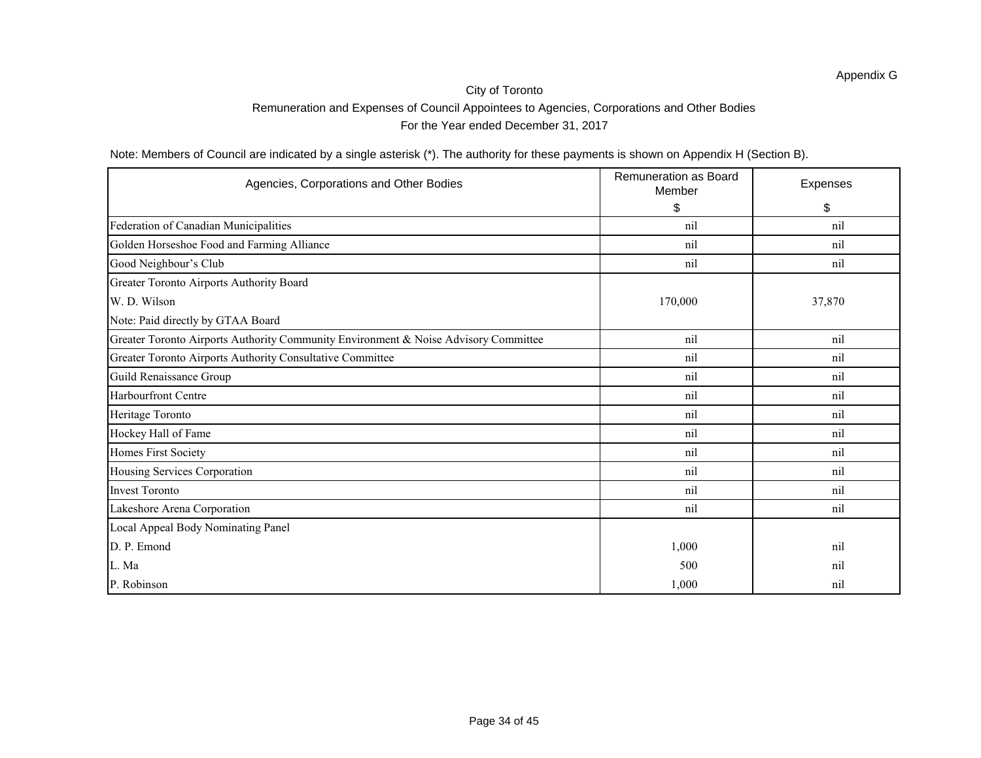## City of Toronto

### Remuneration and Expenses of Council Appointees to Agencies, Corporations and Other Bodies

For the Year ended December 31, 2017

Note: Members of Council are indicated by a single asterisk (\*). The authority for these payments is shown on Appendix H (Section B).

| Agencies, Corporations and Other Bodies                                             | <b>Remuneration as Board</b><br>Member | Expenses |
|-------------------------------------------------------------------------------------|----------------------------------------|----------|
|                                                                                     | \$                                     | \$       |
| Federation of Canadian Municipalities                                               | nil                                    | nil      |
| Golden Horseshoe Food and Farming Alliance                                          | nil                                    | nil      |
| Good Neighbour's Club                                                               | nil                                    | nil      |
| Greater Toronto Airports Authority Board                                            |                                        |          |
| W. D. Wilson                                                                        | 170,000                                | 37,870   |
| Note: Paid directly by GTAA Board                                                   |                                        |          |
| Greater Toronto Airports Authority Community Environment & Noise Advisory Committee | nil                                    | nil      |
| Greater Toronto Airports Authority Consultative Committee                           | nil                                    | nil      |
| Guild Renaissance Group                                                             | nil                                    | nil      |
| <b>Harbourfront Centre</b>                                                          | nil                                    | nil      |
| Heritage Toronto                                                                    | nil                                    | nil      |
| Hockey Hall of Fame                                                                 | nil                                    | nil      |
| Homes First Society                                                                 | nil                                    | nil      |
| Housing Services Corporation                                                        | nil                                    | nil      |
| Invest Toronto                                                                      | nil                                    | nil      |
| Lakeshore Arena Corporation                                                         | nil                                    | nil      |
| Local Appeal Body Nominating Panel                                                  |                                        |          |
| D. P. Emond                                                                         | 1,000                                  | nil      |
| L. Ma                                                                               | 500                                    | nil      |
| P. Robinson                                                                         | 1,000                                  | nil      |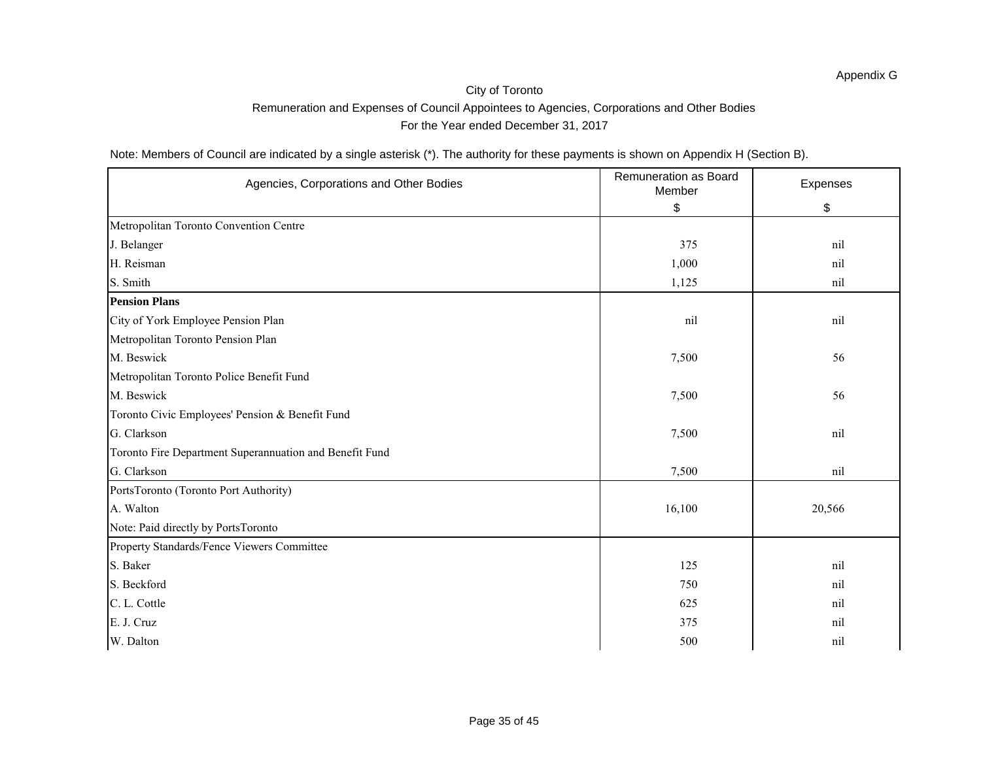Note: Members of Council are indicated by a single asterisk (\*). The authority for these payments is shown on Appendix H (Section B).

| Agencies, Corporations and Other Bodies                 | <b>Remuneration as Board</b><br>Member | Expenses |
|---------------------------------------------------------|----------------------------------------|----------|
|                                                         | \$                                     | \$       |
| Metropolitan Toronto Convention Centre                  |                                        |          |
| J. Belanger                                             | 375                                    | nil      |
| H. Reisman                                              | 1,000                                  | nil      |
| S. Smith                                                | 1,125                                  | nil      |
| <b>Pension Plans</b>                                    |                                        |          |
| City of York Employee Pension Plan                      | nil                                    | nil      |
| Metropolitan Toronto Pension Plan                       |                                        |          |
| M. Beswick                                              | 7,500                                  | 56       |
| Metropolitan Toronto Police Benefit Fund                |                                        |          |
| M. Beswick                                              | 7,500                                  | 56       |
| Toronto Civic Employees' Pension & Benefit Fund         |                                        |          |
| G. Clarkson                                             | 7,500                                  | nil      |
| Toronto Fire Department Superannuation and Benefit Fund |                                        |          |
| G. Clarkson                                             | 7,500                                  | nil      |
| PortsToronto (Toronto Port Authority)                   |                                        |          |
| A. Walton                                               | 16,100                                 | 20,566   |
| Note: Paid directly by PortsToronto                     |                                        |          |
| Property Standards/Fence Viewers Committee              |                                        |          |
| S. Baker                                                | 125                                    | nil      |
| S. Beckford                                             | 750                                    | nil      |
| C. L. Cottle                                            | 625                                    | nil      |
| E. J. Cruz                                              | 375                                    | nil      |
| W. Dalton                                               | 500                                    | nil      |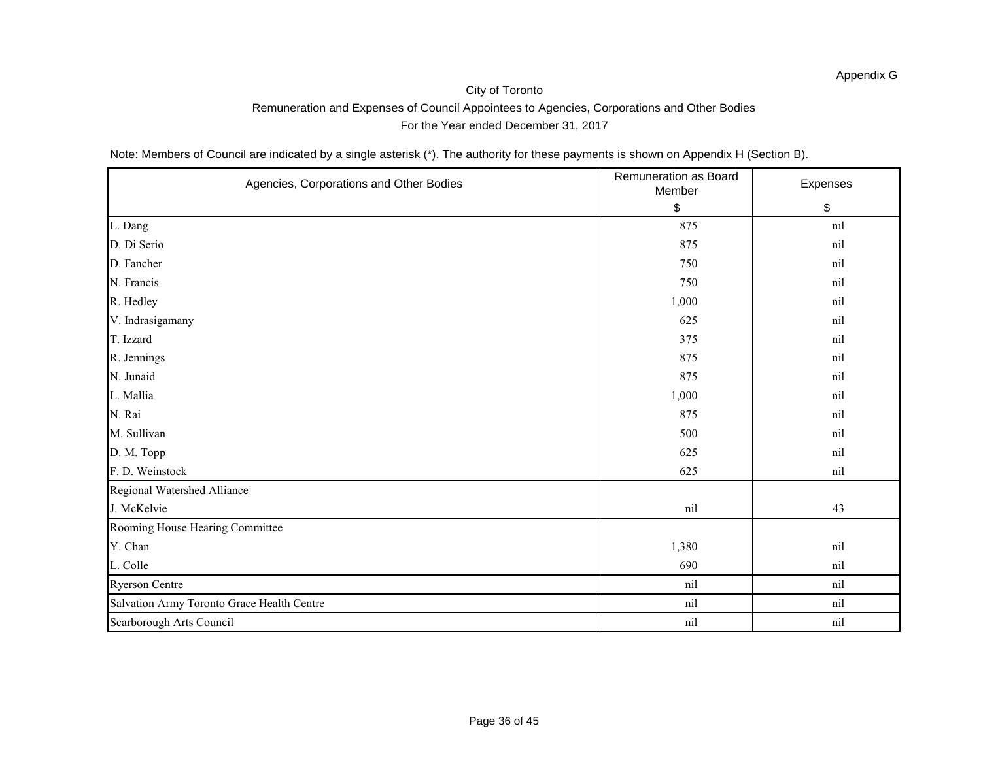Note: Members of Council are indicated by a single asterisk (\*). The authority for these payments is shown on Appendix H (Section B).

| Agencies, Corporations and Other Bodies    | Remuneration as Board<br>Member | Expenses |
|--------------------------------------------|---------------------------------|----------|
|                                            | \$                              | \$       |
| L. Dang                                    | 875                             | nil      |
| D. Di Serio                                | 875                             | nil      |
| D. Fancher                                 | 750                             | nil      |
| N. Francis                                 | 750                             | nil      |
| R. Hedley                                  | 1,000                           | nil      |
| V. Indrasigamany                           | 625                             | nil      |
| T. Izzard                                  | 375                             | nil      |
| R. Jennings                                | 875                             | nil      |
| N. Junaid                                  | 875                             | nil      |
| L. Mallia                                  | 1,000                           | nil      |
| N. Rai                                     | 875                             | nil      |
| M. Sullivan                                | 500                             | nil      |
| D. M. Topp                                 | 625                             | nil      |
| F. D. Weinstock                            | 625                             | nil      |
| Regional Watershed Alliance                |                                 |          |
| J. McKelvie                                | nil                             | 43       |
| Rooming House Hearing Committee            |                                 |          |
| Y. Chan                                    | 1,380                           | nil      |
| L. Colle                                   | 690                             | nil      |
| <b>Ryerson Centre</b>                      | nil                             | nil      |
| Salvation Army Toronto Grace Health Centre | nil                             | nil      |
| Scarborough Arts Council                   | nil                             | nil      |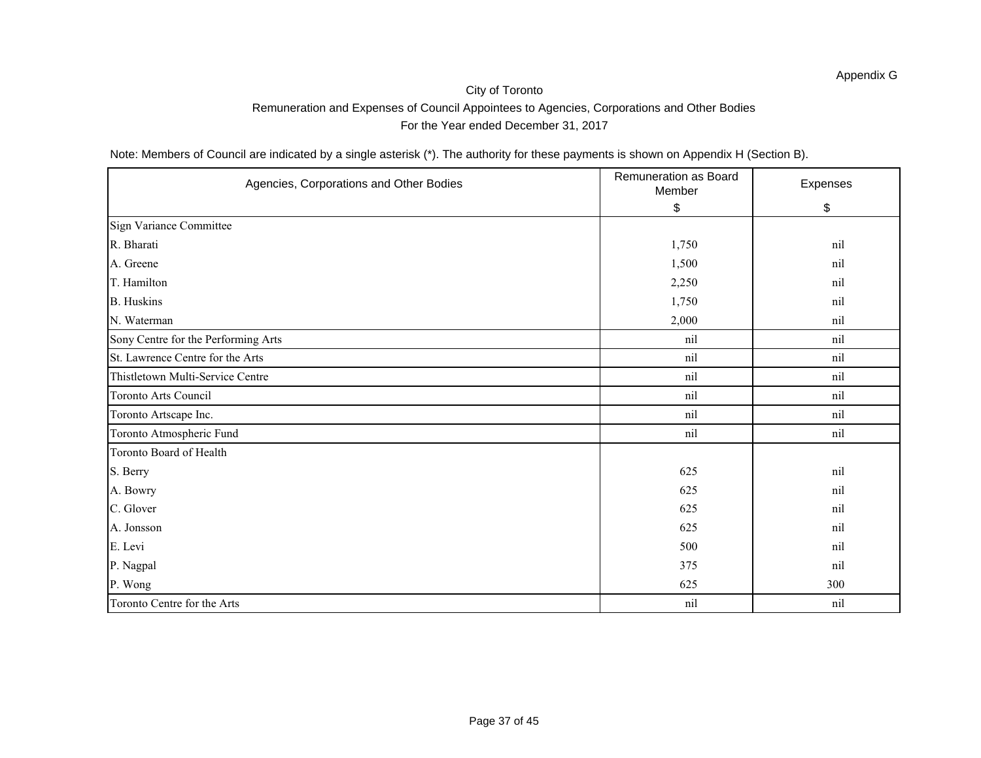Note: Members of Council are indicated by a single asterisk (\*). The authority for these payments is shown on Appendix H (Section B).

| Agencies, Corporations and Other Bodies | Remuneration as Board<br>Member | Expenses |
|-----------------------------------------|---------------------------------|----------|
|                                         | \$                              | \$       |
| Sign Variance Committee                 |                                 |          |
| R. Bharati                              | 1,750                           | nil      |
| A. Greene                               | 1,500                           | nil      |
| T. Hamilton                             | 2,250                           | nil      |
| <b>B.</b> Huskins                       | 1,750                           | nil      |
| N. Waterman                             | 2,000                           | nil      |
| Sony Centre for the Performing Arts     | nil                             | nil      |
| St. Lawrence Centre for the Arts        | nil                             | nil      |
| Thistletown Multi-Service Centre        | nil                             | nil      |
| <b>Toronto Arts Council</b>             | nil                             | nil      |
| Toronto Artscape Inc.                   | nil                             | nil      |
| Toronto Atmospheric Fund                | nil                             | nil      |
| Toronto Board of Health                 |                                 |          |
| S. Berry                                | 625                             | nil      |
| A. Bowry                                | 625                             | nil      |
| C. Glover                               | 625                             | nil      |
| A. Jonsson                              | 625                             | nil      |
| E. Levi                                 | 500                             | nil      |
| P. Nagpal                               | 375                             | nil      |
| P. Wong                                 | 625                             | 300      |
| Toronto Centre for the Arts             | nil                             | nil      |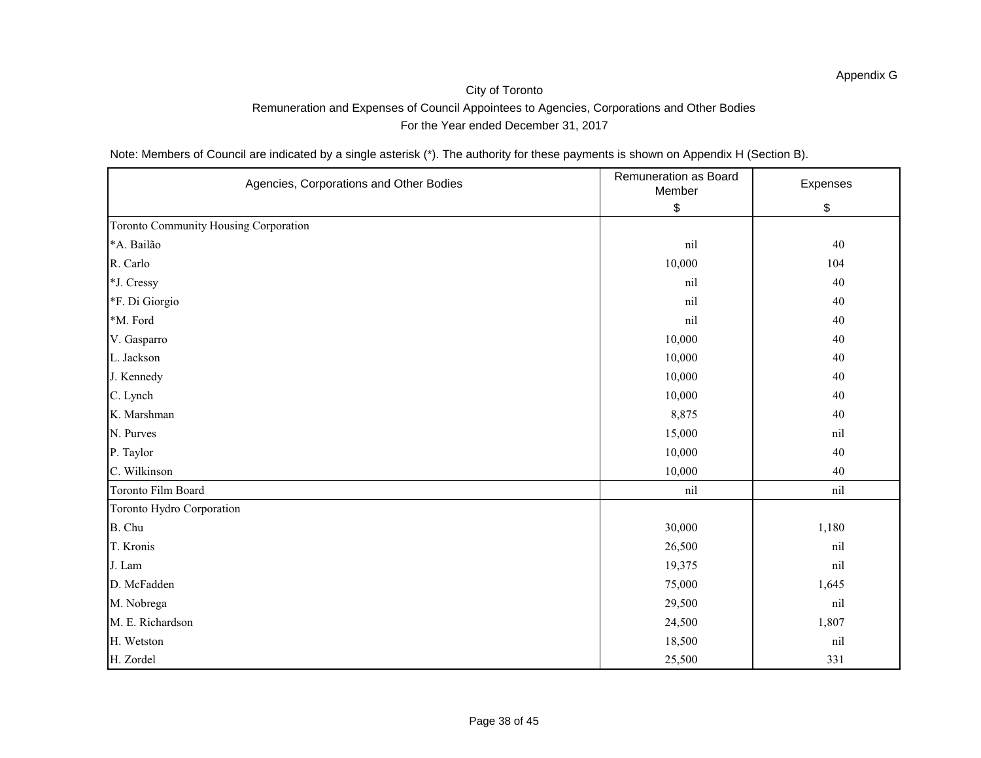Note: Members of Council are indicated by a single asterisk (\*). The authority for these payments is shown on Appendix H (Section B).

| Agencies, Corporations and Other Bodies | Remuneration as Board<br>Member | Expenses |
|-----------------------------------------|---------------------------------|----------|
|                                         | \$                              | \$       |
| Toronto Community Housing Corporation   |                                 |          |
| *A. Bailão                              | nil                             | 40       |
| R. Carlo                                | 10,000                          | 104      |
| *J. Cressy                              | nil                             | 40       |
| *F. Di Giorgio                          | nil                             | 40       |
| *M. Ford                                | nil                             | 40       |
| V. Gasparro                             | 10,000                          | 40       |
| L. Jackson                              | 10,000                          | 40       |
| J. Kennedy                              | 10,000                          | 40       |
| C. Lynch                                | 10,000                          | 40       |
| K. Marshman                             | 8,875                           | 40       |
| N. Purves                               | 15,000                          | nil      |
| P. Taylor                               | 10,000                          | 40       |
| C. Wilkinson                            | 10,000                          | 40       |
| Toronto Film Board                      | nil                             | nil      |
| Toronto Hydro Corporation               |                                 |          |
| B. Chu                                  | 30,000                          | 1,180    |
| T. Kronis                               | 26,500                          | nil      |
| J. Lam                                  | 19,375                          | nil      |
| D. McFadden                             | 75,000                          | 1,645    |
| M. Nobrega                              | 29,500                          | nil      |
| M. E. Richardson                        | 24,500                          | 1,807    |
| H. Wetston                              | 18,500                          | nil      |
| H. Zordel                               | 25,500                          | 331      |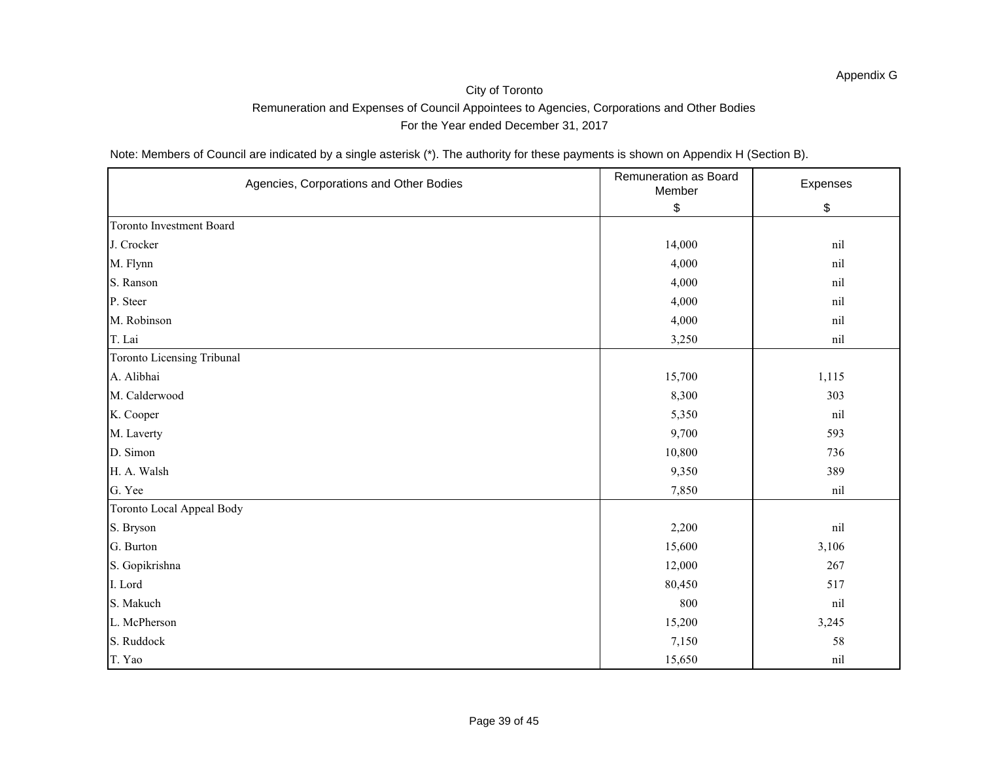Note: Members of Council are indicated by a single asterisk (\*). The authority for these payments is shown on Appendix H (Section B).

| Agencies, Corporations and Other Bodies | Remuneration as Board<br>Member | Expenses |
|-----------------------------------------|---------------------------------|----------|
|                                         | \$                              | \$       |
| <b>Toronto Investment Board</b>         |                                 |          |
| J. Crocker                              | 14,000                          | nil      |
| M. Flynn                                | 4,000                           | nil      |
| S. Ranson                               | 4,000                           | nil      |
| P. Steer                                | 4,000                           | nil      |
| M. Robinson                             | 4,000                           | nil      |
| T. Lai                                  | 3,250                           | nil      |
| Toronto Licensing Tribunal              |                                 |          |
| A. Alibhai                              | 15,700                          | 1,115    |
| M. Calderwood                           | 8,300                           | 303      |
| K. Cooper                               | 5,350                           | nil      |
| M. Laverty                              | 9,700                           | 593      |
| D. Simon                                | 10,800                          | 736      |
| H. A. Walsh                             | 9,350                           | 389      |
| G. Yee                                  | 7,850                           | nil      |
| Toronto Local Appeal Body               |                                 |          |
| S. Bryson                               | 2,200                           | nil      |
| G. Burton                               | 15,600                          | 3,106    |
| S. Gopikrishna                          | 12,000                          | 267      |
| I. Lord                                 | 80,450                          | 517      |
| S. Makuch                               | 800                             | nil      |
| L. McPherson                            | 15,200                          | 3,245    |
| S. Ruddock                              | 7,150                           | 58       |
| T. Yao                                  | 15,650                          | nil      |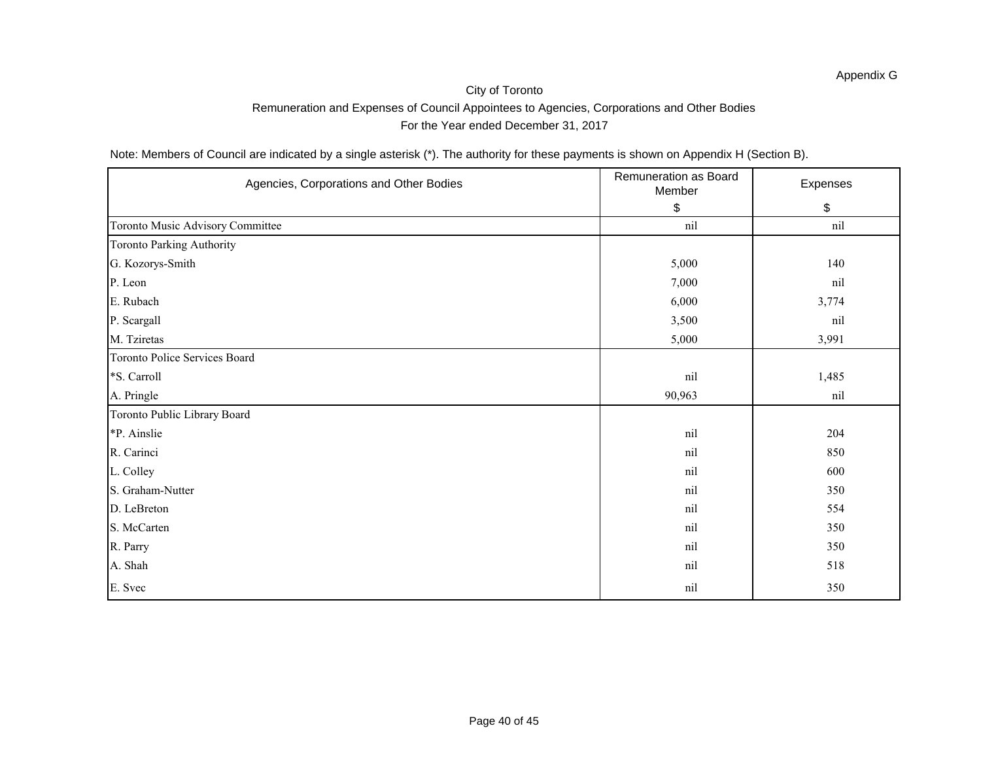Note: Members of Council are indicated by a single asterisk (\*). The authority for these payments is shown on Appendix H (Section B).

| Agencies, Corporations and Other Bodies | Remuneration as Board<br>Member | Expenses |
|-----------------------------------------|---------------------------------|----------|
|                                         | \$                              | \$       |
| Toronto Music Advisory Committee        | nil                             | nil      |
| Toronto Parking Authority               |                                 |          |
| G. Kozorys-Smith                        | 5,000                           | 140      |
| P. Leon                                 | 7,000                           | nil      |
| E. Rubach                               | 6,000                           | 3,774    |
| P. Scargall                             | 3,500                           | nil      |
| M. Tziretas                             | 5,000                           | 3,991    |
| Toronto Police Services Board           |                                 |          |
| *S. Carroll                             | nil                             | 1,485    |
| A. Pringle                              | 90,963                          | nil      |
| Toronto Public Library Board            |                                 |          |
| *P. Ainslie                             | nil                             | 204      |
| R. Carinci                              | nil                             | 850      |
| L. Colley                               | nil                             | 600      |
| S. Graham-Nutter                        | nil                             | 350      |
| D. LeBreton                             | nil                             | 554      |
| S. McCarten                             | nil                             | 350      |
| R. Parry                                | nil                             | 350      |
| A. Shah                                 | nil                             | 518      |
| E. Svec                                 | nil                             | 350      |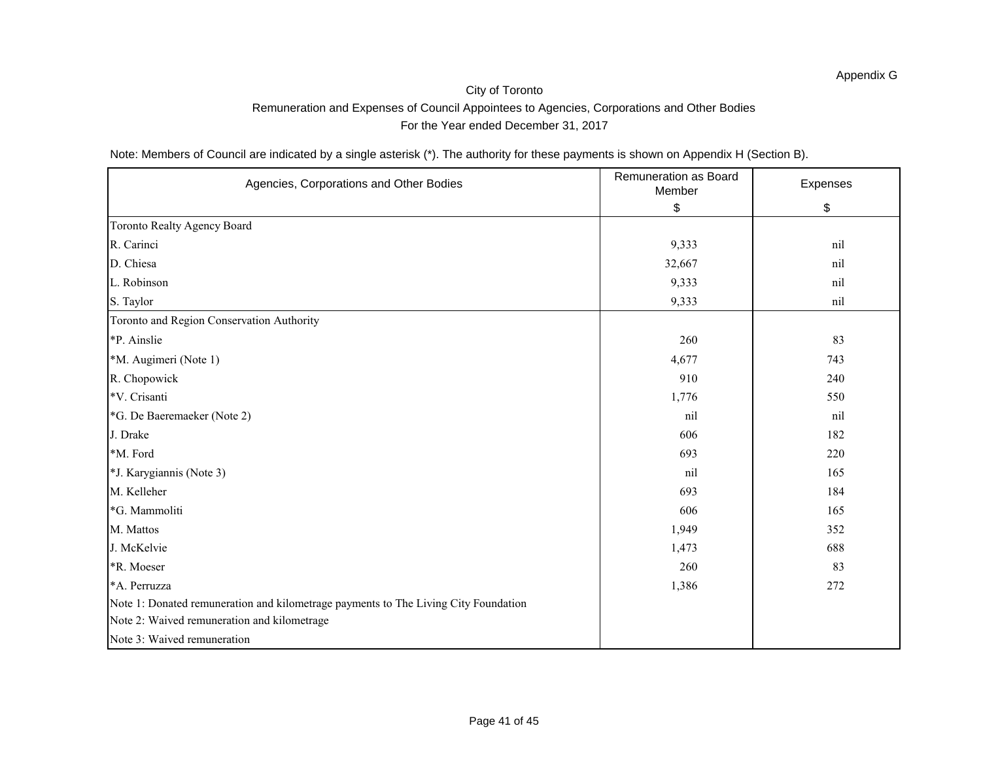Note: Members of Council are indicated by a single asterisk (\*). The authority for these payments is shown on Appendix H (Section B).

| Agencies, Corporations and Other Bodies                                             | Remuneration as Board<br>Member | Expenses |
|-------------------------------------------------------------------------------------|---------------------------------|----------|
|                                                                                     | \$                              | \$       |
| <b>Toronto Realty Agency Board</b>                                                  |                                 |          |
| R. Carinci                                                                          | 9,333                           | nil      |
| D. Chiesa                                                                           | 32,667                          | nil      |
| L. Robinson                                                                         | 9,333                           | nil      |
| S. Taylor                                                                           | 9,333                           | nil      |
| Toronto and Region Conservation Authority                                           |                                 |          |
| *P. Ainslie                                                                         | 260                             | 83       |
| *M. Augimeri (Note 1)                                                               | 4,677                           | 743      |
| R. Chopowick                                                                        | 910                             | 240      |
| *V. Crisanti                                                                        | 1,776                           | 550      |
| *G. De Baeremaeker (Note 2)                                                         | nil                             | nil      |
| J. Drake                                                                            | 606                             | 182      |
| *M. Ford                                                                            | 693                             | 220      |
| *J. Karygiannis (Note 3)                                                            | nil                             | 165      |
| M. Kelleher                                                                         | 693                             | 184      |
| *G. Mammoliti                                                                       | 606                             | 165      |
| M. Mattos                                                                           | 1,949                           | 352      |
| J. McKelvie                                                                         | 1,473                           | 688      |
| *R. Moeser                                                                          | 260                             | 83       |
| *A. Perruzza                                                                        | 1,386                           | 272      |
| Note 1: Donated remuneration and kilometrage payments to The Living City Foundation |                                 |          |
| Note 2: Waived remuneration and kilometrage                                         |                                 |          |
| Note 3: Waived remuneration                                                         |                                 |          |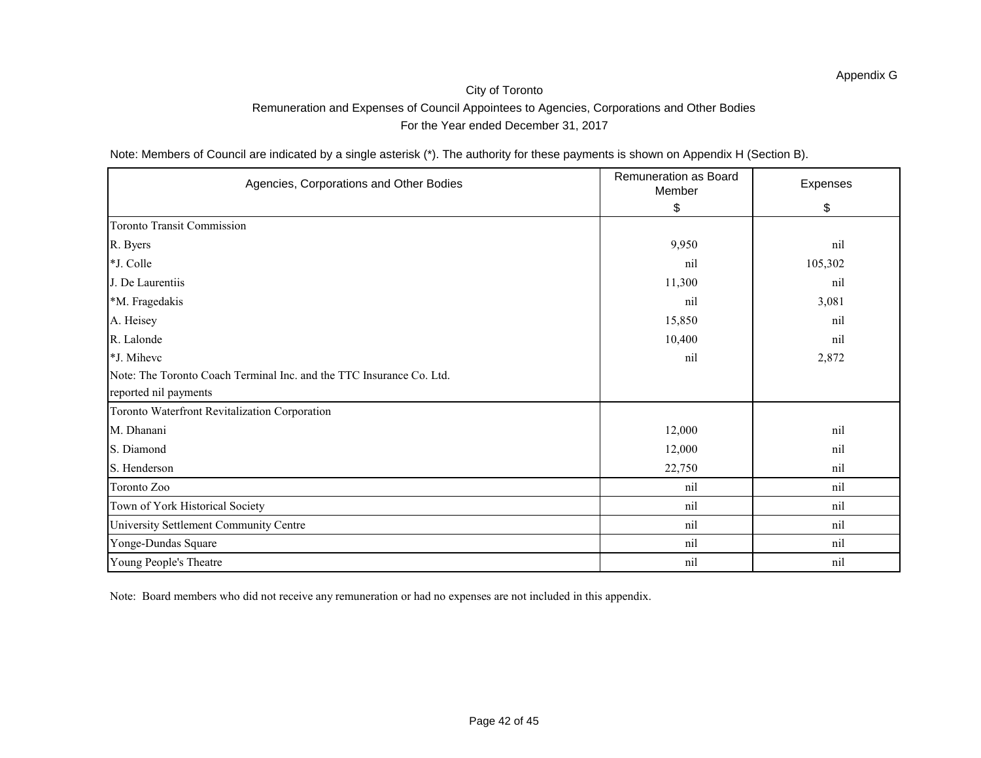Note: Members of Council are indicated by a single asterisk (\*). The authority for these payments is shown on Appendix H (Section B).

| Agencies, Corporations and Other Bodies                              | <b>Remuneration as Board</b><br>Member | Expenses |
|----------------------------------------------------------------------|----------------------------------------|----------|
|                                                                      | \$                                     | \$       |
| <b>Toronto Transit Commission</b>                                    |                                        |          |
| R. Byers                                                             | 9,950                                  | nil      |
| *J. Colle                                                            | nil                                    | 105,302  |
| J. De Laurentiis                                                     | 11,300                                 | nil      |
| *M. Fragedakis                                                       | nil                                    | 3,081    |
| A. Heisey                                                            | 15,850                                 | nil      |
| R. Lalonde                                                           | 10,400                                 | nil      |
| *J. Mihevc                                                           | nil                                    | 2,872    |
| Note: The Toronto Coach Terminal Inc. and the TTC Insurance Co. Ltd. |                                        |          |
| reported nil payments                                                |                                        |          |
| Toronto Waterfront Revitalization Corporation                        |                                        |          |
| M. Dhanani                                                           | 12,000                                 | nil      |
| S. Diamond                                                           | 12,000                                 | nil      |
| S. Henderson                                                         | 22,750                                 | nil      |
| Toronto Zoo                                                          | nil                                    | nil      |
| Town of York Historical Society                                      | nil                                    | nil      |
| University Settlement Community Centre                               | nil                                    | nil      |
| Yonge-Dundas Square                                                  | nil                                    | nil      |
| Young People's Theatre                                               | nil                                    | nil      |

Note: Board members who did not receive any remuneration or had no expenses are not included in this appendix.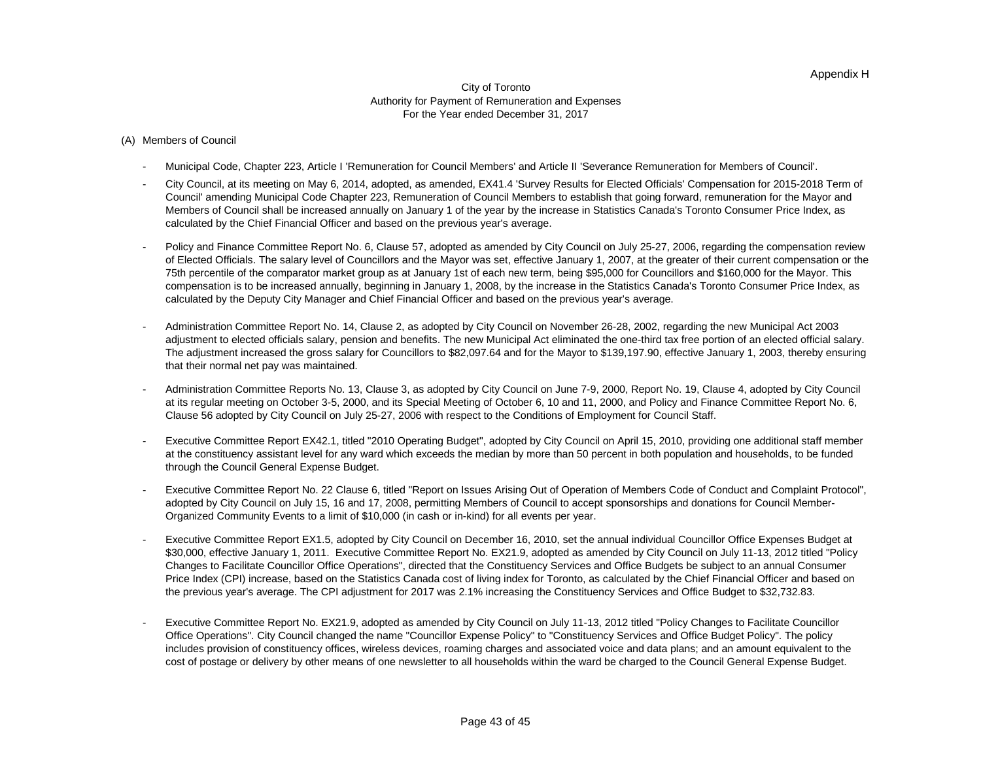#### City of Toronto Authority for Payment of Remuneration and Expenses For the Year ended December 31, 2017

#### (A) Members of Council

- Municipal Code, Chapter 223, Article I 'Remuneration for Council Members' and Article II 'Severance Remuneration for Members of Council'.
- City Council, at its meeting on May 6, 2014, adopted, as amended, EX41.4 'Survey Results for Elected Officials' Compensation for 2015-2018 Term of Council' amending Municipal Code Chapter 223, Remuneration of Council Members to establish that going forward, remuneration for the Mayor and Members of Council shall be increased annually on January 1 of the year by the increase in Statistics Canada's Toronto Consumer Price Index, as calculated by the Chief Financial Officer and based on the previous year's average.
- Policy and Finance Committee Report No. 6, Clause 57, adopted as amended by City Council on July 25-27, 2006, regarding the compensation review of Elected Officials. The salary level of Councillors and the Mayor was set, effective January 1, 2007, at the greater of their current compensation or the 75th percentile of the comparator market group as at January 1st of each new term, being \$95,000 for Councillors and \$160,000 for the Mayor. This compensation is to be increased annually, beginning in January 1, 2008, by the increase in the Statistics Canada's Toronto Consumer Price Index, as calculated by the Deputy City Manager and Chief Financial Officer and based on the previous year's average.
- Administration Committee Report No. 14, Clause 2, as adopted by City Council on November 26-28, 2002, regarding the new Municipal Act 2003 adjustment to elected officials salary, pension and benefits. The new Municipal Act eliminated the one-third tax free portion of an elected official salary. The adjustment increased the gross salary for Councillors to \$82,097.64 and for the Mayor to \$139,197.90, effective January 1, 2003, thereby ensuring that their normal net pay was maintained.
- Administration Committee Reports No. 13, Clause 3, as adopted by City Council on June 7-9, 2000, Report No. 19, Clause 4, adopted by City Council at its regular meeting on October 3-5, 2000, and its Special Meeting of October 6, 10 and 11, 2000, and Policy and Finance Committee Report No. 6, Clause 56 adopted by City Council on July 25-27, 2006 with respect to the Conditions of Employment for Council Staff.
- Executive Committee Report EX42.1, titled "2010 Operating Budget", adopted by City Council on April 15, 2010, providing one additional staff member at the constituency assistant level for any ward which exceeds the median by more than 50 percent in both population and households, to be funded through the Council General Expense Budget.
- Executive Committee Report No. 22 Clause 6, titled "Report on Issues Arising Out of Operation of Members Code of Conduct and Complaint Protocol", adopted by City Council on July 15, 16 and 17, 2008, permitting Members of Council to accept sponsorships and donations for Council Member-Organized Community Events to a limit of \$10,000 (in cash or in-kind) for all events per year.
- Executive Committee Report EX1.5, adopted by City Council on December 16, 2010, set the annual individual Councillor Office Expenses Budget at \$30,000, effective January 1, 2011. Executive Committee Report No. EX21.9, adopted as amended by City Council on July 11-13, 2012 titled "Policy Changes to Facilitate Councillor Office Operations", directed that the Constituency Services and Office Budgets be subject to an annual Consumer Price Index (CPI) increase, based on the Statistics Canada cost of living index for Toronto, as calculated by the Chief Financial Officer and based on the previous year's average. The CPI adjustment for 2017 was 2.1% increasing the Constituency Services and Office Budget to \$32,732.83.
- Executive Committee Report No. EX21.9, adopted as amended by City Council on July 11-13, 2012 titled "Policy Changes to Facilitate Councillor Office Operations". City Council changed the name "Councillor Expense Policy" to "Constituency Services and Office Budget Policy". The policy includes provision of constituency offices, wireless devices, roaming charges and associated voice and data plans; and an amount equivalent to the cost of postage or delivery by other means of one newsletter to all households within the ward be charged to the Council General Expense Budget.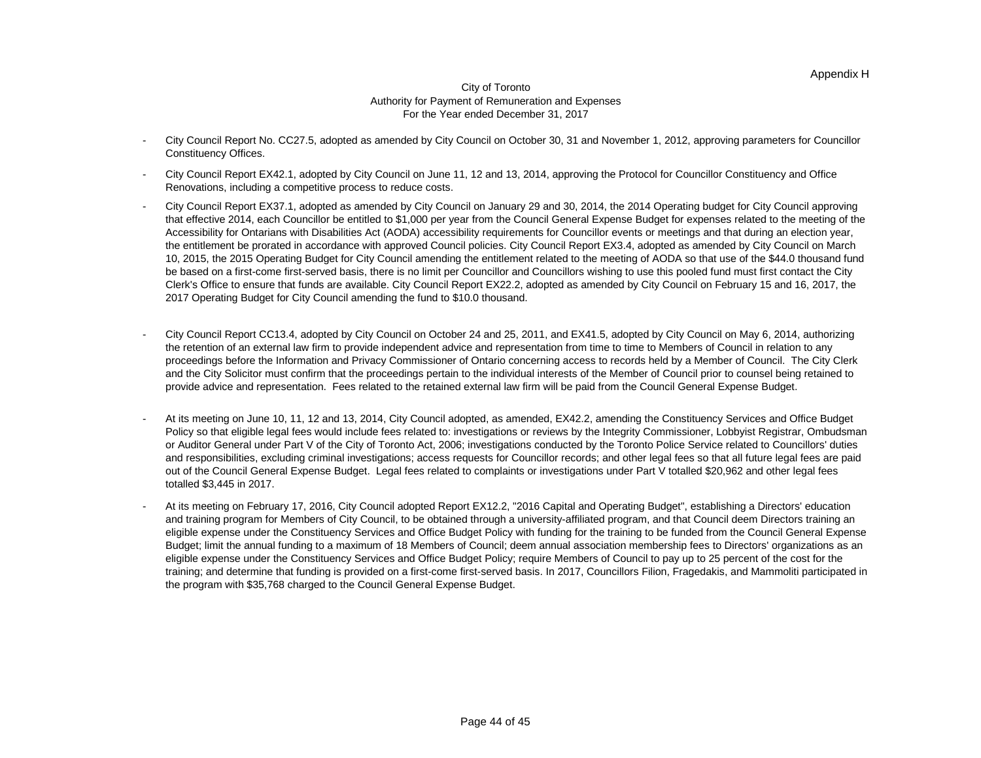#### City of Toronto Authority for Payment of Remuneration and Expenses For the Year ended December 31, 2017

- City Council Report No. CC27.5, adopted as amended by City Council on October 30, 31 and November 1, 2012, approving parameters for Councillor Constituency Offices.
- City Council Report EX42.1, adopted by City Council on June 11, 12 and 13, 2014, approving the Protocol for Councillor Constituency and Office Renovations, including a competitive process to reduce costs.
- City Council Report EX37.1, adopted as amended by City Council on January 29 and 30, 2014, the 2014 Operating budget for City Council approving that effective 2014, each Councillor be entitled to \$1,000 per year from the Council General Expense Budget for expenses related to the meeting of the Accessibility for Ontarians with Disabilities Act (AODA) accessibility requirements for Councillor events or meetings and that during an election year, the entitlement be prorated in accordance with approved Council policies. City Council Report EX3.4, adopted as amended by City Council on March 10, 2015, the 2015 Operating Budget for City Council amending the entitlement related to the meeting of AODA so that use of the \$44.0 thousand fund be based on a first-come first-served basis, there is no limit per Councillor and Councillors wishing to use this pooled fund must first contact the City Clerk's Office to ensure that funds are available. City Council Report EX22.2, adopted as amended by City Council on February 15 and 16, 2017, the 2017 Operating Budget for City Council amending the fund to \$10.0 thousand.
- City Council Report CC13.4, adopted by City Council on October 24 and 25, 2011, and EX41.5, adopted by City Council on May 6, 2014, authorizing the retention of an external law firm to provide independent advice and representation from time to time to Members of Council in relation to any proceedings before the Information and Privacy Commissioner of Ontario concerning access to records held by a Member of Council. The City Clerk and the City Solicitor must confirm that the proceedings pertain to the individual interests of the Member of Council prior to counsel being retained to provide advice and representation. Fees related to the retained external law firm will be paid from the Council General Expense Budget.
- At its meeting on June 10, 11, 12 and 13, 2014, City Council adopted, as amended, EX42.2, amending the Constituency Services and Office Budget Policy so that eligible legal fees would include fees related to: investigations or reviews by the Integrity Commissioner, Lobbyist Registrar, Ombudsman or Auditor General under Part V of the City of Toronto Act, 2006; investigations conducted by the Toronto Police Service related to Councillors' duties and responsibilities, excluding criminal investigations; access requests for Councillor records; and other legal fees so that all future legal fees are paid out of the Council General Expense Budget. Legal fees related to complaints or investigations under Part V totalled \$20,962 and other legal fees totalled \$3,445 in 2017.
- At its meeting on February 17, 2016, City Council adopted Report EX12.2, "2016 Capital and Operating Budget", establishing a Directors' education and training program for Members of City Council, to be obtained through a university-affiliated program, and that Council deem Directors training an eligible expense under the Constituency Services and Office Budget Policy with funding for the training to be funded from the Council General Expense Budget; limit the annual funding to a maximum of 18 Members of Council; deem annual association membership fees to Directors' organizations as an eligible expense under the Constituency Services and Office Budget Policy; require Members of Council to pay up to 25 percent of the cost for the training; and determine that funding is provided on a first-come first-served basis. In 2017, Councillors Filion, Fragedakis, and Mammoliti participated in the program with \$35,768 charged to the Council General Expense Budget.